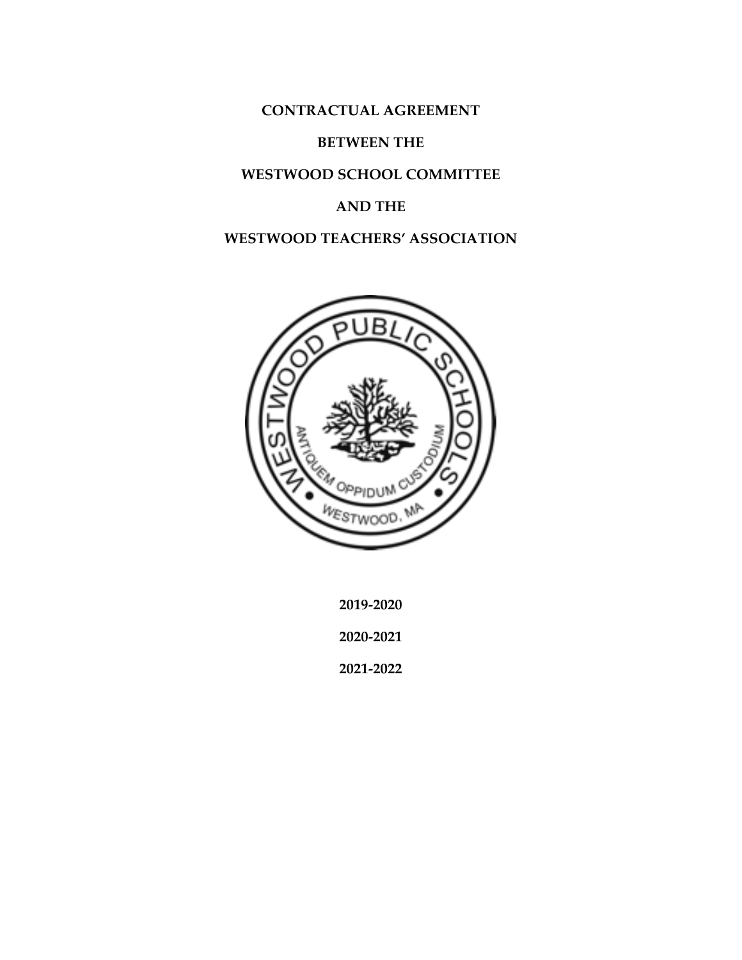**CONTRACTUAL AGREEMENT**

#### **BETWEEN THE**

#### **WESTWOOD SCHOOL COMMITTEE**

#### **AND THE**

## **WESTWOOD TEACHERS' ASSOCIATION**



**2019-2020**

**2020-2021**

**2021-2022**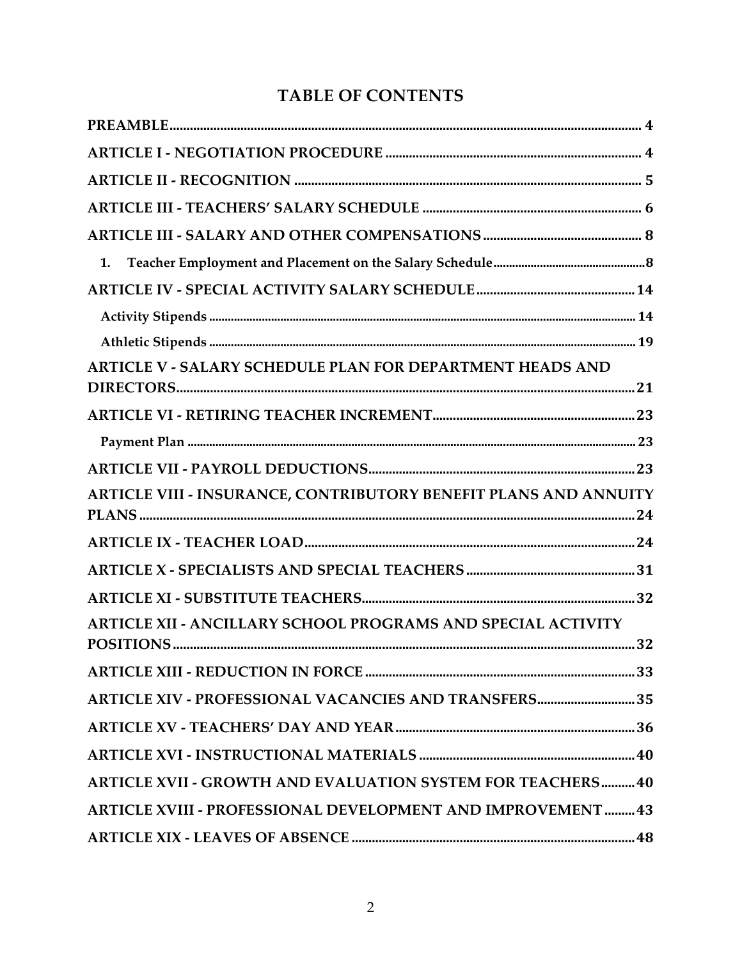# **TABLE OF CONTENTS**

| 1.                                                                 |
|--------------------------------------------------------------------|
|                                                                    |
|                                                                    |
|                                                                    |
| ARTICLE V - SALARY SCHEDULE PLAN FOR DEPARTMENT HEADS AND          |
|                                                                    |
|                                                                    |
|                                                                    |
| ARTICLE VIII - INSURANCE, CONTRIBUTORY BENEFIT PLANS AND ANNUITY   |
|                                                                    |
|                                                                    |
|                                                                    |
| ARTICLE XII - ANCILLARY SCHOOL PROGRAMS AND SPECIAL ACTIVITY       |
|                                                                    |
| ARTICLE XIV - PROFESSIONAL VACANCIES AND TRANSFERS 35              |
|                                                                    |
|                                                                    |
| <b>ARTICLE XVII - GROWTH AND EVALUATION SYSTEM FOR TEACHERS 40</b> |
| ARTICLE XVIII - PROFESSIONAL DEVELOPMENT AND IMPROVEMENT  43       |
|                                                                    |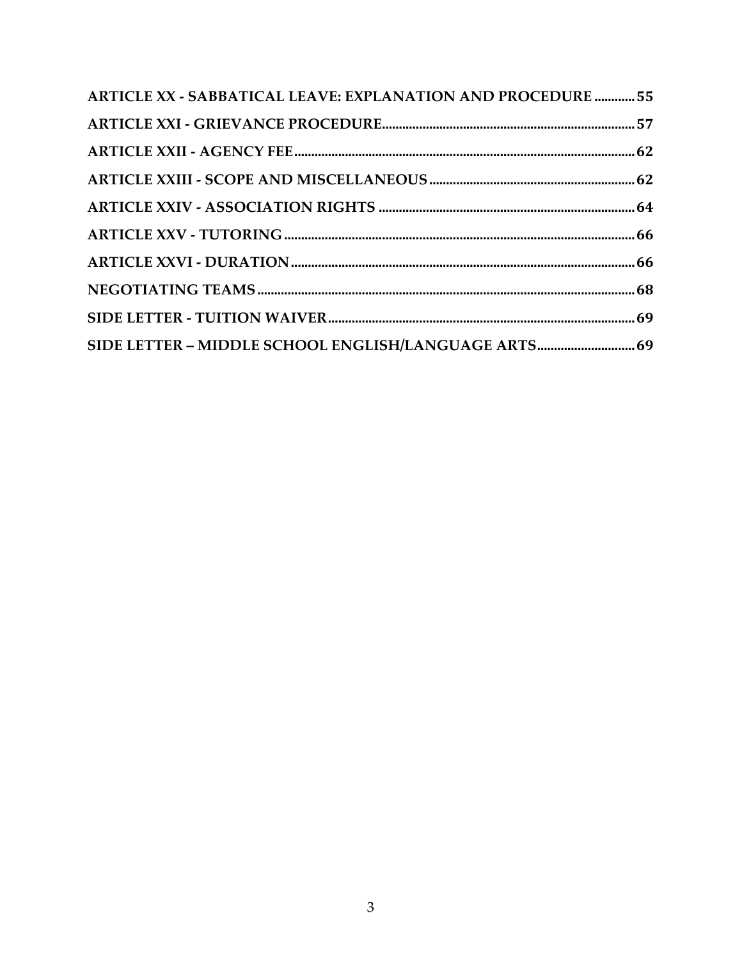| <b>ARTICLE XX - SABBATICAL LEAVE: EXPLANATION AND PROCEDURE  55</b> |  |
|---------------------------------------------------------------------|--|
|                                                                     |  |
|                                                                     |  |
|                                                                     |  |
|                                                                     |  |
|                                                                     |  |
|                                                                     |  |
|                                                                     |  |
|                                                                     |  |
| SIDE LETTER - MIDDLE SCHOOL ENGLISH/LANGUAGE ARTS 69                |  |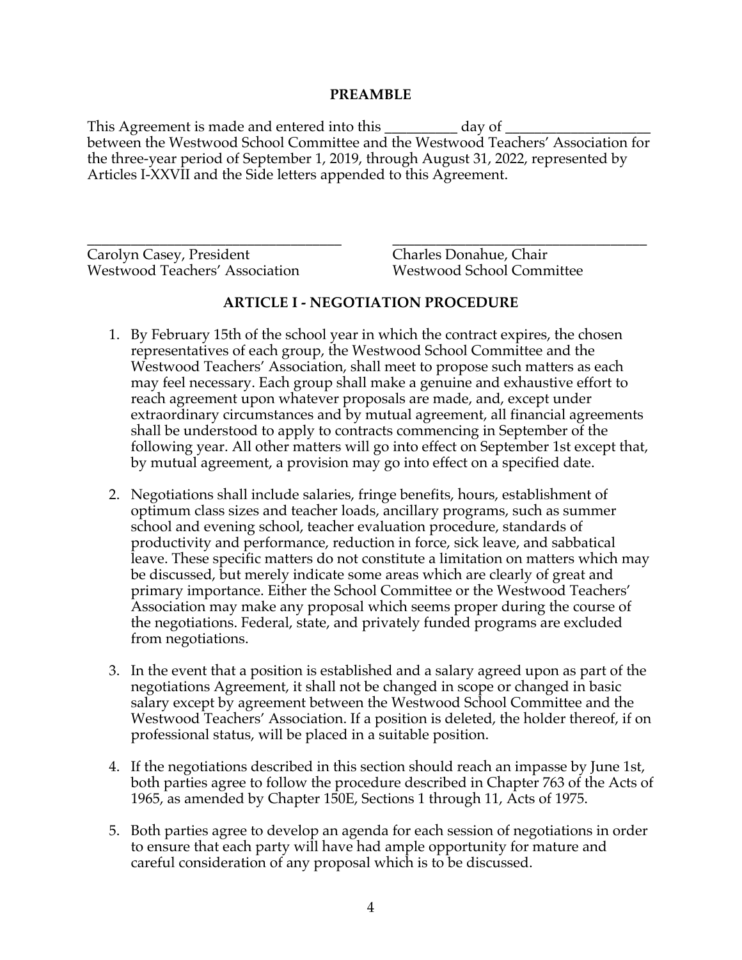#### **PREAMBLE**

This Agreement is made and entered into this \_\_\_\_\_\_\_\_\_\_\_\_ day of \_\_\_\_\_\_\_\_\_\_\_\_\_\_\_ between the Westwood School Committee and the Westwood Teachers' Association for the three-year period of September 1, 2019, through August 31, 2022, represented by Articles I-XXVII and the Side letters appended to this Agreement.

\_\_\_\_\_\_\_\_\_\_\_\_\_\_\_\_\_\_\_\_\_\_\_\_\_\_\_\_\_\_\_\_\_\_\_ \_\_\_\_\_\_\_\_\_\_\_\_\_\_\_\_\_\_\_\_\_\_\_\_\_\_\_\_\_\_\_\_\_\_\_ Carolyn Casey, President Charles Donahue, Chair Westwood Teachers' Association Westwood School Committee

## **ARTICLE I - NEGOTIATION PROCEDURE**

- 1. By February 15th of the school year in which the contract expires, the chosen representatives of each group, the Westwood School Committee and the Westwood Teachers' Association, shall meet to propose such matters as each may feel necessary. Each group shall make a genuine and exhaustive effort to reach agreement upon whatever proposals are made, and, except under extraordinary circumstances and by mutual agreement, all financial agreements shall be understood to apply to contracts commencing in September of the following year. All other matters will go into effect on September 1st except that, by mutual agreement, a provision may go into effect on a specified date.
- 2. Negotiations shall include salaries, fringe benefits, hours, establishment of optimum class sizes and teacher loads, ancillary programs, such as summer school and evening school, teacher evaluation procedure, standards of productivity and performance, reduction in force, sick leave, and sabbatical leave. These specific matters do not constitute a limitation on matters which may be discussed, but merely indicate some areas which are clearly of great and primary importance. Either the School Committee or the Westwood Teachers' Association may make any proposal which seems proper during the course of the negotiations. Federal, state, and privately funded programs are excluded from negotiations.
- 3. In the event that a position is established and a salary agreed upon as part of the negotiations Agreement, it shall not be changed in scope or changed in basic salary except by agreement between the Westwood School Committee and the Westwood Teachers' Association. If a position is deleted, the holder thereof, if on professional status, will be placed in a suitable position.
- 4. If the negotiations described in this section should reach an impasse by June 1st, both parties agree to follow the procedure described in Chapter 763 of the Acts of 1965, as amended by Chapter 150E, Sections 1 through 11, Acts of 1975.
- 5. Both parties agree to develop an agenda for each session of negotiations in order to ensure that each party will have had ample opportunity for mature and careful consideration of any proposal which is to be discussed.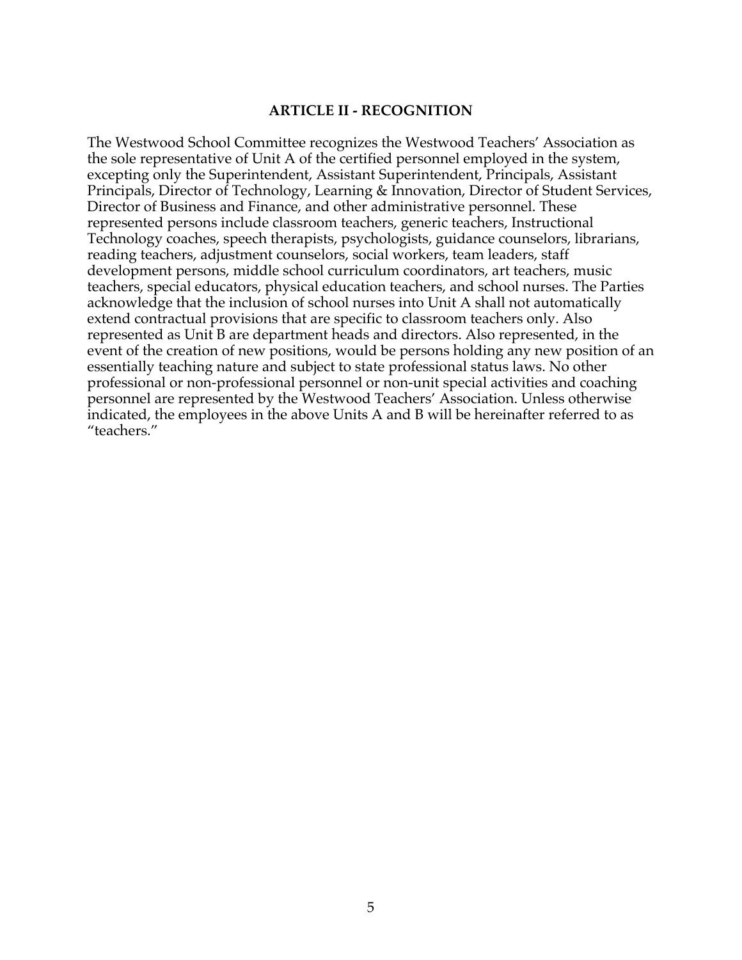#### **ARTICLE II - RECOGNITION**

The Westwood School Committee recognizes the Westwood Teachers' Association as the sole representative of Unit A of the certified personnel employed in the system, excepting only the Superintendent, Assistant Superintendent, Principals, Assistant Principals, Director of Technology, Learning & Innovation, Director of Student Services, Director of Business and Finance, and other administrative personnel. These represented persons include classroom teachers, generic teachers, Instructional Technology coaches, speech therapists, psychologists, guidance counselors, librarians, reading teachers, adjustment counselors, social workers, team leaders, staff development persons, middle school curriculum coordinators, art teachers, music teachers, special educators, physical education teachers, and school nurses. The Parties acknowledge that the inclusion of school nurses into Unit A shall not automatically extend contractual provisions that are specific to classroom teachers only. Also represented as Unit B are department heads and directors. Also represented, in the event of the creation of new positions, would be persons holding any new position of an essentially teaching nature and subject to state professional status laws. No other professional or non-professional personnel or non-unit special activities and coaching personnel are represented by the Westwood Teachers' Association. Unless otherwise indicated, the employees in the above Units A and B will be hereinafter referred to as "teachers."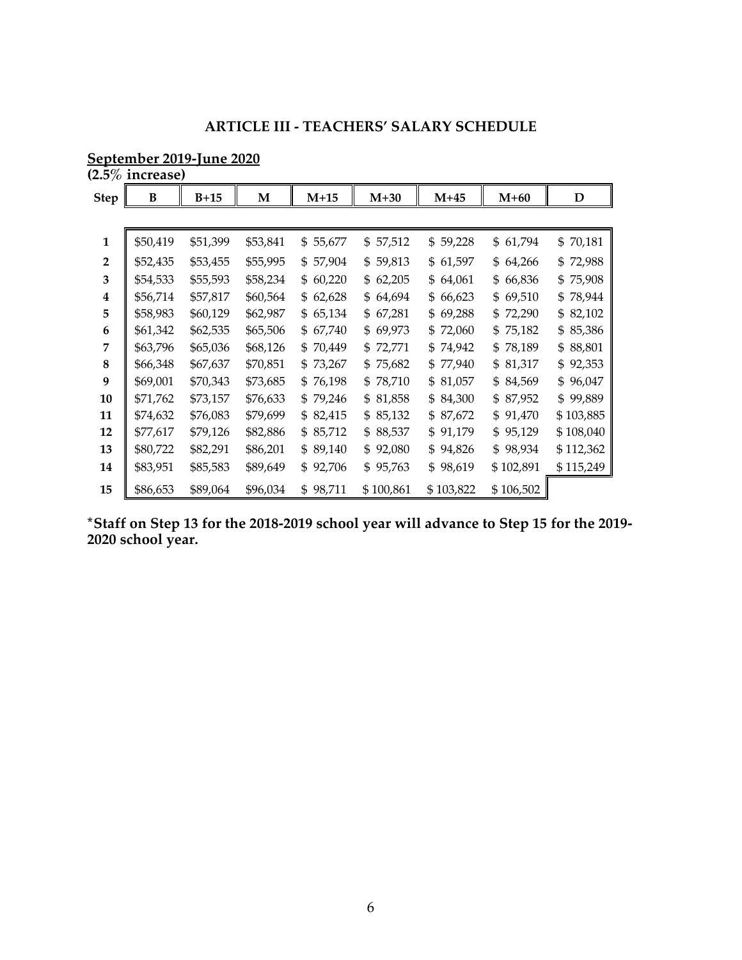## **ARTICLE III - TEACHERS' SALARY SCHEDULE**

| September 2019-June 2020 |  |  |
|--------------------------|--|--|
|                          |  |  |

**(2.5% increase)**

| <b>Step</b>    | B        | $B+15$   | M        | $M+15$       | $M+30$       | $M+45$    | $M+60$    | D            |
|----------------|----------|----------|----------|--------------|--------------|-----------|-----------|--------------|
|                |          |          |          |              |              |           |           |              |
| 1              | \$50,419 | \$51,399 | \$53,841 | \$55,677     | \$57,512     | \$59,228  | \$61,794  | 70,181<br>\$ |
| $\overline{2}$ | \$52,435 | \$53,455 | \$55,995 | \$57,904     | \$59,813     | \$61,597  | \$64,266  | \$72,988     |
| 3              | \$54,533 | \$55,593 | \$58,234 | \$60,220     | 62,205<br>\$ | \$64,061  | \$66,836  | 75,908<br>\$ |
| 4              | \$56,714 | \$57,817 | \$60,564 | \$62,628     | 64,694<br>\$ | \$66,623  | \$69,510  | 78,944<br>\$ |
| 5              | \$58,983 | \$60,129 | \$62,987 | \$65,134     | 67,281<br>\$ | \$69,288  | \$72,290  | 82,102<br>\$ |
| 6              | \$61,342 | \$62,535 | \$65,506 | 67,740<br>\$ | 69,973<br>\$ | \$72,060  | \$75,182  | 85,386<br>\$ |
| 7              | \$63,796 | \$65,036 | \$68,126 | \$70,449     | \$72,771     | \$74,942  | \$78,189  | 88,801<br>\$ |
| 8              | \$66,348 | \$67,637 | \$70,851 | \$73,267     | \$75,682     | \$77,940  | \$81,317  | 92,353<br>\$ |
| 9              | \$69,001 | \$70,343 | \$73,685 | \$76,198     | 78,710<br>\$ | \$81,057  | \$84,569  | 96,047<br>\$ |
| 10             | \$71,762 | \$73,157 | \$76,633 | \$79,246     | 81,858<br>\$ | \$84,300  | \$87,952  | 99,889<br>\$ |
| 11             | \$74,632 | \$76,083 | \$79,699 | \$ 82,415    | 85,132<br>\$ | \$87,672  | \$91,470  | \$103,885    |
| 12             | \$77,617 | \$79,126 | \$82,886 | \$85,712     | 88,537<br>\$ | \$91,179  | \$95,129  | \$108,040    |
| 13             | \$80,722 | \$82,291 | \$86,201 | \$89,140     | 92,080<br>\$ | \$94,826  | \$98,934  | \$112,362    |
| 14             | \$83,951 | \$85,583 | \$89,649 | \$92,706     | \$95,763     | \$98,619  | \$102,891 | \$115,249    |
| 15             | \$86,653 | \$89,064 | \$96,034 | \$98,711     | \$100,861    | \$103,822 | \$106,502 |              |

**\*Staff on Step 13 for the 2018-2019 school year will advance to Step 15 for the 2019- 2020 school year.**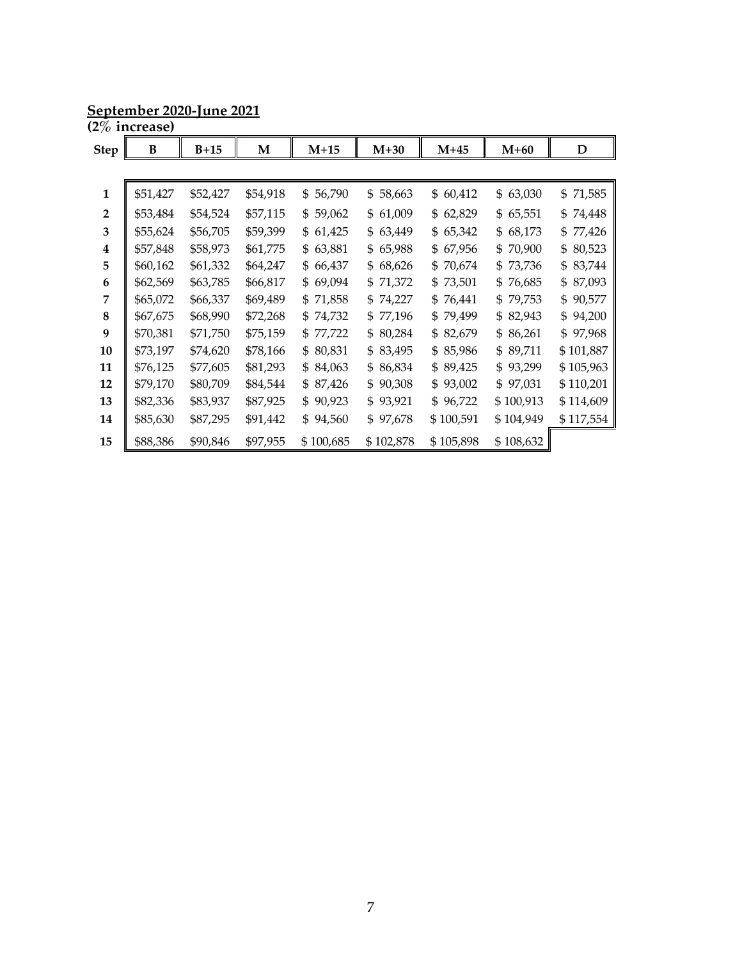**September 2020-June 2021**

|                | (2% increase) |          |          |              |              |              |              |              |
|----------------|---------------|----------|----------|--------------|--------------|--------------|--------------|--------------|
| <b>Step</b>    | B             | $B+15$   | M        | $M+15$       | $M+30$       | $M+45$       | $M+60$       | D            |
|                |               |          |          |              |              |              |              |              |
| 1              | \$51,427      | \$52,427 | \$54,918 | \$56,790     | \$58,663     | \$60,412     | 63,030<br>\$ | \$71,585     |
| $\overline{2}$ | \$53,484      | \$54,524 | \$57,115 | \$59,062     | \$61,009     | 62,829<br>\$ | 65,551<br>\$ | 74,448<br>\$ |
| 3              | \$55,624      | \$56,705 | \$59,399 | \$61,425     | 63,449<br>\$ | 65,342<br>\$ | 68,173<br>\$ | 77,426<br>\$ |
| 4              | \$57,848      | \$58,973 | \$61,775 | 63,881<br>\$ | 65,988<br>\$ | 67,956<br>\$ | 70,900<br>\$ | 80,523<br>\$ |
| 5              | \$60,162      | \$61,332 | \$64,247 | \$66,437     | \$68,626     | \$70,674     | 73,736<br>\$ | 83,744<br>\$ |
| 6              | \$62,569      | \$63,785 | \$66,817 | \$69,094     | \$71,372     | \$73,501     | \$<br>76,685 | 87,093<br>\$ |
| 7              | \$65,072      | \$66,337 | \$69,489 | \$71,858     | \$74,227     | \$76,441     | 79,753<br>\$ | 90,577<br>\$ |
| 8              | \$67,675      | \$68,990 | \$72,268 | \$74,732     | \$77,196     | \$79,499     | 82,943<br>\$ | 94,200<br>\$ |
| 9              | \$70,381      | \$71,750 | \$75,159 | \$77,722     | \$80,284     | \$82,679     | 86,261<br>\$ | 97,968<br>\$ |
| 10             | \$73,197      | \$74,620 | \$78,166 | \$80,831     | \$83,495     | \$85,986     | 89,711<br>\$ | \$101,887    |
| 11             | \$76,125      | \$77,605 | \$81,293 | \$84,063     | \$86,834     | \$89,425     | 93,299<br>\$ | \$105,963    |
| 12             | \$79,170      | \$80,709 | \$84,544 | \$87,426     | \$90,308     | \$93,002     | \$97,031     | \$110,201    |
| 13             | \$82,336      | \$83,937 | \$87,925 | \$90,923     | \$93,921     | \$96,722     | \$100,913    | \$114,609    |
| 14             | \$85,630      | \$87,295 | \$91,442 | \$94,560     | \$97,678     | \$100,591    | \$104,949    | \$117,554    |
| 15             | \$88,386      | \$90,846 | \$97,955 | \$100,685    | \$102,878    | \$105,898    | \$108,632    |              |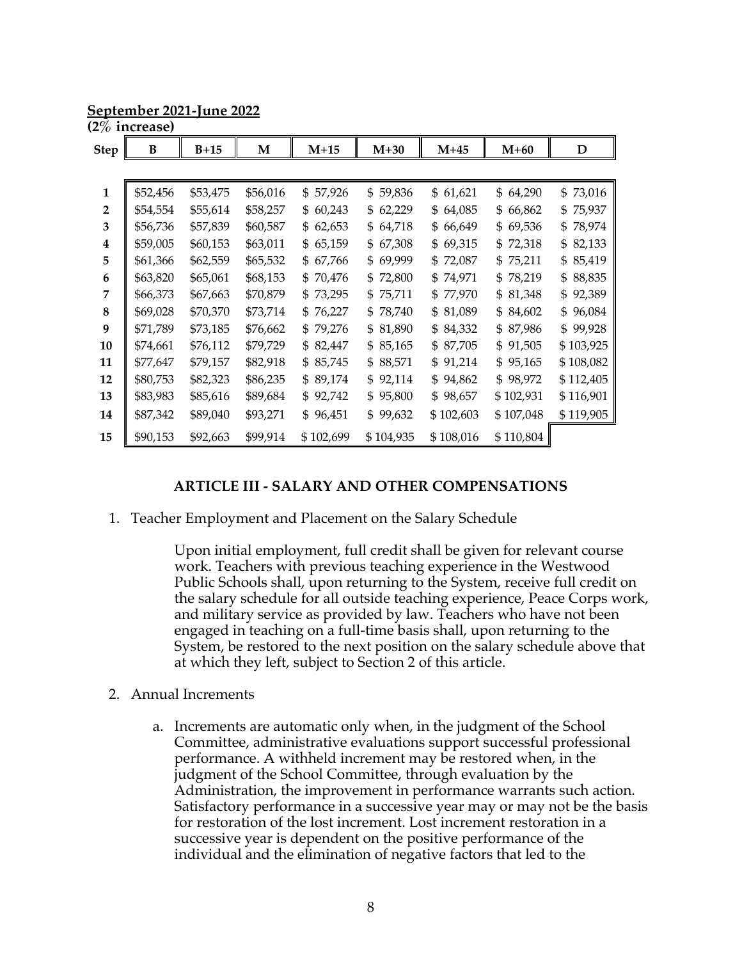**September 2021-June 2022**

|                | (2% increase) |          |          |              |              |              |              |              |
|----------------|---------------|----------|----------|--------------|--------------|--------------|--------------|--------------|
| <b>Step</b>    | B             | $B+15$   | M        | $M+15$       | $M+30$       | $M+45$       | $M+60$       | D            |
|                |               |          |          |              |              |              |              |              |
| $\mathbf{1}$   | \$52,456      | \$53,475 | \$56,016 | \$57,926     | 59,836<br>\$ | \$61,621     | \$64,290     | 73,016<br>\$ |
| $\overline{2}$ | \$54,554      | \$55,614 | \$58,257 | \$60,243     | 62,229<br>\$ | \$64,085     | \$66,862     | 75,937<br>\$ |
| 3              | \$56,736      | \$57,839 | \$60,587 | \$62,653     | 64,718<br>\$ | 66,649<br>\$ | \$69,536     | 78,974<br>\$ |
| 4              | \$59,005      | \$60,153 | \$63,011 | 65,159<br>\$ | 67,308<br>\$ | 69,315<br>\$ | 72,318<br>\$ | 82,133<br>\$ |
| 5              | \$61,366      | \$62,559 | \$65,532 | 67,766<br>\$ | \$69,999     | 72,087<br>\$ | 75,211<br>\$ | 85,419<br>\$ |
| 6              | \$63,820      | \$65,061 | \$68,153 | \$70,476     | \$72,800     | 74,971<br>\$ | 78,219<br>\$ | 88,835<br>\$ |
| 7              | \$66,373      | \$67,663 | \$70,879 | \$73,295     | \$75,711     | \$77,970     | \$81,348     | 92,389<br>\$ |
| 8              | \$69,028      | \$70,370 | \$73,714 | \$76,227     | \$78,740     | \$81,089     | \$84,602     | 96,084<br>\$ |
| 9              | \$71,789      | \$73,185 | \$76,662 | \$79,276     | \$81,890     | \$84,332     | \$87,986     | 99,928<br>\$ |
| 10             | \$74,661      | \$76,112 | \$79,729 | \$82,447     | \$85,165     | \$87,705     | \$91,505     | \$103,925    |
| 11             | \$77,647      | \$79,157 | \$82,918 | \$85,745     | \$88,571     | \$91,214     | \$95,165     | \$108,082    |
| 12             | \$80,753      | \$82,323 | \$86,235 | \$89,174     | \$92,114     | 94,862<br>\$ | \$98,972     | \$112,405    |
| 13             | \$83,983      | \$85,616 | \$89,684 | \$92,742     | 95,800<br>\$ | \$98,657     | \$102,931    | \$116,901    |
| 14             | \$87,342      | \$89,040 | \$93,271 | \$96,451     | \$99,632     | \$102,603    | \$107,048    | \$119,905    |
| 15             | \$90,153      | \$92,663 | \$99,914 | \$102,699    | \$104,935    | \$108,016    | \$110,804    |              |

#### **ARTICLE III - SALARY AND OTHER COMPENSATIONS**

1. Teacher Employment and Placement on the Salary Schedule

Upon initial employment, full credit shall be given for relevant course work. Teachers with previous teaching experience in the Westwood Public Schools shall, upon returning to the System, receive full credit on the salary schedule for all outside teaching experience, Peace Corps work, and military service as provided by law. Teachers who have not been engaged in teaching on a full-time basis shall, upon returning to the System, be restored to the next position on the salary schedule above that at which they left, subject to Section 2 of this article.

- 2. Annual Increments
	- a. Increments are automatic only when, in the judgment of the School Committee, administrative evaluations support successful professional performance. A withheld increment may be restored when, in the judgment of the School Committee, through evaluation by the Administration, the improvement in performance warrants such action. Satisfactory performance in a successive year may or may not be the basis for restoration of the lost increment. Lost increment restoration in a successive year is dependent on the positive performance of the individual and the elimination of negative factors that led to the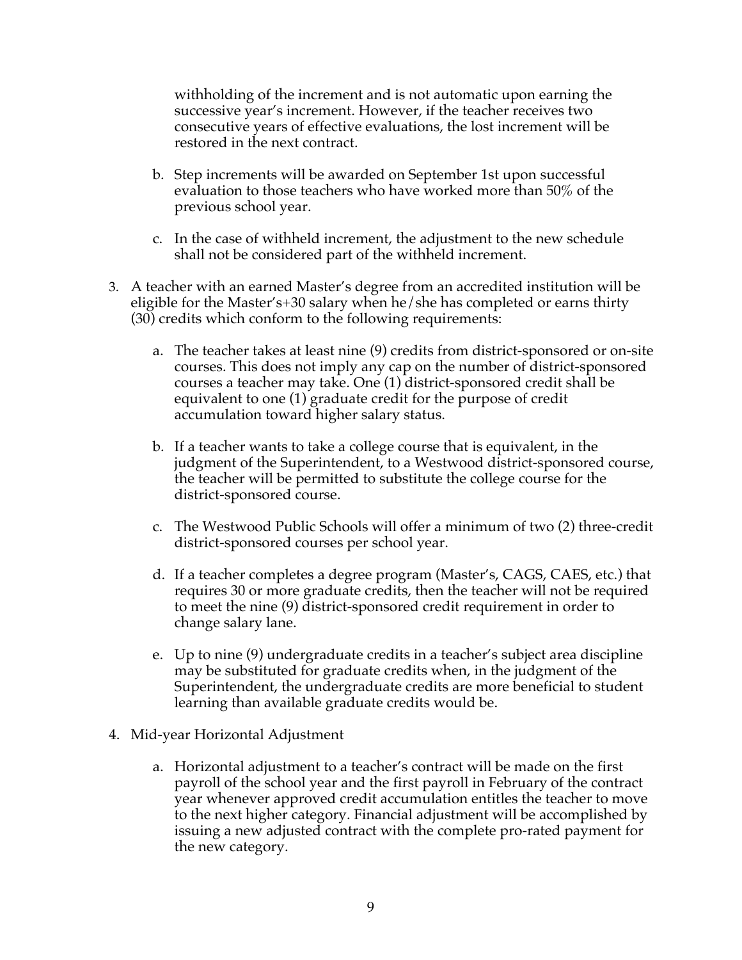withholding of the increment and is not automatic upon earning the successive year's increment. However, if the teacher receives two consecutive years of effective evaluations, the lost increment will be restored in the next contract.

- b. Step increments will be awarded on September 1st upon successful evaluation to those teachers who have worked more than 50% of the previous school year.
- c. In the case of withheld increment, the adjustment to the new schedule shall not be considered part of the withheld increment.
- 3. A teacher with an earned Master's degree from an accredited institution will be eligible for the Master's+30 salary when he/she has completed or earns thirty (30) credits which conform to the following requirements:
	- a. The teacher takes at least nine (9) credits from district-sponsored or on-site courses. This does not imply any cap on the number of district-sponsored courses a teacher may take. One (1) district-sponsored credit shall be equivalent to one (1) graduate credit for the purpose of credit accumulation toward higher salary status.
	- b. If a teacher wants to take a college course that is equivalent, in the judgment of the Superintendent, to a Westwood district-sponsored course, the teacher will be permitted to substitute the college course for the district-sponsored course.
	- c. The Westwood Public Schools will offer a minimum of two (2) three-credit district-sponsored courses per school year.
	- d. If a teacher completes a degree program (Master's, CAGS, CAES, etc.) that requires 30 or more graduate credits, then the teacher will not be required to meet the nine (9) district-sponsored credit requirement in order to change salary lane.
	- e. Up to nine (9) undergraduate credits in a teacher's subject area discipline may be substituted for graduate credits when, in the judgment of the Superintendent, the undergraduate credits are more beneficial to student learning than available graduate credits would be.
- 4. Mid-year Horizontal Adjustment
	- a. Horizontal adjustment to a teacher's contract will be made on the first payroll of the school year and the first payroll in February of the contract year whenever approved credit accumulation entitles the teacher to move to the next higher category. Financial adjustment will be accomplished by issuing a new adjusted contract with the complete pro-rated payment for the new category.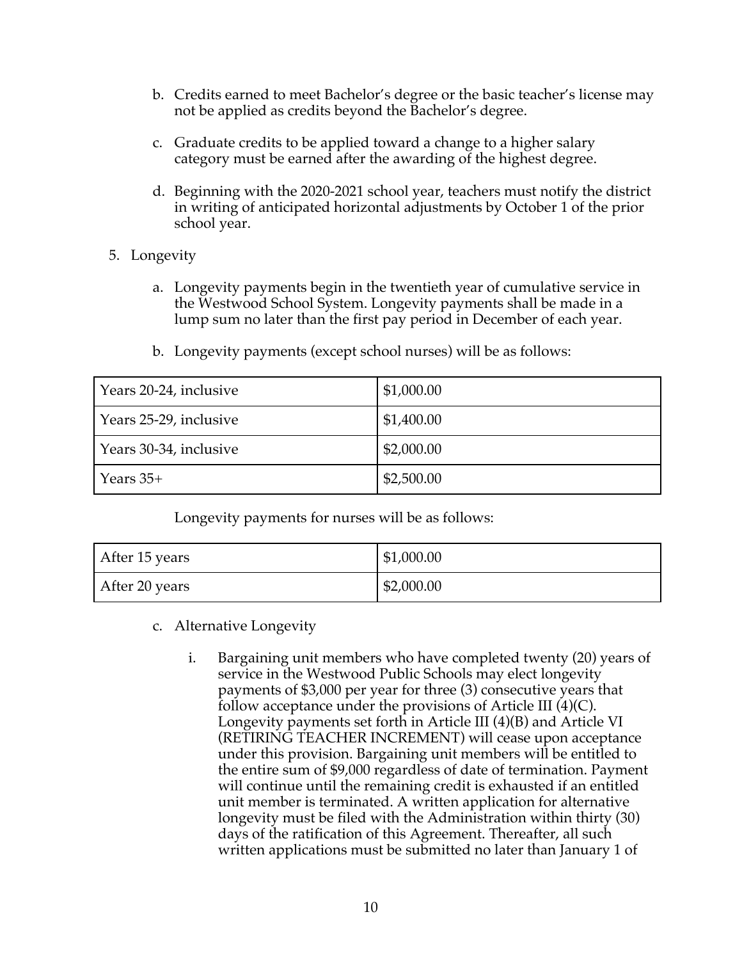- b. Credits earned to meet Bachelor's degree or the basic teacher's license may not be applied as credits beyond the Bachelor's degree.
- c. Graduate credits to be applied toward a change to a higher salary category must be earned after the awarding of the highest degree.
- d. Beginning with the 2020-2021 school year, teachers must notify the district in writing of anticipated horizontal adjustments by October 1 of the prior school year.
- 5. Longevity
	- a. Longevity payments begin in the twentieth year of cumulative service in the Westwood School System. Longevity payments shall be made in a lump sum no later than the first pay period in December of each year.

| Years 20-24, inclusive | \$1,000.00 |
|------------------------|------------|
| Years 25-29, inclusive | \$1,400.00 |
| Years 30-34, inclusive | \$2,000.00 |
| Years $35+$            | \$2,500.00 |

b. Longevity payments (except school nurses) will be as follows:

Longevity payments for nurses will be as follows:

| After 15 years | \$1,000.00 |
|----------------|------------|
| After 20 years | \$2,000.00 |

- c. Alternative Longevity
	- i. Bargaining unit members who have completed twenty (20) years of service in the Westwood Public Schools may elect longevity payments of \$3,000 per year for three (3) consecutive years that follow acceptance under the provisions of Article III  $(4)(C)$ . Longevity payments set forth in Article III (4)(B) and Article VI (RETIRING TEACHER INCREMENT) will cease upon acceptance under this provision. Bargaining unit members will be entitled to the entire sum of \$9,000 regardless of date of termination. Payment will continue until the remaining credit is exhausted if an entitled unit member is terminated. A written application for alternative longevity must be filed with the Administration within thirty (30) days of the ratification of this Agreement. Thereafter, all such written applications must be submitted no later than January 1 of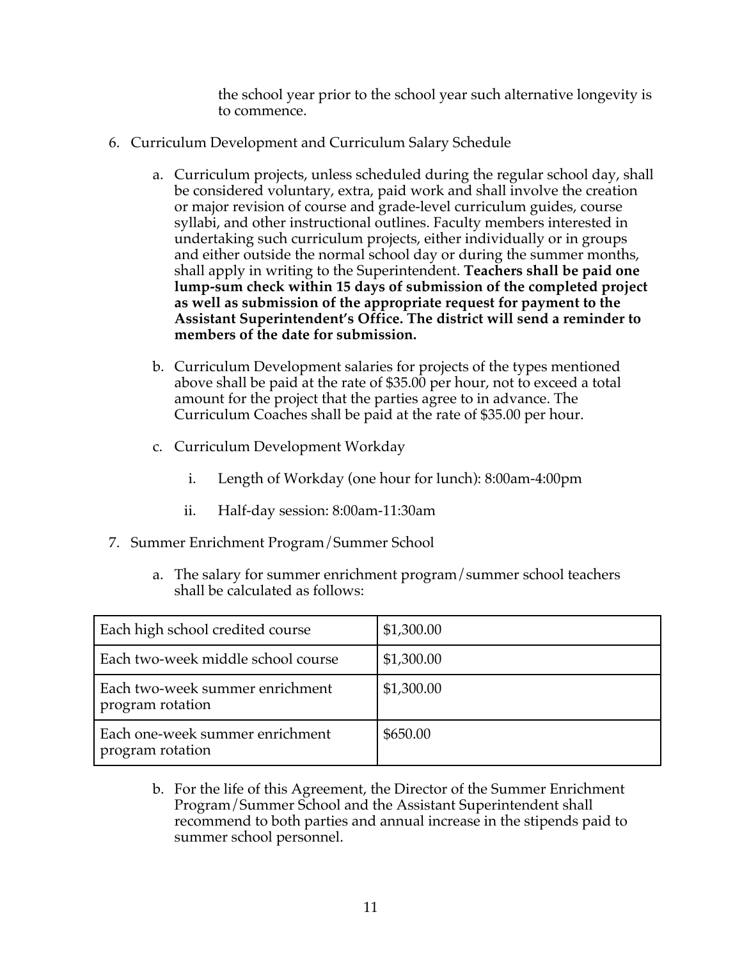the school year prior to the school year such alternative longevity is to commence.

- 6. Curriculum Development and Curriculum Salary Schedule
	- a. Curriculum projects, unless scheduled during the regular school day, shall be considered voluntary, extra, paid work and shall involve the creation or major revision of course and grade-level curriculum guides, course syllabi, and other instructional outlines. Faculty members interested in undertaking such curriculum projects, either individually or in groups and either outside the normal school day or during the summer months, shall apply in writing to the Superintendent. **Teachers shall be paid one lump-sum check within 15 days of submission of the completed project as well as submission of the appropriate request for payment to the Assistant Superintendent's Office. The district will send a reminder to members of the date for submission.**
	- b. Curriculum Development salaries for projects of the types mentioned above shall be paid at the rate of \$35.00 per hour, not to exceed a total amount for the project that the parties agree to in advance. The Curriculum Coaches shall be paid at the rate of \$35.00 per hour.
	- c. Curriculum Development Workday
		- i. Length of Workday (one hour for lunch): 8:00am-4:00pm
		- ii. Half-day session: 8:00am-11:30am
- 7. Summer Enrichment Program/Summer School
	- a. The salary for summer enrichment program/summer school teachers shall be calculated as follows:

| Each high school credited course                    | \$1,300.00 |
|-----------------------------------------------------|------------|
| Each two-week middle school course                  | \$1,300.00 |
| Each two-week summer enrichment<br>program rotation | \$1,300.00 |
| Each one-week summer enrichment<br>program rotation | \$650.00   |

b. For the life of this Agreement, the Director of the Summer Enrichment Program/Summer School and the Assistant Superintendent shall recommend to both parties and annual increase in the stipends paid to summer school personnel.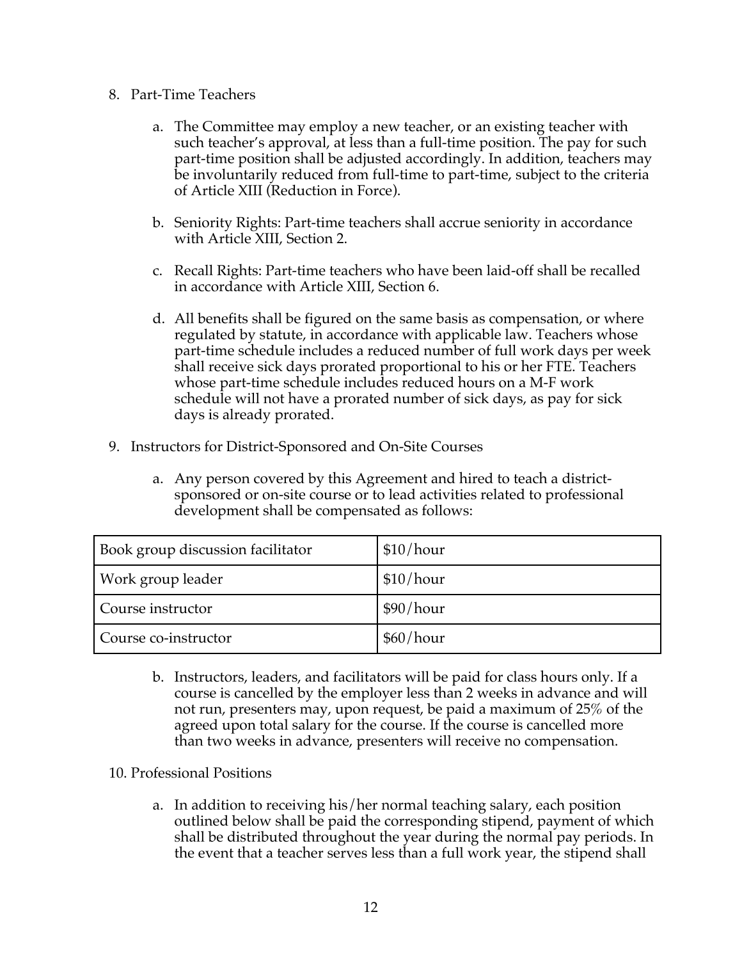- 8. Part-Time Teachers
	- a. The Committee may employ a new teacher, or an existing teacher with such teacher's approval, at less than a full-time position. The pay for such part-time position shall be adjusted accordingly. In addition, teachers may be involuntarily reduced from full-time to part-time, subject to the criteria of Article XIII (Reduction in Force).
	- b. Seniority Rights: Part-time teachers shall accrue seniority in accordance with Article XIII, Section 2.
	- c. Recall Rights: Part-time teachers who have been laid-off shall be recalled in accordance with Article XIII, Section 6.
	- d. All benefits shall be figured on the same basis as compensation, or where regulated by statute, in accordance with applicable law. Teachers whose part-time schedule includes a reduced number of full work days per week shall receive sick days prorated proportional to his or her FTE. Teachers whose part-time schedule includes reduced hours on a M-F work schedule will not have a prorated number of sick days, as pay for sick days is already prorated.
- 9. Instructors for District-Sponsored and On-Site Courses
	- a. Any person covered by this Agreement and hired to teach a districtsponsored or on-site course or to lead activities related to professional development shall be compensated as follows:

| Book group discussion facilitator | \$10/hour |
|-----------------------------------|-----------|
| Work group leader                 | \$10/hour |
| Course instructor                 | \$90/hour |
| Course co-instructor              | \$60/hour |

- b. Instructors, leaders, and facilitators will be paid for class hours only. If a course is cancelled by the employer less than 2 weeks in advance and will not run, presenters may, upon request, be paid a maximum of 25% of the agreed upon total salary for the course. If the course is cancelled more than two weeks in advance, presenters will receive no compensation.
- 10. Professional Positions
	- a. In addition to receiving his/her normal teaching salary, each position outlined below shall be paid the corresponding stipend, payment of which shall be distributed throughout the year during the normal pay periods. In the event that a teacher serves less than a full work year, the stipend shall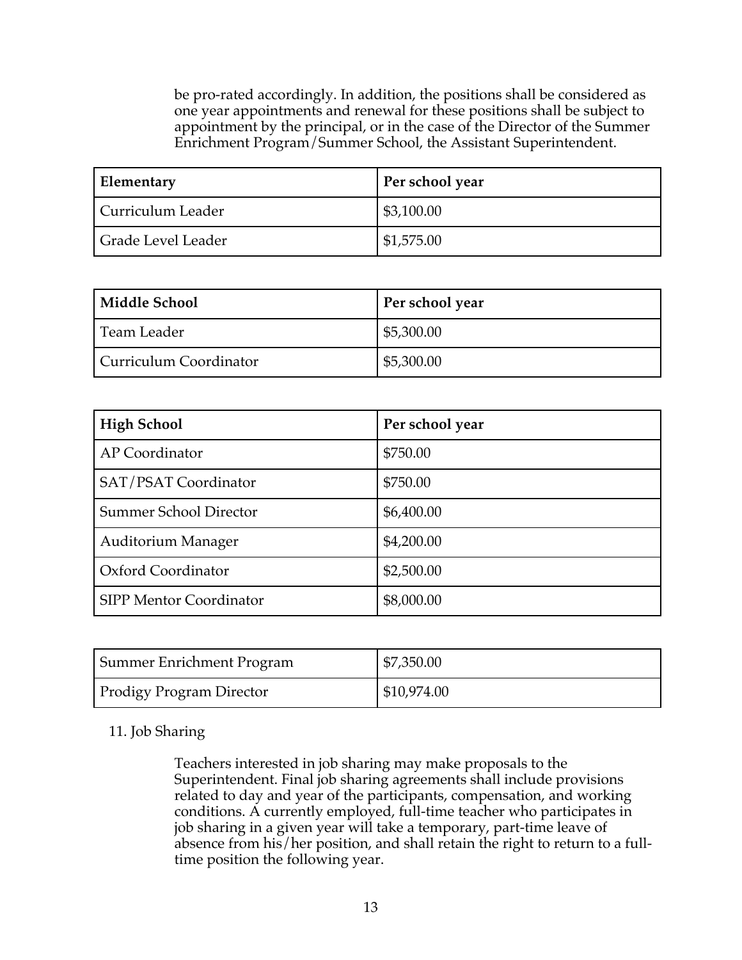be pro-rated accordingly. In addition, the positions shall be considered as one year appointments and renewal for these positions shall be subject to appointment by the principal, or in the case of the Director of the Summer Enrichment Program/Summer School, the Assistant Superintendent.

| Elementary         | Per school year |
|--------------------|-----------------|
| Curriculum Leader  | \$3,100.00      |
| Grade Level Leader | \$1,575.00      |

| Middle School          | Per school year |
|------------------------|-----------------|
| Team Leader            | \$5,300.00      |
| Curriculum Coordinator | \$5,300.00      |

| <b>High School</b>             | Per school year |
|--------------------------------|-----------------|
| AP Coordinator                 | \$750.00        |
| SAT/PSAT Coordinator           | \$750.00        |
| <b>Summer School Director</b>  | \$6,400.00      |
| <b>Auditorium Manager</b>      | \$4,200.00      |
| Oxford Coordinator             | \$2,500.00      |
| <b>SIPP Mentor Coordinator</b> | \$8,000.00      |

| Summer Enrichment Program       | \$7,350.00  |
|---------------------------------|-------------|
| <b>Prodigy Program Director</b> | \$10,974.00 |

#### 11. Job Sharing

Teachers interested in job sharing may make proposals to the Superintendent. Final job sharing agreements shall include provisions related to day and year of the participants, compensation, and working conditions. A currently employed, full-time teacher who participates in job sharing in a given year will take a temporary, part-time leave of absence from his/her position, and shall retain the right to return to a fulltime position the following year.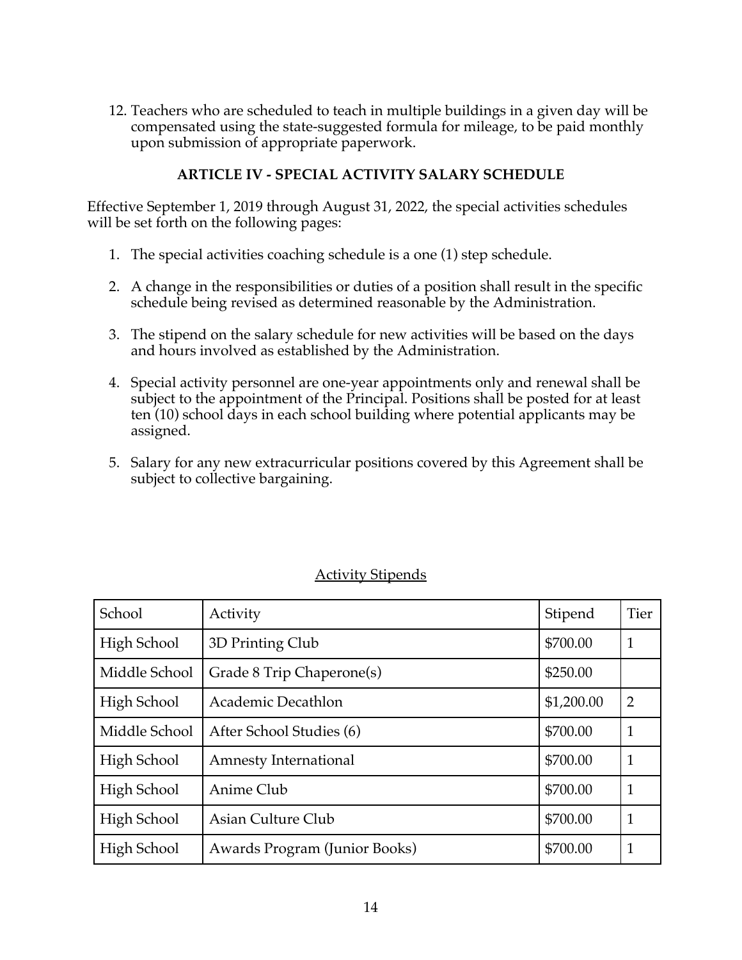12. Teachers who are scheduled to teach in multiple buildings in a given day will be compensated using the state-suggested formula for mileage, to be paid monthly upon submission of appropriate paperwork.

## **ARTICLE IV - SPECIAL ACTIVITY SALARY SCHEDULE**

Effective September 1, 2019 through August 31, 2022, the special activities schedules will be set forth on the following pages:

- 1. The special activities coaching schedule is a one (1) step schedule.
- 2. A change in the responsibilities or duties of a position shall result in the specific schedule being revised as determined reasonable by the Administration.
- 3. The stipend on the salary schedule for new activities will be based on the days and hours involved as established by the Administration.
- 4. Special activity personnel are one-year appointments only and renewal shall be subject to the appointment of the Principal. Positions shall be posted for at least ten (10) school days in each school building where potential applicants may be assigned.
- 5. Salary for any new extracurricular positions covered by this Agreement shall be subject to collective bargaining.

| School        | Activity                      | Stipend    | <b>Tier</b>    |
|---------------|-------------------------------|------------|----------------|
| High School   | 3D Printing Club              | \$700.00   | $\mathbf{1}$   |
| Middle School | Grade 8 Trip Chaperone(s)     | \$250.00   |                |
| High School   | Academic Decathlon            | \$1,200.00 | $\overline{2}$ |
| Middle School | After School Studies (6)      | \$700.00   | $\mathbf{1}$   |
| High School   | Amnesty International         | \$700.00   | $\mathbf{1}$   |
| High School   | Anime Club                    | \$700.00   | $\mathbf{1}$   |
| High School   | Asian Culture Club            | \$700.00   | $\mathbf{1}$   |
| High School   | Awards Program (Junior Books) | \$700.00   |                |

## Activity Stipends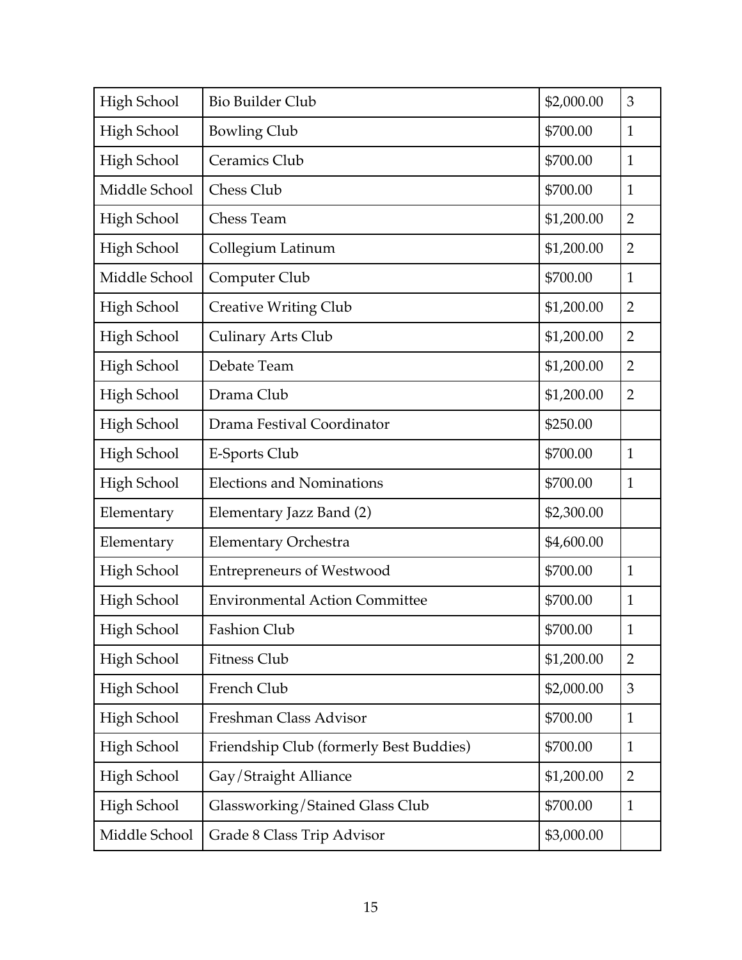| High School        | <b>Bio Builder Club</b>                 | \$2,000.00 | 3              |
|--------------------|-----------------------------------------|------------|----------------|
| <b>High School</b> | <b>Bowling Club</b>                     | \$700.00   | $\mathbf{1}$   |
| High School        | Ceramics Club                           | \$700.00   | $\mathbf{1}$   |
| Middle School      | Chess Club                              | \$700.00   | $\mathbf{1}$   |
| <b>High School</b> | Chess Team                              | \$1,200.00 | $\overline{2}$ |
| High School        | Collegium Latinum                       | \$1,200.00 | $\overline{2}$ |
| Middle School      | Computer Club                           | \$700.00   | $\mathbf{1}$   |
| High School        | <b>Creative Writing Club</b>            | \$1,200.00 | $\overline{2}$ |
| High School        | <b>Culinary Arts Club</b>               | \$1,200.00 | $\overline{2}$ |
| High School        | Debate Team                             | \$1,200.00 | $\overline{2}$ |
| High School        | Drama Club                              | \$1,200.00 | $\overline{2}$ |
| High School        | Drama Festival Coordinator              | \$250.00   |                |
| High School        | E-Sports Club                           | \$700.00   | $\mathbf{1}$   |
| <b>High School</b> | <b>Elections and Nominations</b>        | \$700.00   | $\mathbf{1}$   |
| Elementary         | Elementary Jazz Band (2)                | \$2,300.00 |                |
| Elementary         | Elementary Orchestra                    | \$4,600.00 |                |
| High School        | <b>Entrepreneurs of Westwood</b>        | \$700.00   | $\mathbf{1}$   |
| High School        | <b>Environmental Action Committee</b>   | \$700.00   | $\mathbf{1}$   |
| High School        | Fashion Club                            | \$700.00   | $\mathbf{1}$   |
| High School        | <b>Fitness Club</b>                     | \$1,200.00 | $\overline{2}$ |
| High School        | French Club                             | \$2,000.00 | 3              |
| High School        | Freshman Class Advisor                  | \$700.00   | $\mathbf{1}$   |
| <b>High School</b> | Friendship Club (formerly Best Buddies) | \$700.00   | $\mathbf{1}$   |
| <b>High School</b> | Gay/Straight Alliance                   | \$1,200.00 | $\overline{2}$ |
| High School        | Glassworking/Stained Glass Club         | \$700.00   | $\mathbf{1}$   |
| Middle School      | Grade 8 Class Trip Advisor              | \$3,000.00 |                |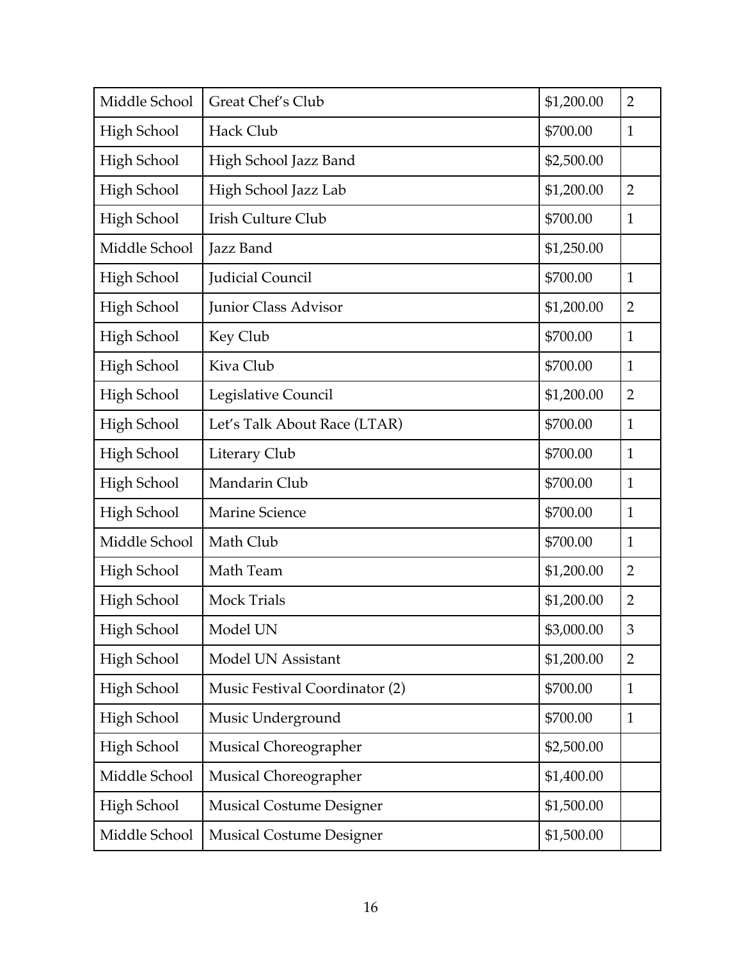| Middle School      | Great Chef's Club               | \$1,200.00 | $\overline{2}$ |
|--------------------|---------------------------------|------------|----------------|
| <b>High School</b> | Hack Club                       | \$700.00   | $\mathbf{1}$   |
| <b>High School</b> | High School Jazz Band           | \$2,500.00 |                |
| <b>High School</b> | High School Jazz Lab            | \$1,200.00 | $\overline{2}$ |
| <b>High School</b> | Irish Culture Club              | \$700.00   | $\mathbf{1}$   |
| Middle School      | Jazz Band                       | \$1,250.00 |                |
| High School        | Judicial Council                | \$700.00   | $\mathbf{1}$   |
| High School        | Junior Class Advisor            | \$1,200.00 | $\overline{2}$ |
| High School        | Key Club                        | \$700.00   | $\mathbf{1}$   |
| High School        | Kiva Club                       | \$700.00   | $\mathbf{1}$   |
| High School        | Legislative Council             | \$1,200.00 | $\overline{2}$ |
| High School        | Let's Talk About Race (LTAR)    | \$700.00   | $\mathbf{1}$   |
| <b>High School</b> | Literary Club                   | \$700.00   | $\mathbf{1}$   |
| <b>High School</b> | Mandarin Club                   | \$700.00   | $\mathbf{1}$   |
| <b>High School</b> | Marine Science                  | \$700.00   | $\mathbf{1}$   |
| Middle School      | Math Club                       | \$700.00   | $\mathbf{1}$   |
| <b>High School</b> | Math Team                       | \$1,200.00 | $\overline{2}$ |
| <b>High School</b> | <b>Mock Trials</b>              | \$1,200.00 | $\overline{2}$ |
| High School        | Model UN                        | \$3,000.00 | $\mathfrak{Z}$ |
| High School        | Model UN Assistant              | \$1,200.00 | $\overline{2}$ |
| High School        | Music Festival Coordinator (2)  | \$700.00   | $\mathbf{1}$   |
| High School        | Music Underground               | \$700.00   | $\mathbf{1}$   |
| High School        | Musical Choreographer           | \$2,500.00 |                |
| Middle School      | Musical Choreographer           | \$1,400.00 |                |
| High School        | <b>Musical Costume Designer</b> | \$1,500.00 |                |
| Middle School      | <b>Musical Costume Designer</b> | \$1,500.00 |                |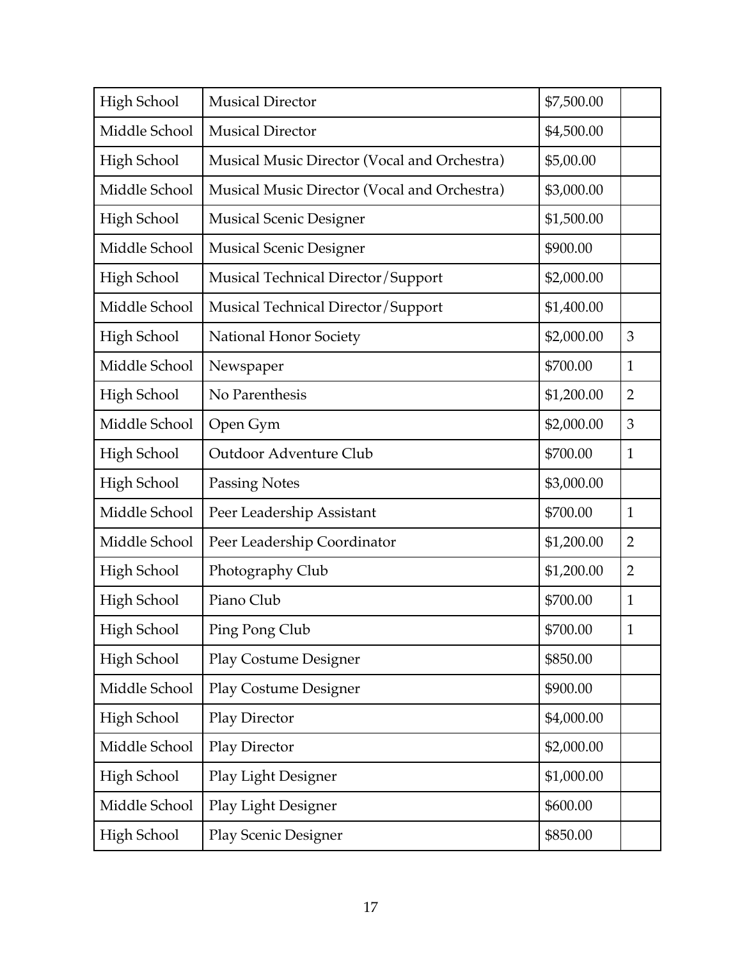| High School        | <b>Musical Director</b>                      | \$7,500.00 |                |
|--------------------|----------------------------------------------|------------|----------------|
| Middle School      | <b>Musical Director</b>                      | \$4,500.00 |                |
| <b>High School</b> | Musical Music Director (Vocal and Orchestra) | \$5,00.00  |                |
| Middle School      | Musical Music Director (Vocal and Orchestra) | \$3,000.00 |                |
| High School        | <b>Musical Scenic Designer</b>               | \$1,500.00 |                |
| Middle School      | <b>Musical Scenic Designer</b>               | \$900.00   |                |
| <b>High School</b> | Musical Technical Director/Support           | \$2,000.00 |                |
| Middle School      | Musical Technical Director/Support           | \$1,400.00 |                |
| High School        | National Honor Society                       | \$2,000.00 | 3              |
| Middle School      | Newspaper                                    | \$700.00   | $\mathbf{1}$   |
| High School        | No Parenthesis                               | \$1,200.00 | $\overline{2}$ |
| Middle School      | Open Gym                                     | \$2,000.00 | 3              |
| <b>High School</b> | Outdoor Adventure Club                       | \$700.00   | $\mathbf{1}$   |
| High School        | <b>Passing Notes</b>                         | \$3,000.00 |                |
| Middle School      | Peer Leadership Assistant                    | \$700.00   | $\mathbf{1}$   |
| Middle School      | Peer Leadership Coordinator                  | \$1,200.00 | $\overline{2}$ |
| <b>High School</b> | Photography Club                             | \$1,200.00 | $\overline{2}$ |
| <b>High School</b> | Piano Club                                   | \$700.00   | $\mathbf{1}$   |
| High School        | Ping Pong Club                               | \$700.00   | $\mathbf{1}$   |
| High School        | <b>Play Costume Designer</b>                 | \$850.00   |                |
| Middle School      | <b>Play Costume Designer</b>                 | \$900.00   |                |
| High School        | Play Director                                | \$4,000.00 |                |
| Middle School      | Play Director                                | \$2,000.00 |                |
| High School        | Play Light Designer                          | \$1,000.00 |                |
| Middle School      | Play Light Designer                          | \$600.00   |                |
| <b>High School</b> | <b>Play Scenic Designer</b>                  | \$850.00   |                |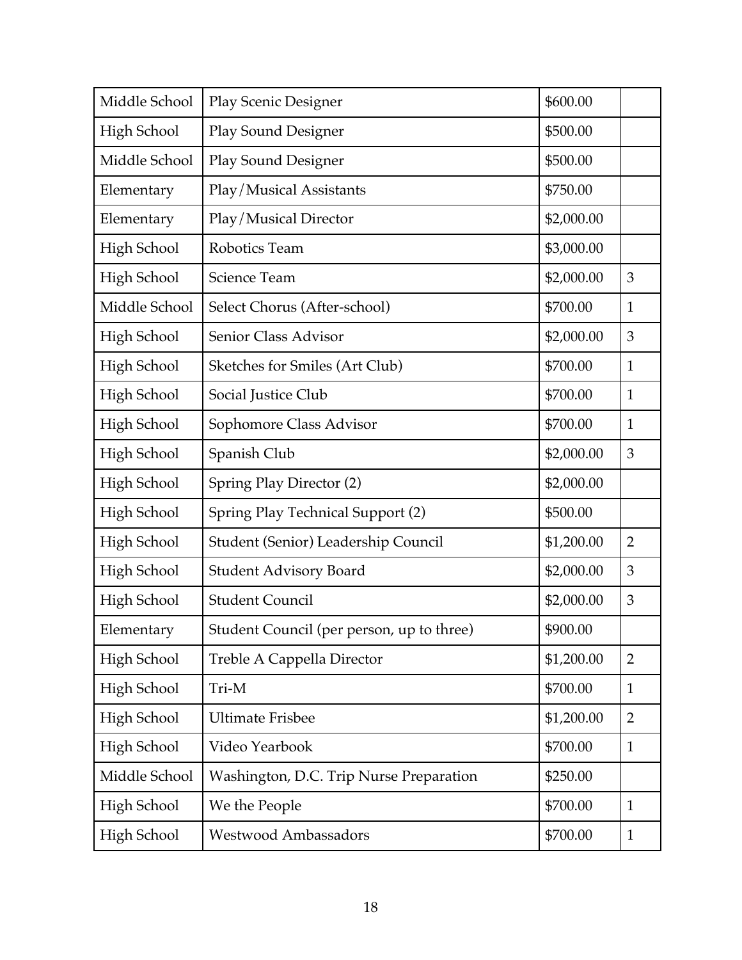| Middle School      | <b>Play Scenic Designer</b>               | \$600.00   |                |
|--------------------|-------------------------------------------|------------|----------------|
| High School        | <b>Play Sound Designer</b>                | \$500.00   |                |
| Middle School      | <b>Play Sound Designer</b>                | \$500.00   |                |
| Elementary         | Play/Musical Assistants                   | \$750.00   |                |
| Elementary         | Play/Musical Director                     | \$2,000.00 |                |
| <b>High School</b> | Robotics Team                             | \$3,000.00 |                |
| <b>High School</b> | Science Team                              | \$2,000.00 | 3              |
| Middle School      | Select Chorus (After-school)              | \$700.00   | $\mathbf{1}$   |
| High School        | Senior Class Advisor                      | \$2,000.00 | 3              |
| High School        | Sketches for Smiles (Art Club)            | \$700.00   | $\mathbf{1}$   |
| High School        | Social Justice Club                       | \$700.00   | $\mathbf{1}$   |
| High School        | Sophomore Class Advisor                   | \$700.00   | $\mathbf{1}$   |
| <b>High School</b> | Spanish Club                              | \$2,000.00 | 3              |
| High School        | Spring Play Director (2)                  | \$2,000.00 |                |
| High School        | Spring Play Technical Support (2)         | \$500.00   |                |
| High School        | Student (Senior) Leadership Council       | \$1,200.00 | $\overline{2}$ |
| High School        | <b>Student Advisory Board</b>             | \$2,000.00 | 3              |
| High School        | <b>Student Council</b>                    | \$2,000.00 | 3              |
| Elementary         | Student Council (per person, up to three) | \$900.00   |                |
| High School        | Treble A Cappella Director                | \$1,200.00 | $\overline{2}$ |
| High School        | Tri-M                                     | \$700.00   | $\mathbf{1}$   |
| High School        | <b>Ultimate Frisbee</b>                   | \$1,200.00 | $\overline{2}$ |
| High School        | Video Yearbook                            | \$700.00   | $\mathbf{1}$   |
| Middle School      | Washington, D.C. Trip Nurse Preparation   | \$250.00   |                |
| High School        | We the People                             | \$700.00   | $\mathbf{1}$   |
| High School        | Westwood Ambassadors                      | \$700.00   | $\mathbf{1}$   |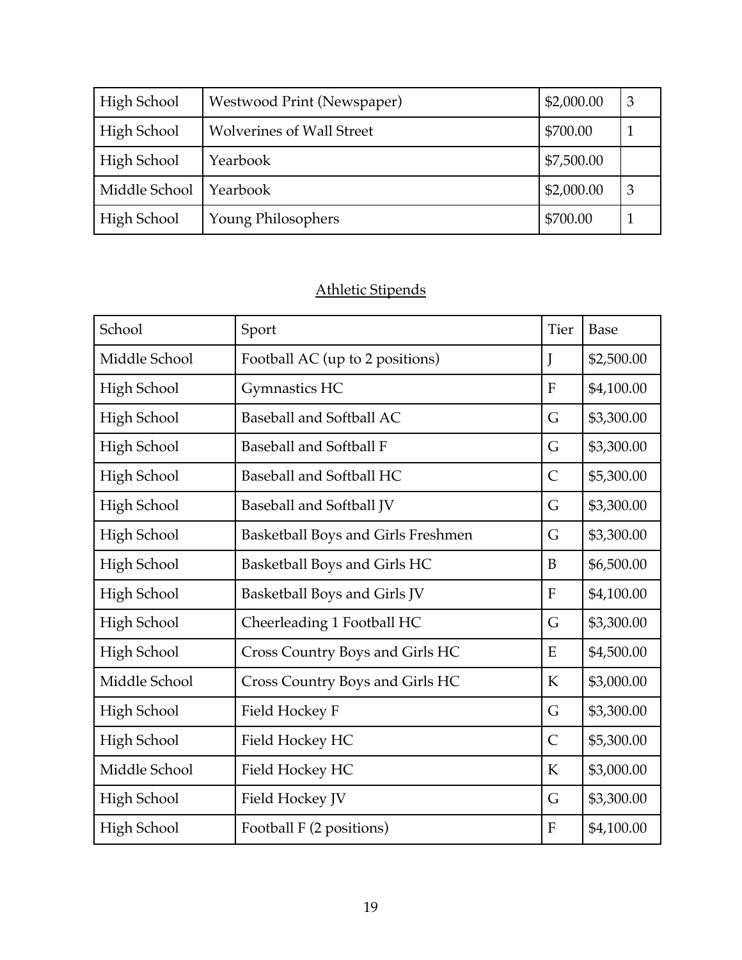| High School   | Westwood Print (Newspaper)       | \$2,000.00 | 3  |
|---------------|----------------------------------|------------|----|
| High School   | <b>Wolverines of Wall Street</b> | \$700.00   |    |
| High School   | Yearbook                         | \$7,500.00 |    |
| Middle School | Yearbook                         | \$2,000.00 | -3 |
| High School   | Young Philosophers               | \$700.00   |    |

# Athletic Stipends

| School             | Sport                              | Tier           | <b>Base</b> |
|--------------------|------------------------------------|----------------|-------------|
| Middle School      | Football AC (up to 2 positions)    | J              | \$2,500.00  |
| High School        | Gymnastics HC                      | $\mathbf F$    | \$4,100.00  |
| High School        | Baseball and Softball AC           | G              | \$3,300.00  |
| High School        | <b>Baseball and Softball F</b>     | G              | \$3,300.00  |
| High School        | Baseball and Softball HC           | $\overline{C}$ | \$5,300.00  |
| High School        | Baseball and Softball JV           | G              | \$3,300.00  |
| High School        | Basketball Boys and Girls Freshmen | G              | \$3,300.00  |
| <b>High School</b> | Basketball Boys and Girls HC       | B              | \$6,500.00  |
| High School        | Basketball Boys and Girls JV       | ${\bf F}$      | \$4,100.00  |
| High School        | Cheerleading 1 Football HC         | G              | \$3,300.00  |
| High School        | Cross Country Boys and Girls HC    | E              | \$4,500.00  |
| Middle School      | Cross Country Boys and Girls HC    | K              | \$3,000.00  |
| High School        | Field Hockey F                     | G              | \$3,300.00  |
| <b>High School</b> | Field Hockey HC                    | $\overline{C}$ | \$5,300.00  |
| Middle School      | Field Hockey HC                    | $\mathbf K$    | \$3,000.00  |
| High School        | Field Hockey JV                    | G              | \$3,300.00  |
| High School        | Football F (2 positions)           | F              | \$4,100.00  |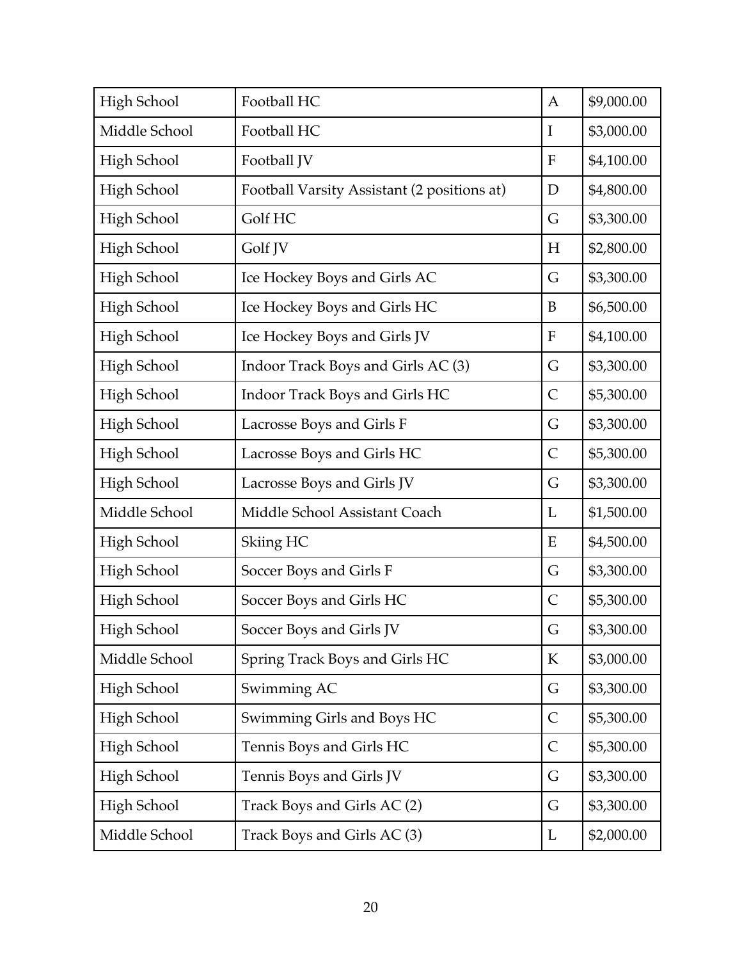| High School        | Football HC                                 | A            | \$9,000.00 |
|--------------------|---------------------------------------------|--------------|------------|
| Middle School      | Football HC                                 | $\bf{I}$     | \$3,000.00 |
| <b>High School</b> | Football JV                                 | $\mathbf{F}$ | \$4,100.00 |
| <b>High School</b> | Football Varsity Assistant (2 positions at) | D            | \$4,800.00 |
| High School        | Golf HC                                     | G            | \$3,300.00 |
| <b>High School</b> | Golf JV                                     | H            | \$2,800.00 |
| <b>High School</b> | Ice Hockey Boys and Girls AC                | G            | \$3,300.00 |
| High School        | Ice Hockey Boys and Girls HC                | B            | \$6,500.00 |
| High School        | Ice Hockey Boys and Girls JV                | $\mathbf{F}$ | \$4,100.00 |
| <b>High School</b> | Indoor Track Boys and Girls AC (3)          | G            | \$3,300.00 |
| High School        | Indoor Track Boys and Girls HC              | $\mathsf{C}$ | \$5,300.00 |
| High School        | Lacrosse Boys and Girls F                   | G            | \$3,300.00 |
| High School        | Lacrosse Boys and Girls HC                  | $\mathsf{C}$ | \$5,300.00 |
| High School        | Lacrosse Boys and Girls JV                  | G            | \$3,300.00 |
| Middle School      | Middle School Assistant Coach               | L            | \$1,500.00 |
| <b>High School</b> | Skiing HC                                   | E            | \$4,500.00 |
| High School        | Soccer Boys and Girls F                     | G            | \$3,300.00 |
| High School        | Soccer Boys and Girls HC                    | $\mathsf{C}$ | \$5,300.00 |
| High School        | Soccer Boys and Girls JV                    | G            | \$3,300.00 |
| Middle School      | Spring Track Boys and Girls HC              | K            | \$3,000.00 |
| <b>High School</b> | Swimming AC                                 | G            | \$3,300.00 |
| High School        | Swimming Girls and Boys HC                  | $\mathsf{C}$ | \$5,300.00 |
| High School        | Tennis Boys and Girls HC                    | $\mathsf{C}$ | \$5,300.00 |
| High School        | Tennis Boys and Girls JV                    | G            | \$3,300.00 |
| High School        | Track Boys and Girls AC (2)                 | G            | \$3,300.00 |
| Middle School      | Track Boys and Girls AC (3)                 | L            | \$2,000.00 |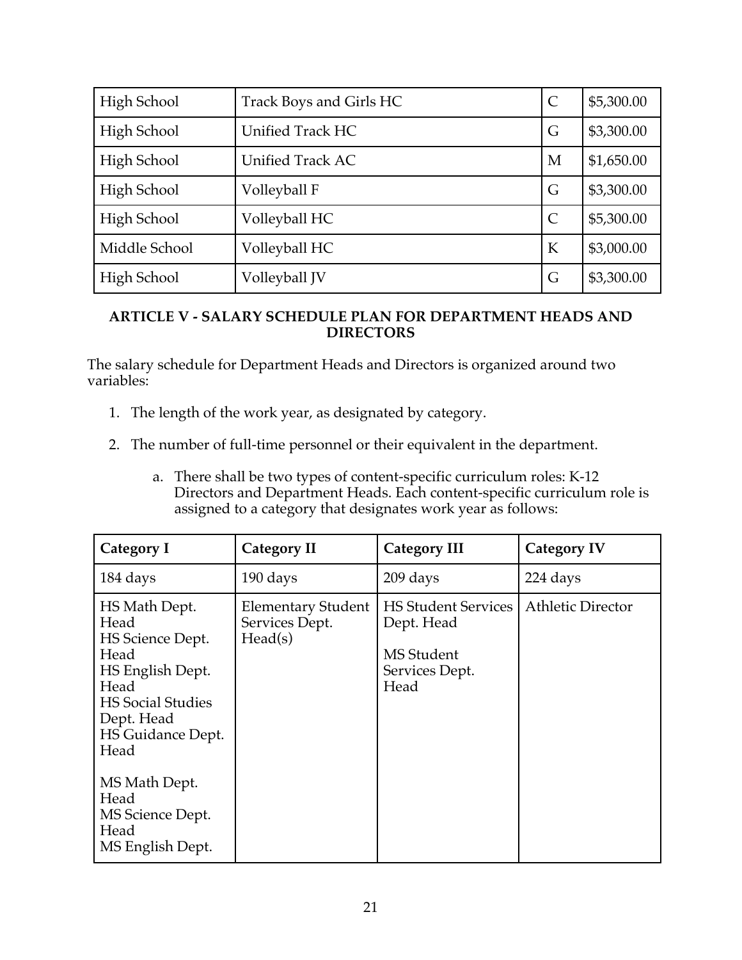| High School   | Track Boys and Girls HC | $\mathcal{C}$ | \$5,300.00 |
|---------------|-------------------------|---------------|------------|
| High School   | <b>Unified Track HC</b> | G             | \$3,300.00 |
| High School   | <b>Unified Track AC</b> | M             | \$1,650.00 |
| High School   | Volleyball F            | G             | \$3,300.00 |
| High School   | Volleyball HC           | $\mathcal{C}$ | \$5,300.00 |
| Middle School | Volleyball HC           | K             | \$3,000.00 |
| High School   | Volleyball JV           | G             | \$3,300.00 |

## **ARTICLE V - SALARY SCHEDULE PLAN FOR DEPARTMENT HEADS AND DIRECTORS**

The salary schedule for Department Heads and Directors is organized around two variables:

- 1. The length of the work year, as designated by category.
- 2. The number of full-time personnel or their equivalent in the department.
	- a. There shall be two types of content-specific curriculum roles: K-12 Directors and Department Heads. Each content-specific curriculum role is assigned to a category that designates work year as follows:

| <b>Category I</b>                                                                                                                                    | <b>Category II</b>                                     | <b>Category III</b>                                                                     | <b>Category IV</b>       |
|------------------------------------------------------------------------------------------------------------------------------------------------------|--------------------------------------------------------|-----------------------------------------------------------------------------------------|--------------------------|
| 184 days                                                                                                                                             | 190 days                                               | 209 days                                                                                | 224 days                 |
| HS Math Dept.<br>Head<br>HS Science Dept.<br>Head<br>HS English Dept.<br>Head<br><b>HS</b> Social Studies<br>Dept. Head<br>HS Guidance Dept.<br>Head | <b>Elementary Student</b><br>Services Dept.<br>Head(s) | <b>HS Student Services</b><br>Dept. Head<br><b>MS</b> Student<br>Services Dept.<br>Head | <b>Athletic Director</b> |
| MS Math Dept.<br>Head<br>MS Science Dept.<br>Head<br>MS English Dept.                                                                                |                                                        |                                                                                         |                          |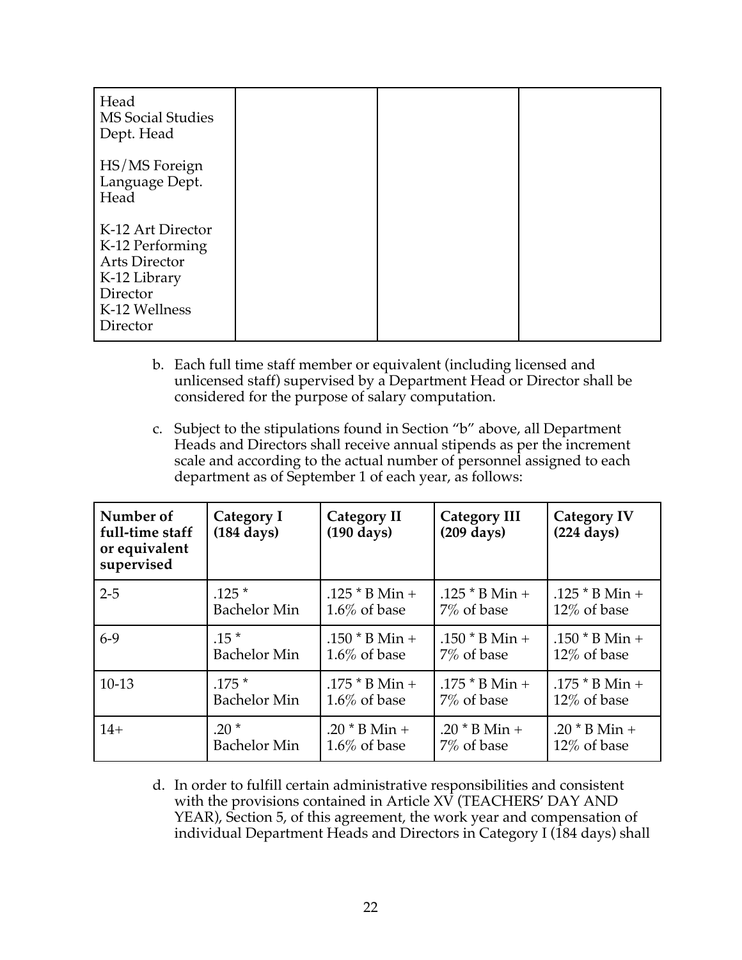| Head<br><b>MS Social Studies</b><br>Dept. Head                                                                        |  |  |
|-----------------------------------------------------------------------------------------------------------------------|--|--|
| HS/MS Foreign<br>Language Dept.<br>Head                                                                               |  |  |
| K-12 Art Director<br>K-12 Performing<br><b>Arts Director</b><br>K-12 Library<br>Director<br>K-12 Wellness<br>Director |  |  |

- b. Each full time staff member or equivalent (including licensed and unlicensed staff) supervised by a Department Head or Director shall be considered for the purpose of salary computation.
- c. Subject to the stipulations found in Section "b" above, all Department Heads and Directors shall receive annual stipends as per the increment scale and according to the actual number of personnel assigned to each department as of September 1 of each year, as follows:

| Number of<br>full-time staff<br>or equivalent<br>supervised | Category I<br>$(184 \text{ days})$ | Category II<br>$(190 \text{ days})$ | <b>Category III</b><br>$(209 \text{ days})$ | <b>Category IV</b><br>$(224 \text{ days})$ |
|-------------------------------------------------------------|------------------------------------|-------------------------------------|---------------------------------------------|--------------------------------------------|
| $2 - 5$                                                     | $.125*$                            | .125 $*$ B Min +                    | .125 $*$ B Min +                            | .125 $*$ B Min +                           |
|                                                             | <b>Bachelor Min</b>                | $1.6\%$ of base                     | 7\% of base                                 | $12\%$ of base                             |
| $6-9$                                                       | $.15*$                             | .150 $*$ B Min +                    | .150 $*$ B Min +                            | .150 $*$ B Min +                           |
|                                                             | <b>Bachelor Min</b>                | $1.6\%$ of base                     | 7% of base                                  | $12\%$ of base                             |
| $10-13$                                                     | $.175*$                            | .175 $*$ B Min +                    | $.175 * B$ Min +                            | .175 $*$ B Min +                           |
|                                                             | <b>Bachelor Min</b>                | $1.6\%$ of base                     | 7% of base                                  | $12\%$ of base                             |
| $14+$                                                       | $.20*$                             | .20 $*$ B Min +                     | .20 $*$ B Min +                             | .20 $*$ B Min +                            |
|                                                             | <b>Bachelor Min</b>                | $1.6\%$ of base                     | 7% of base                                  | $12\%$ of base                             |

d. In order to fulfill certain administrative responsibilities and consistent with the provisions contained in Article XV (TEACHERS' DAY AND YEAR), Section 5, of this agreement, the work year and compensation of individual Department Heads and Directors in Category I (184 days) shall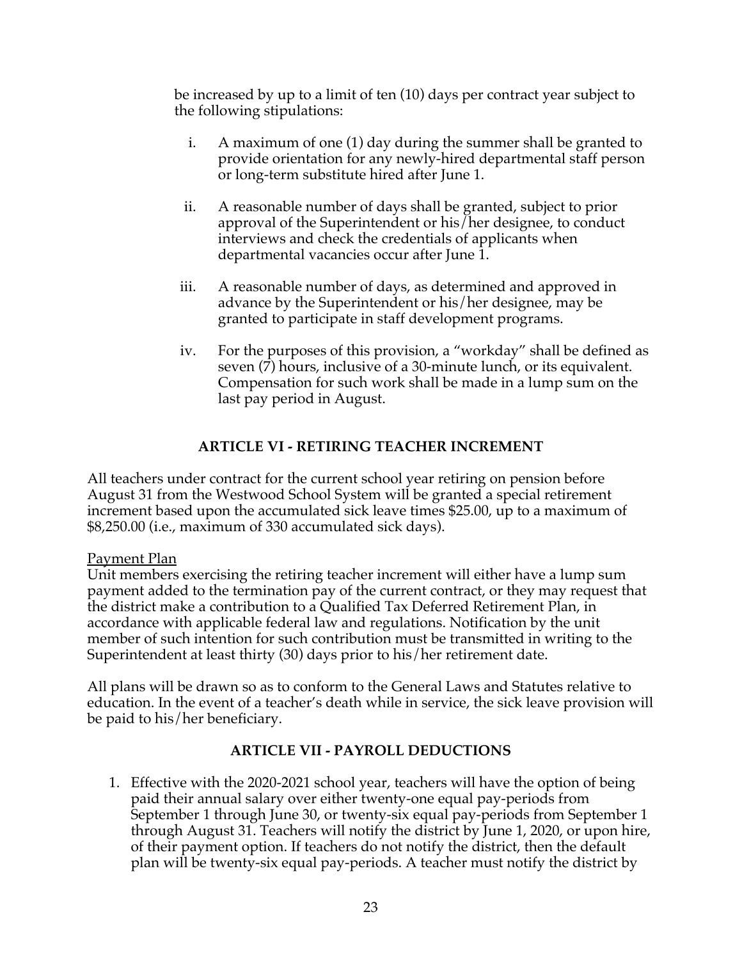be increased by up to a limit of ten (10) days per contract year subject to the following stipulations:

- i. A maximum of one (1) day during the summer shall be granted to provide orientation for any newly-hired departmental staff person or long-term substitute hired after June 1.
- ii. A reasonable number of days shall be granted, subject to prior approval of the Superintendent or his/her designee, to conduct interviews and check the credentials of applicants when departmental vacancies occur after June 1.
- iii. A reasonable number of days, as determined and approved in advance by the Superintendent or his/her designee, may be granted to participate in staff development programs.
- iv. For the purposes of this provision, a "workday" shall be defined as seven (7) hours, inclusive of a 30-minute lunch, or its equivalent. Compensation for such work shall be made in a lump sum on the last pay period in August.

## **ARTICLE VI - RETIRING TEACHER INCREMENT**

All teachers under contract for the current school year retiring on pension before August 31 from the Westwood School System will be granted a special retirement increment based upon the accumulated sick leave times \$25.00, up to a maximum of \$8,250.00 (i.e., maximum of 330 accumulated sick days).

#### Payment Plan

Unit members exercising the retiring teacher increment will either have a lump sum payment added to the termination pay of the current contract, or they may request that the district make a contribution to a Qualified Tax Deferred Retirement Plan, in accordance with applicable federal law and regulations. Notification by the unit member of such intention for such contribution must be transmitted in writing to the Superintendent at least thirty (30) days prior to his/her retirement date.

All plans will be drawn so as to conform to the General Laws and Statutes relative to education. In the event of a teacher's death while in service, the sick leave provision will be paid to his/her beneficiary.

#### **ARTICLE VII - PAYROLL DEDUCTIONS**

1. Effective with the 2020-2021 school year, teachers will have the option of being paid their annual salary over either twenty-one equal pay-periods from September 1 through June 30, or twenty-six equal pay-periods from September 1 through August 31. Teachers will notify the district by June 1, 2020, or upon hire, of their payment option. If teachers do not notify the district, then the default plan will be twenty-six equal pay-periods. A teacher must notify the district by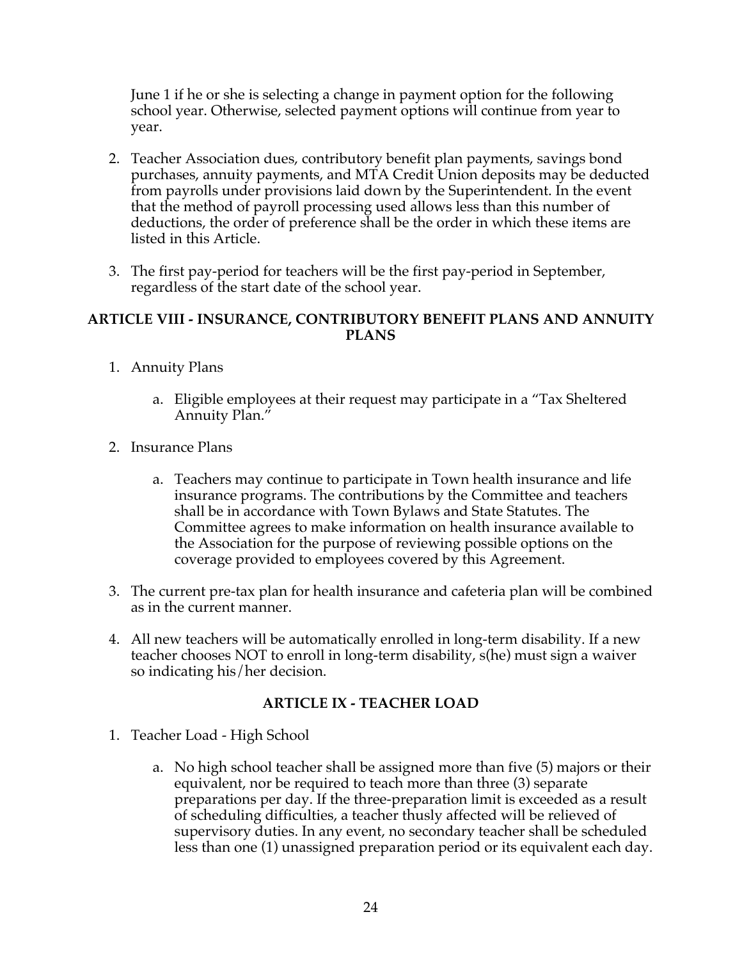June 1 if he or she is selecting a change in payment option for the following school year. Otherwise, selected payment options will continue from year to year.

- 2. Teacher Association dues, contributory benefit plan payments, savings bond purchases, annuity payments, and MTA Credit Union deposits may be deducted from payrolls under provisions laid down by the Superintendent. In the event that the method of payroll processing used allows less than this number of deductions, the order of preference shall be the order in which these items are listed in this Article.
- 3. The first pay-period for teachers will be the first pay-period in September, regardless of the start date of the school year.

#### **ARTICLE VIII - INSURANCE, CONTRIBUTORY BENEFIT PLANS AND ANNUITY PLANS**

- 1. Annuity Plans
	- a. Eligible employees at their request may participate in a "Tax Sheltered Annuity Plan."
- 2. Insurance Plans
	- a. Teachers may continue to participate in Town health insurance and life insurance programs. The contributions by the Committee and teachers shall be in accordance with Town Bylaws and State Statutes. The Committee agrees to make information on health insurance available to the Association for the purpose of reviewing possible options on the coverage provided to employees covered by this Agreement.
- 3. The current pre-tax plan for health insurance and cafeteria plan will be combined as in the current manner.
- 4. All new teachers will be automatically enrolled in long-term disability. If a new teacher chooses NOT to enroll in long-term disability, s(he) must sign a waiver so indicating his/her decision.

#### **ARTICLE IX - TEACHER LOAD**

- 1. Teacher Load High School
	- a. No high school teacher shall be assigned more than five (5) majors or their equivalent, nor be required to teach more than three (3) separate preparations per day. If the three-preparation limit is exceeded as a result of scheduling difficulties, a teacher thusly affected will be relieved of supervisory duties. In any event, no secondary teacher shall be scheduled less than one (1) unassigned preparation period or its equivalent each day.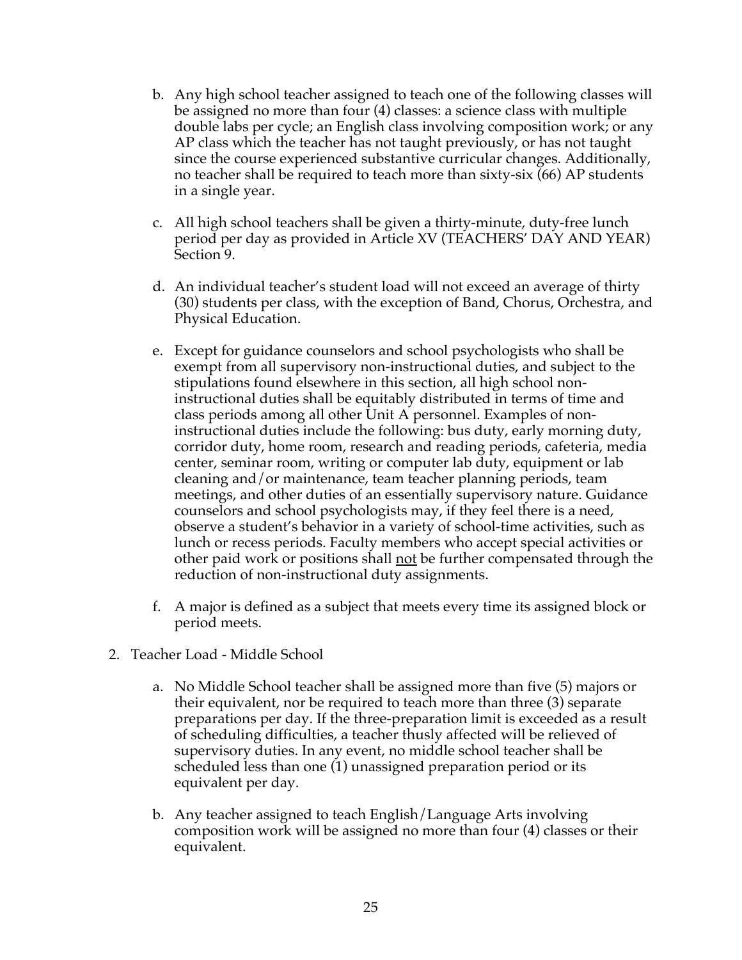- b. Any high school teacher assigned to teach one of the following classes will be assigned no more than four (4) classes: a science class with multiple double labs per cycle; an English class involving composition work; or any AP class which the teacher has not taught previously, or has not taught since the course experienced substantive curricular changes. Additionally, no teacher shall be required to teach more than sixty-six (66) AP students in a single year.
- c. All high school teachers shall be given a thirty-minute, duty-free lunch period per day as provided in Article XV (TEACHERS' DAY AND YEAR) Section 9.
- d. An individual teacher's student load will not exceed an average of thirty (30) students per class, with the exception of Band, Chorus, Orchestra, and Physical Education.
- e. Except for guidance counselors and school psychologists who shall be exempt from all supervisory non-instructional duties, and subject to the stipulations found elsewhere in this section, all high school noninstructional duties shall be equitably distributed in terms of time and class periods among all other Unit A personnel. Examples of noninstructional duties include the following: bus duty, early morning duty, corridor duty, home room, research and reading periods, cafeteria, media center, seminar room, writing or computer lab duty, equipment or lab cleaning and/or maintenance, team teacher planning periods, team meetings, and other duties of an essentially supervisory nature. Guidance counselors and school psychologists may, if they feel there is a need, observe a student's behavior in a variety of school-time activities, such as lunch or recess periods. Faculty members who accept special activities or other paid work or positions shall <u>not</u> be further compensated through the reduction of non-instructional duty assignments.
- f. A major is defined as a subject that meets every time its assigned block or period meets.
- 2. Teacher Load Middle School
	- a. No Middle School teacher shall be assigned more than five (5) majors or their equivalent, nor be required to teach more than three (3) separate preparations per day. If the three-preparation limit is exceeded as a result of scheduling difficulties, a teacher thusly affected will be relieved of supervisory duties. In any event, no middle school teacher shall be scheduled less than one (1) unassigned preparation period or its equivalent per day.
	- b. Any teacher assigned to teach English/Language Arts involving composition work will be assigned no more than four (4) classes or their equivalent.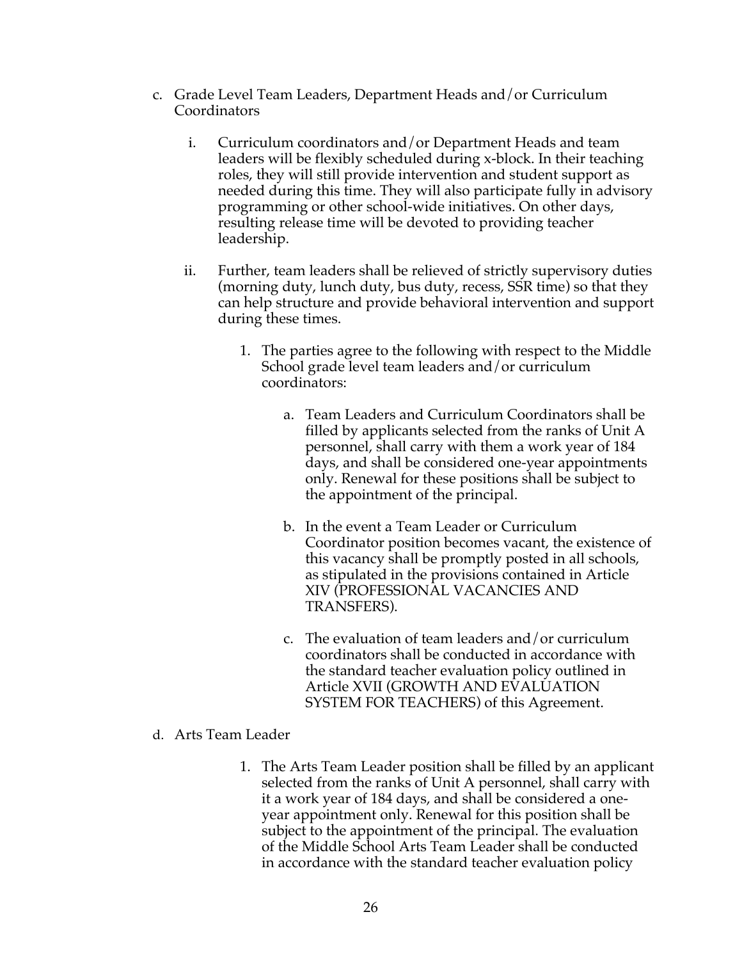- c. Grade Level Team Leaders, Department Heads and/or Curriculum **Coordinators** 
	- i. Curriculum coordinators and/or Department Heads and team leaders will be flexibly scheduled during x-block. In their teaching roles, they will still provide intervention and student support as needed during this time. They will also participate fully in advisory programming or other school-wide initiatives. On other days, resulting release time will be devoted to providing teacher leadership.
	- ii. Further, team leaders shall be relieved of strictly supervisory duties (morning duty, lunch duty, bus duty, recess, SSR time) so that they can help structure and provide behavioral intervention and support during these times.
		- 1. The parties agree to the following with respect to the Middle School grade level team leaders and/or curriculum coordinators:
			- a. Team Leaders and Curriculum Coordinators shall be filled by applicants selected from the ranks of Unit A personnel, shall carry with them a work year of 184 days, and shall be considered one-year appointments only. Renewal for these positions shall be subject to the appointment of the principal.
			- b. In the event a Team Leader or Curriculum Coordinator position becomes vacant, the existence of this vacancy shall be promptly posted in all schools, as stipulated in the provisions contained in Article XIV (PROFESSIONAL VACANCIES AND TRANSFERS).
			- c. The evaluation of team leaders and/or curriculum coordinators shall be conducted in accordance with the standard teacher evaluation policy outlined in Article XVII (GROWTH AND EVALUATION SYSTEM FOR TEACHERS) of this Agreement.
- d. Arts Team Leader
	- 1. The Arts Team Leader position shall be filled by an applicant selected from the ranks of Unit A personnel, shall carry with it a work year of 184 days, and shall be considered a oneyear appointment only. Renewal for this position shall be subject to the appointment of the principal. The evaluation of the Middle School Arts Team Leader shall be conducted in accordance with the standard teacher evaluation policy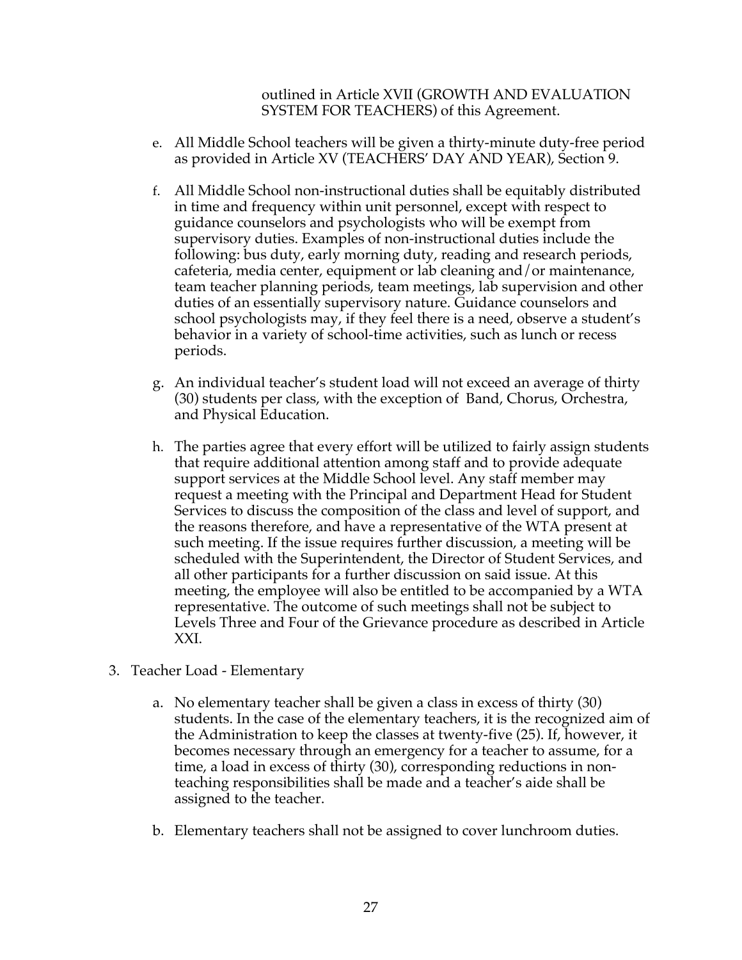outlined in Article XVII (GROWTH AND EVALUATION SYSTEM FOR TEACHERS) of this Agreement.

- e. All Middle School teachers will be given a thirty-minute duty-free period as provided in Article XV (TEACHERS' DAY AND YEAR), Section 9.
- f. All Middle School non-instructional duties shall be equitably distributed in time and frequency within unit personnel, except with respect to guidance counselors and psychologists who will be exempt from supervisory duties. Examples of non-instructional duties include the following: bus duty, early morning duty, reading and research periods, cafeteria, media center, equipment or lab cleaning and/or maintenance, team teacher planning periods, team meetings, lab supervision and other duties of an essentially supervisory nature. Guidance counselors and school psychologists may, if they feel there is a need, observe a student's behavior in a variety of school-time activities, such as lunch or recess periods.
- g. An individual teacher's student load will not exceed an average of thirty (30) students per class, with the exception of Band, Chorus, Orchestra, and Physical Education.
- h. The parties agree that every effort will be utilized to fairly assign students that require additional attention among staff and to provide adequate support services at the Middle School level. Any staff member may request a meeting with the Principal and Department Head for Student Services to discuss the composition of the class and level of support, and the reasons therefore, and have a representative of the WTA present at such meeting. If the issue requires further discussion, a meeting will be scheduled with the Superintendent, the Director of Student Services, and all other participants for a further discussion on said issue. At this meeting, the employee will also be entitled to be accompanied by a WTA representative. The outcome of such meetings shall not be subject to Levels Three and Four of the Grievance procedure as described in Article XXI.
- 3. Teacher Load Elementary
	- a. No elementary teacher shall be given a class in excess of thirty (30) students. In the case of the elementary teachers, it is the recognized aim of the Administration to keep the classes at twenty-five (25). If, however, it becomes necessary through an emergency for a teacher to assume, for a time, a load in excess of thirty (30), corresponding reductions in nonteaching responsibilities shall be made and a teacher's aide shall be assigned to the teacher.
	- b. Elementary teachers shall not be assigned to cover lunchroom duties.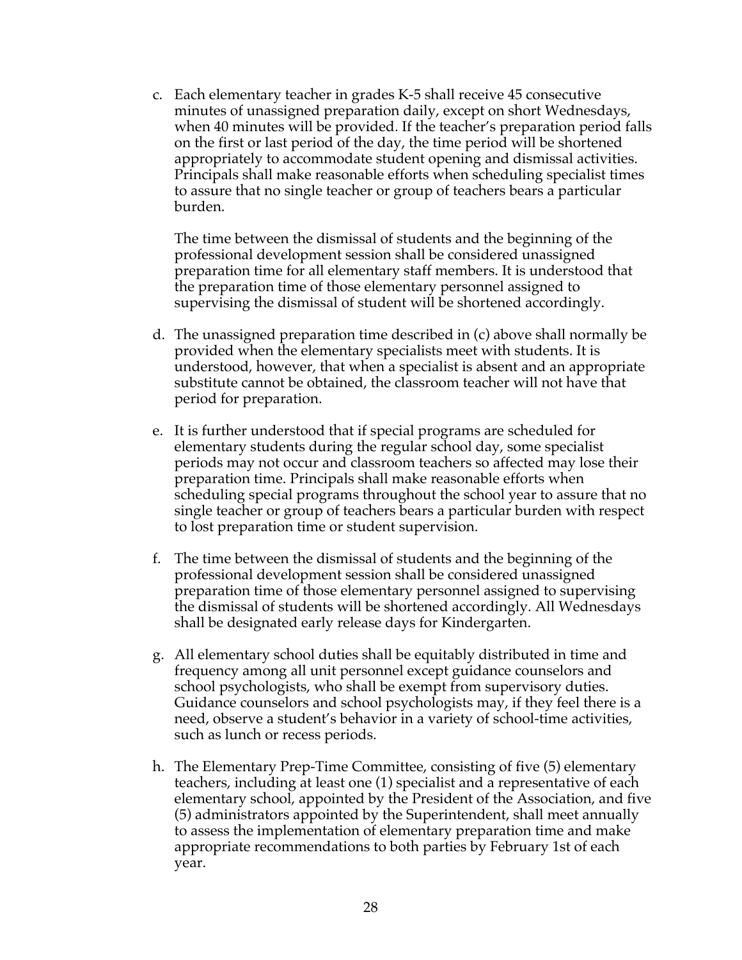c. Each elementary teacher in grades K-5 shall receive 45 consecutive minutes of unassigned preparation daily, except on short Wednesdays, when 40 minutes will be provided. If the teacher's preparation period falls on the first or last period of the day, the time period will be shortened appropriately to accommodate student opening and dismissal activities. Principals shall make reasonable efforts when scheduling specialist times to assure that no single teacher or group of teachers bears a particular burden.

The time between the dismissal of students and the beginning of the professional development session shall be considered unassigned preparation time for all elementary staff members. It is understood that the preparation time of those elementary personnel assigned to supervising the dismissal of student will be shortened accordingly.

- d. The unassigned preparation time described in (c) above shall normally be provided when the elementary specialists meet with students. It is understood, however, that when a specialist is absent and an appropriate substitute cannot be obtained, the classroom teacher will not have that period for preparation.
- e. It is further understood that if special programs are scheduled for elementary students during the regular school day, some specialist periods may not occur and classroom teachers so affected may lose their preparation time. Principals shall make reasonable efforts when scheduling special programs throughout the school year to assure that no single teacher or group of teachers bears a particular burden with respect to lost preparation time or student supervision.
- f. The time between the dismissal of students and the beginning of the professional development session shall be considered unassigned preparation time of those elementary personnel assigned to supervising the dismissal of students will be shortened accordingly. All Wednesdays shall be designated early release days for Kindergarten.
- g. All elementary school duties shall be equitably distributed in time and frequency among all unit personnel except guidance counselors and school psychologists, who shall be exempt from supervisory duties. Guidance counselors and school psychologists may, if they feel there is a need, observe a student's behavior in a variety of school-time activities, such as lunch or recess periods.
- h. The Elementary Prep-Time Committee, consisting of five (5) elementary teachers, including at least one (1) specialist and a representative of each elementary school, appointed by the President of the Association, and five (5) administrators appointed by the Superintendent, shall meet annually to assess the implementation of elementary preparation time and make appropriate recommendations to both parties by February 1st of each year.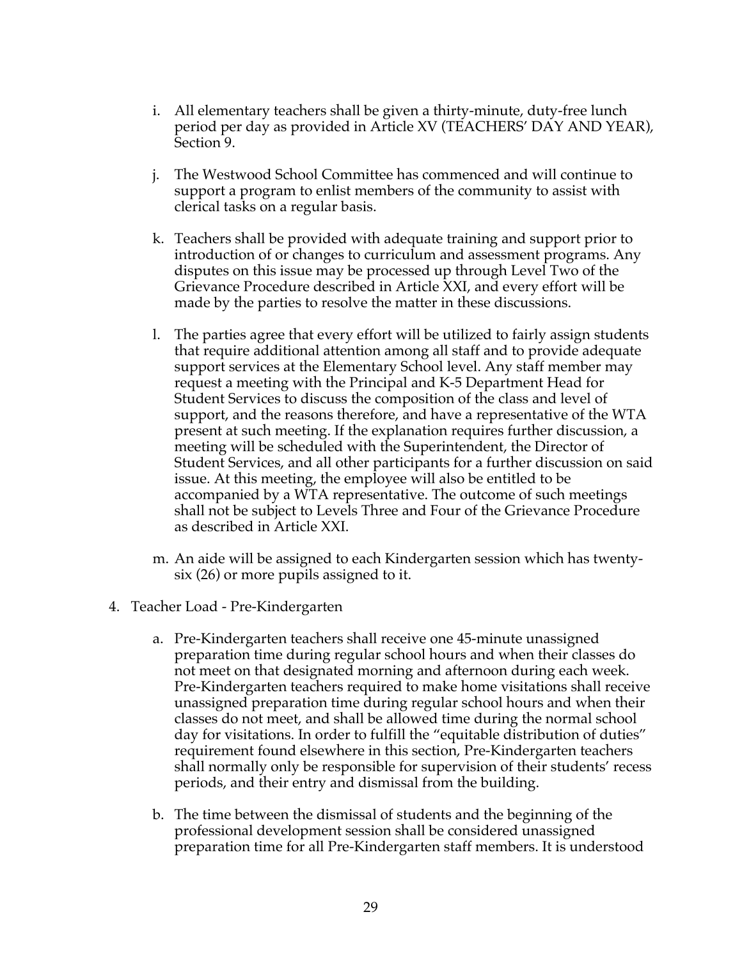- i. All elementary teachers shall be given a thirty-minute, duty-free lunch period per day as provided in Article XV (TEACHERS' DAY AND YEAR), Section 9.
- j. The Westwood School Committee has commenced and will continue to support a program to enlist members of the community to assist with clerical tasks on a regular basis.
- k. Teachers shall be provided with adequate training and support prior to introduction of or changes to curriculum and assessment programs. Any disputes on this issue may be processed up through Level Two of the Grievance Procedure described in Article XXI, and every effort will be made by the parties to resolve the matter in these discussions.
- l. The parties agree that every effort will be utilized to fairly assign students that require additional attention among all staff and to provide adequate support services at the Elementary School level. Any staff member may request a meeting with the Principal and K-5 Department Head for Student Services to discuss the composition of the class and level of support, and the reasons therefore, and have a representative of the WTA present at such meeting. If the explanation requires further discussion, a meeting will be scheduled with the Superintendent, the Director of Student Services, and all other participants for a further discussion on said issue. At this meeting, the employee will also be entitled to be accompanied by a WTA representative. The outcome of such meetings shall not be subject to Levels Three and Four of the Grievance Procedure as described in Article XXI.
- m. An aide will be assigned to each Kindergarten session which has twentysix (26) or more pupils assigned to it.
- 4. Teacher Load Pre-Kindergarten
	- a. Pre-Kindergarten teachers shall receive one 45-minute unassigned preparation time during regular school hours and when their classes do not meet on that designated morning and afternoon during each week. Pre-Kindergarten teachers required to make home visitations shall receive unassigned preparation time during regular school hours and when their classes do not meet, and shall be allowed time during the normal school day for visitations. In order to fulfill the "equitable distribution of duties" requirement found elsewhere in this section, Pre-Kindergarten teachers shall normally only be responsible for supervision of their students' recess periods, and their entry and dismissal from the building.
	- b. The time between the dismissal of students and the beginning of the professional development session shall be considered unassigned preparation time for all Pre-Kindergarten staff members. It is understood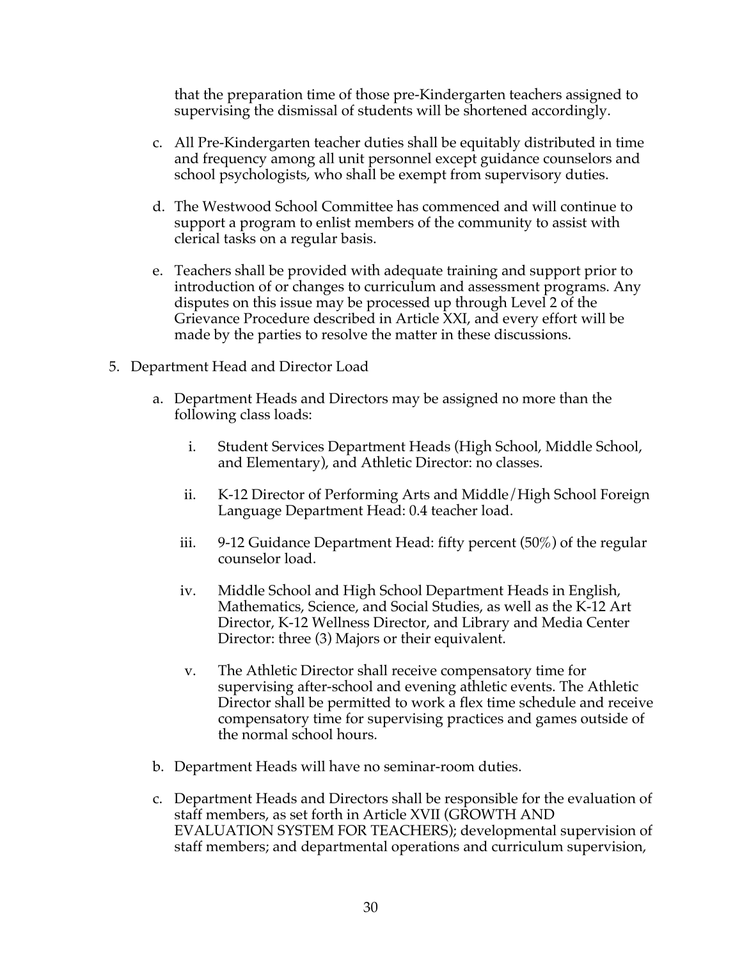that the preparation time of those pre-Kindergarten teachers assigned to supervising the dismissal of students will be shortened accordingly.

- c. All Pre-Kindergarten teacher duties shall be equitably distributed in time and frequency among all unit personnel except guidance counselors and school psychologists, who shall be exempt from supervisory duties.
- d. The Westwood School Committee has commenced and will continue to support a program to enlist members of the community to assist with clerical tasks on a regular basis.
- e. Teachers shall be provided with adequate training and support prior to introduction of or changes to curriculum and assessment programs. Any disputes on this issue may be processed up through Level 2 of the Grievance Procedure described in Article XXI, and every effort will be made by the parties to resolve the matter in these discussions.
- 5. Department Head and Director Load
	- a. Department Heads and Directors may be assigned no more than the following class loads:
		- i. Student Services Department Heads (High School, Middle School, and Elementary), and Athletic Director: no classes.
		- ii. K-12 Director of Performing Arts and Middle/High School Foreign Language Department Head: 0.4 teacher load.
		- iii. 9-12 Guidance Department Head: fifty percent (50%) of the regular counselor load.
		- iv. Middle School and High School Department Heads in English, Mathematics, Science, and Social Studies, as well as the K-12 Art Director, K-12 Wellness Director, and Library and Media Center Director: three (3) Majors or their equivalent.
		- v. The Athletic Director shall receive compensatory time for supervising after-school and evening athletic events. The Athletic Director shall be permitted to work a flex time schedule and receive compensatory time for supervising practices and games outside of the normal school hours.
	- b. Department Heads will have no seminar-room duties.
	- c. Department Heads and Directors shall be responsible for the evaluation of staff members, as set forth in Article XVII (GROWTH AND EVALUATION SYSTEM FOR TEACHERS); developmental supervision of staff members; and departmental operations and curriculum supervision,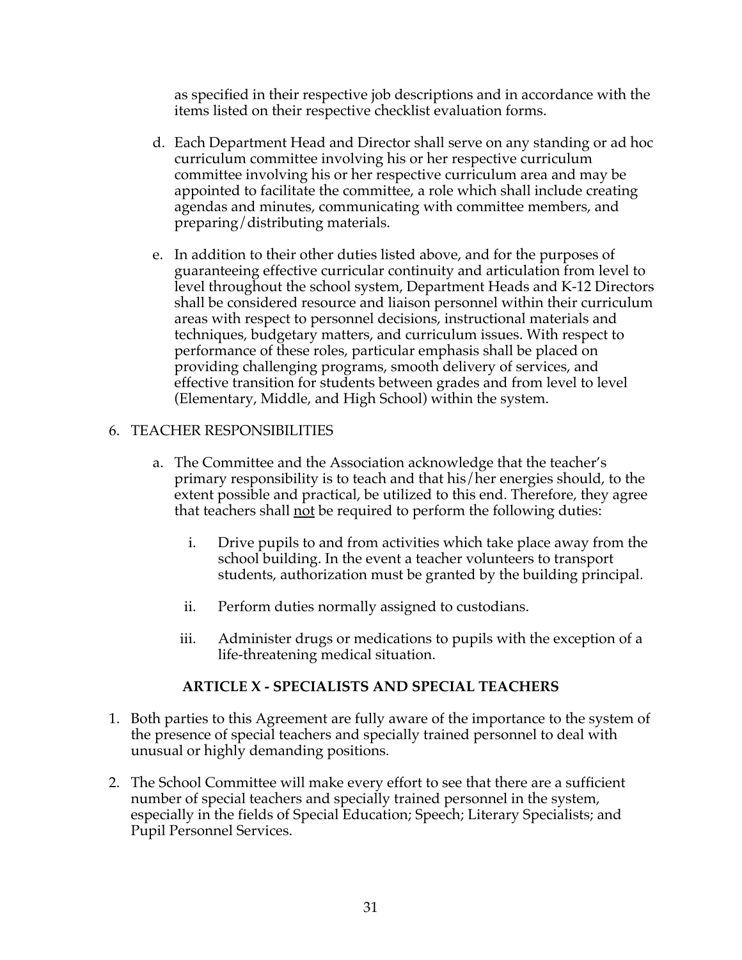as specified in their respective job descriptions and in accordance with the items listed on their respective checklist evaluation forms.

- d. Each Department Head and Director shall serve on any standing or ad hoc curriculum committee involving his or her respective curriculum committee involving his or her respective curriculum area and may be appointed to facilitate the committee, a role which shall include creating agendas and minutes, communicating with committee members, and preparing/distributing materials.
- e. In addition to their other duties listed above, and for the purposes of guaranteeing effective curricular continuity and articulation from level to level throughout the school system, Department Heads and K-12 Directors shall be considered resource and liaison personnel within their curriculum areas with respect to personnel decisions, instructional materials and techniques, budgetary matters, and curriculum issues. With respect to performance of these roles, particular emphasis shall be placed on providing challenging programs, smooth delivery of services, and effective transition for students between grades and from level to level (Elementary, Middle, and High School) within the system.

## 6. TEACHER RESPONSIBILITIES

- a. The Committee and the Association acknowledge that the teacher's primary responsibility is to teach and that his/her energies should, to the extent possible and practical, be utilized to this end. Therefore, they agree that teachers shall not be required to perform the following duties:
	- i. Drive pupils to and from activities which take place away from the school building. In the event a teacher volunteers to transport students, authorization must be granted by the building principal.
	- ii. Perform duties normally assigned to custodians.
	- iii. Administer drugs or medications to pupils with the exception of a life-threatening medical situation.

#### **ARTICLE X - SPECIALISTS AND SPECIAL TEACHERS**

- 1. Both parties to this Agreement are fully aware of the importance to the system of the presence of special teachers and specially trained personnel to deal with unusual or highly demanding positions.
- 2. The School Committee will make every effort to see that there are a sufficient number of special teachers and specially trained personnel in the system, especially in the fields of Special Education; Speech; Literary Specialists; and Pupil Personnel Services.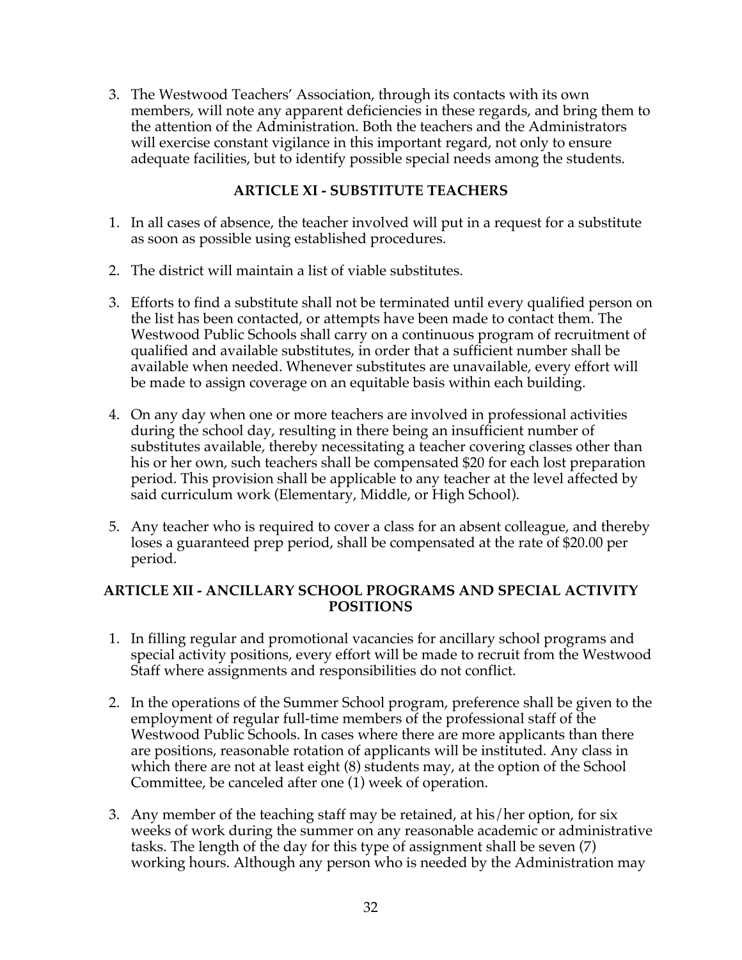3. The Westwood Teachers' Association, through its contacts with its own members, will note any apparent deficiencies in these regards, and bring them to the attention of the Administration. Both the teachers and the Administrators will exercise constant vigilance in this important regard, not only to ensure adequate facilities, but to identify possible special needs among the students.

## **ARTICLE XI - SUBSTITUTE TEACHERS**

- 1. In all cases of absence, the teacher involved will put in a request for a substitute as soon as possible using established procedures.
- 2. The district will maintain a list of viable substitutes.
- 3. Efforts to find a substitute shall not be terminated until every qualified person on the list has been contacted, or attempts have been made to contact them. The Westwood Public Schools shall carry on a continuous program of recruitment of qualified and available substitutes, in order that a sufficient number shall be available when needed. Whenever substitutes are unavailable, every effort will be made to assign coverage on an equitable basis within each building.
- 4. On any day when one or more teachers are involved in professional activities during the school day, resulting in there being an insufficient number of substitutes available, thereby necessitating a teacher covering classes other than his or her own, such teachers shall be compensated \$20 for each lost preparation period. This provision shall be applicable to any teacher at the level affected by said curriculum work (Elementary, Middle, or High School).
- 5. Any teacher who is required to cover a class for an absent colleague, and thereby loses a guaranteed prep period, shall be compensated at the rate of \$20.00 per period.

## **ARTICLE XII - ANCILLARY SCHOOL PROGRAMS AND SPECIAL ACTIVITY POSITIONS**

- 1. In filling regular and promotional vacancies for ancillary school programs and special activity positions, every effort will be made to recruit from the Westwood Staff where assignments and responsibilities do not conflict.
- 2. In the operations of the Summer School program, preference shall be given to the employment of regular full-time members of the professional staff of the Westwood Public Schools. In cases where there are more applicants than there are positions, reasonable rotation of applicants will be instituted. Any class in which there are not at least eight (8) students may, at the option of the School Committee, be canceled after one (1) week of operation.
- 3. Any member of the teaching staff may be retained, at his/her option, for six weeks of work during the summer on any reasonable academic or administrative tasks. The length of the day for this type of assignment shall be seven (7) working hours. Although any person who is needed by the Administration may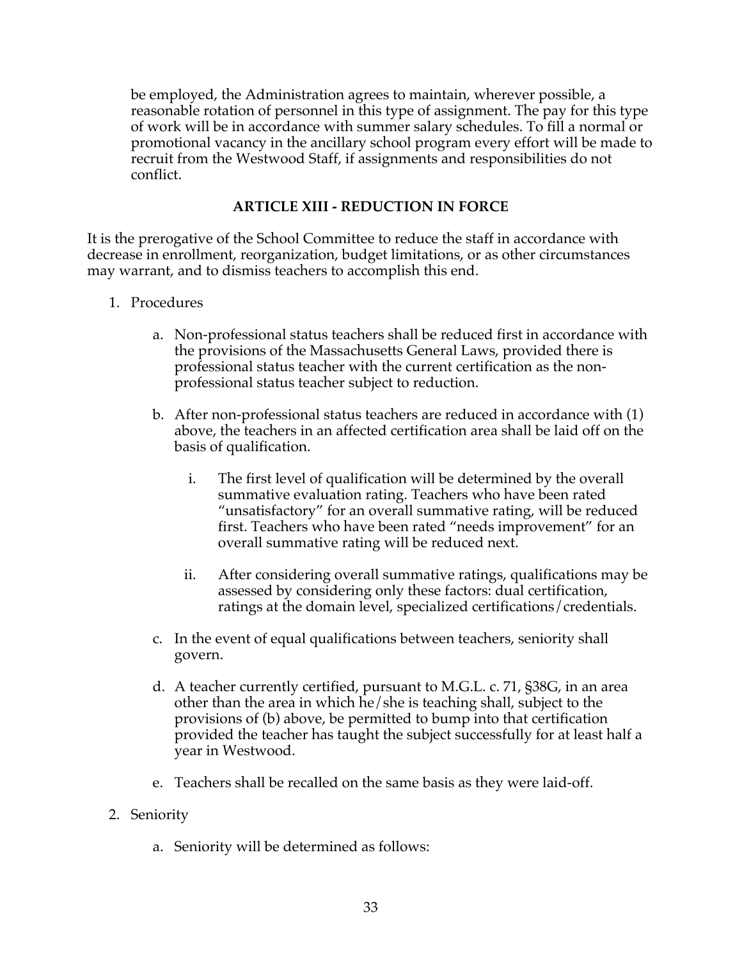be employed, the Administration agrees to maintain, wherever possible, a reasonable rotation of personnel in this type of assignment. The pay for this type of work will be in accordance with summer salary schedules. To fill a normal or promotional vacancy in the ancillary school program every effort will be made to recruit from the Westwood Staff, if assignments and responsibilities do not conflict.

## **ARTICLE XIII - REDUCTION IN FORCE**

It is the prerogative of the School Committee to reduce the staff in accordance with decrease in enrollment, reorganization, budget limitations, or as other circumstances may warrant, and to dismiss teachers to accomplish this end.

- 1. Procedures
	- a. Non-professional status teachers shall be reduced first in accordance with the provisions of the Massachusetts General Laws, provided there is professional status teacher with the current certification as the nonprofessional status teacher subject to reduction.
	- b. After non-professional status teachers are reduced in accordance with (1) above, the teachers in an affected certification area shall be laid off on the basis of qualification.
		- i. The first level of qualification will be determined by the overall summative evaluation rating. Teachers who have been rated "unsatisfactory" for an overall summative rating, will be reduced first. Teachers who have been rated "needs improvement" for an overall summative rating will be reduced next.
		- ii. After considering overall summative ratings, qualifications may be assessed by considering only these factors: dual certification, ratings at the domain level, specialized certifications/credentials.
	- c. In the event of equal qualifications between teachers, seniority shall govern.
	- d. A teacher currently certified, pursuant to M.G.L. c. 71, §38G, in an area other than the area in which he/she is teaching shall, subject to the provisions of (b) above, be permitted to bump into that certification provided the teacher has taught the subject successfully for at least half a year in Westwood.
	- e. Teachers shall be recalled on the same basis as they were laid-off.

#### 2. Seniority

a. Seniority will be determined as follows: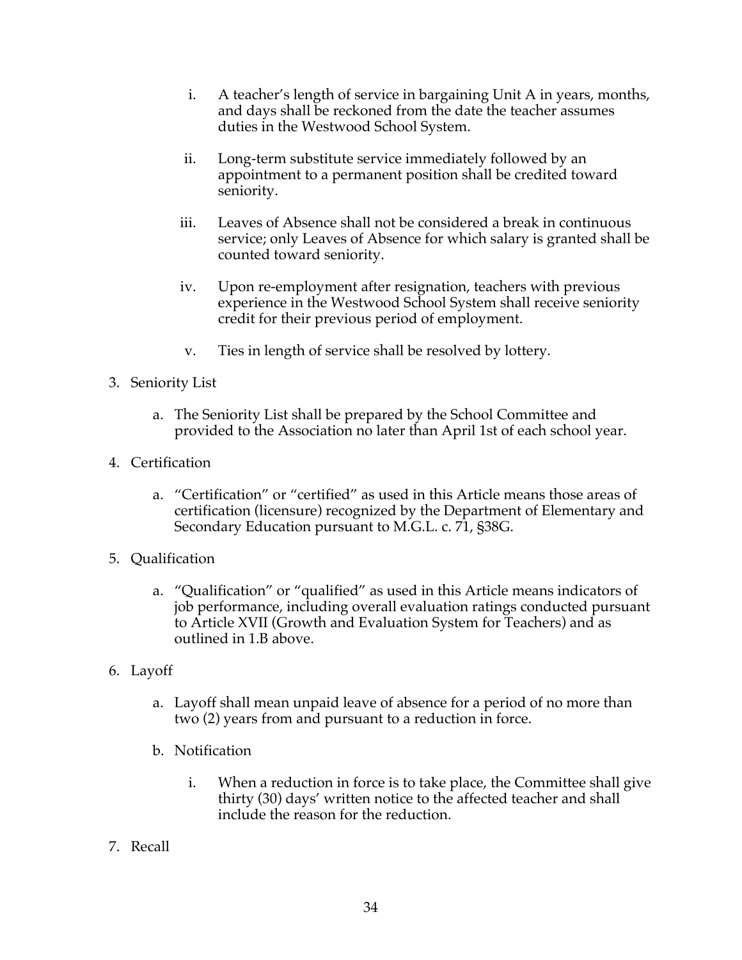- i. A teacher's length of service in bargaining Unit A in years, months, and days shall be reckoned from the date the teacher assumes duties in the Westwood School System.
- ii. Long-term substitute service immediately followed by an appointment to a permanent position shall be credited toward seniority.
- iii. Leaves of Absence shall not be considered a break in continuous service; only Leaves of Absence for which salary is granted shall be counted toward seniority.
- iv. Upon re-employment after resignation, teachers with previous experience in the Westwood School System shall receive seniority credit for their previous period of employment.
- v. Ties in length of service shall be resolved by lottery.
- 3. Seniority List
	- a. The Seniority List shall be prepared by the School Committee and provided to the Association no later than April 1st of each school year.
- 4. Certification
	- a. "Certification" or "certified" as used in this Article means those areas of certification (licensure) recognized by the Department of Elementary and Secondary Education pursuant to M.G.L. c. 71, §38G.
- 5. Qualification
	- a. "Qualification" or "qualified" as used in this Article means indicators of job performance, including overall evaluation ratings conducted pursuant to Article XVII (Growth and Evaluation System for Teachers) and as outlined in 1.B above.
- 6. Layoff
	- a. Layoff shall mean unpaid leave of absence for a period of no more than two (2) years from and pursuant to a reduction in force.
	- b. Notification
		- i. When a reduction in force is to take place, the Committee shall give thirty (30) days' written notice to the affected teacher and shall include the reason for the reduction.
- 7. Recall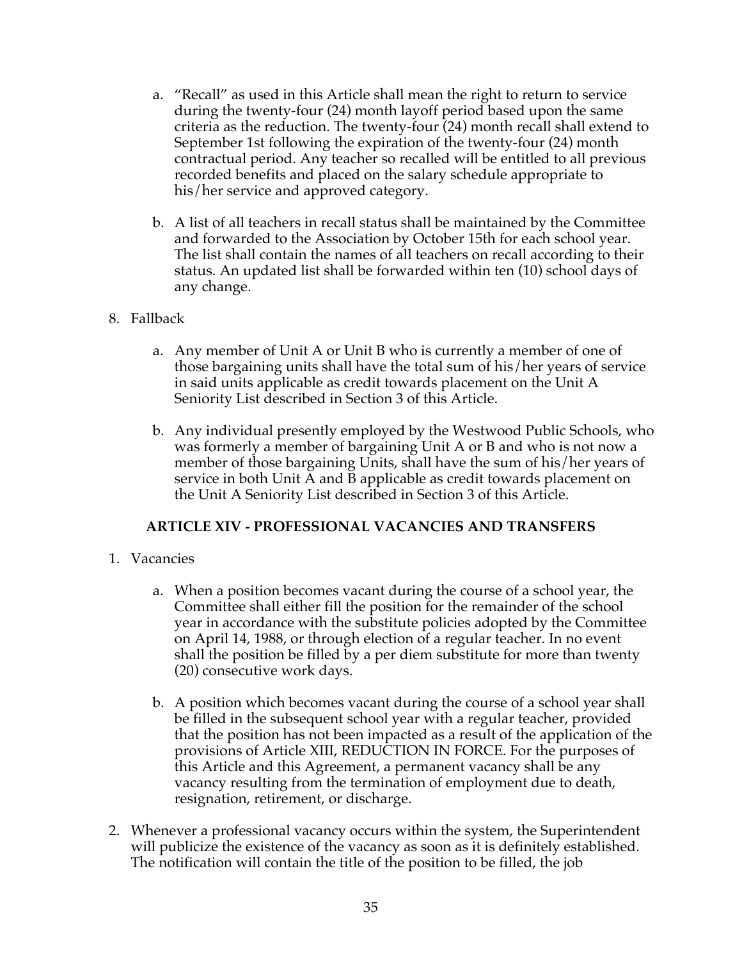- a. "Recall" as used in this Article shall mean the right to return to service during the twenty-four (24) month layoff period based upon the same criteria as the reduction. The twenty-four (24) month recall shall extend to September 1st following the expiration of the twenty-four (24) month contractual period. Any teacher so recalled will be entitled to all previous recorded benefits and placed on the salary schedule appropriate to his/her service and approved category.
- b. A list of all teachers in recall status shall be maintained by the Committee and forwarded to the Association by October 15th for each school year. The list shall contain the names of all teachers on recall according to their status. An updated list shall be forwarded within ten (10) school days of any change.

#### 8. Fallback

- a. Any member of Unit A or Unit B who is currently a member of one of those bargaining units shall have the total sum of his/her years of service in said units applicable as credit towards placement on the Unit A Seniority List described in Section 3 of this Article.
- b. Any individual presently employed by the Westwood Public Schools, who was formerly a member of bargaining Unit A or B and who is not now a member of those bargaining Units, shall have the sum of his/her years of service in both Unit A and B applicable as credit towards placement on the Unit A Seniority List described in Section 3 of this Article.

#### **ARTICLE XIV - PROFESSIONAL VACANCIES AND TRANSFERS**

- 1. Vacancies
	- a. When a position becomes vacant during the course of a school year, the Committee shall either fill the position for the remainder of the school year in accordance with the substitute policies adopted by the Committee on April 14, 1988, or through election of a regular teacher. In no event shall the position be filled by a per diem substitute for more than twenty (20) consecutive work days.
	- b. A position which becomes vacant during the course of a school year shall be filled in the subsequent school year with a regular teacher, provided that the position has not been impacted as a result of the application of the provisions of Article XIII, REDUCTION IN FORCE. For the purposes of this Article and this Agreement, a permanent vacancy shall be any vacancy resulting from the termination of employment due to death, resignation, retirement, or discharge.
- 2. Whenever a professional vacancy occurs within the system, the Superintendent will publicize the existence of the vacancy as soon as it is definitely established. The notification will contain the title of the position to be filled, the job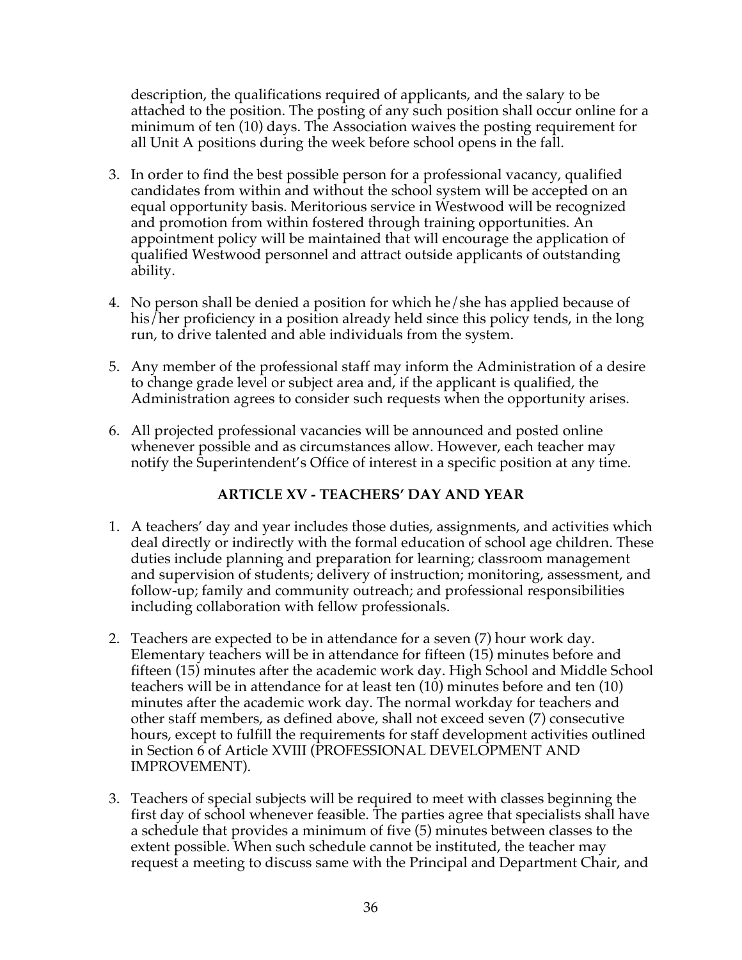description, the qualifications required of applicants, and the salary to be attached to the position. The posting of any such position shall occur online for a minimum of ten (10) days. The Association waives the posting requirement for all Unit A positions during the week before school opens in the fall.

- 3. In order to find the best possible person for a professional vacancy, qualified candidates from within and without the school system will be accepted on an equal opportunity basis. Meritorious service in Westwood will be recognized and promotion from within fostered through training opportunities. An appointment policy will be maintained that will encourage the application of qualified Westwood personnel and attract outside applicants of outstanding ability.
- 4. No person shall be denied a position for which he/she has applied because of his/her proficiency in a position already held since this policy tends, in the long run, to drive talented and able individuals from the system.
- 5. Any member of the professional staff may inform the Administration of a desire to change grade level or subject area and, if the applicant is qualified, the Administration agrees to consider such requests when the opportunity arises.
- 6. All projected professional vacancies will be announced and posted online whenever possible and as circumstances allow. However, each teacher may notify the Superintendent's Office of interest in a specific position at any time.

## **ARTICLE XV - TEACHERS' DAY AND YEAR**

- 1. A teachers' day and year includes those duties, assignments, and activities which deal directly or indirectly with the formal education of school age children. These duties include planning and preparation for learning; classroom management and supervision of students; delivery of instruction; monitoring, assessment, and follow-up; family and community outreach; and professional responsibilities including collaboration with fellow professionals.
- 2. Teachers are expected to be in attendance for a seven (7) hour work day. Elementary teachers will be in attendance for fifteen (15) minutes before and fifteen (15) minutes after the academic work day. High School and Middle School teachers will be in attendance for at least ten (10) minutes before and ten (10) minutes after the academic work day. The normal workday for teachers and other staff members, as defined above, shall not exceed seven (7) consecutive hours, except to fulfill the requirements for staff development activities outlined in Section 6 of Article XVIII (PROFESSIONAL DEVELOPMENT AND IMPROVEMENT).
- 3. Teachers of special subjects will be required to meet with classes beginning the first day of school whenever feasible. The parties agree that specialists shall have a schedule that provides a minimum of five (5) minutes between classes to the extent possible. When such schedule cannot be instituted, the teacher may request a meeting to discuss same with the Principal and Department Chair, and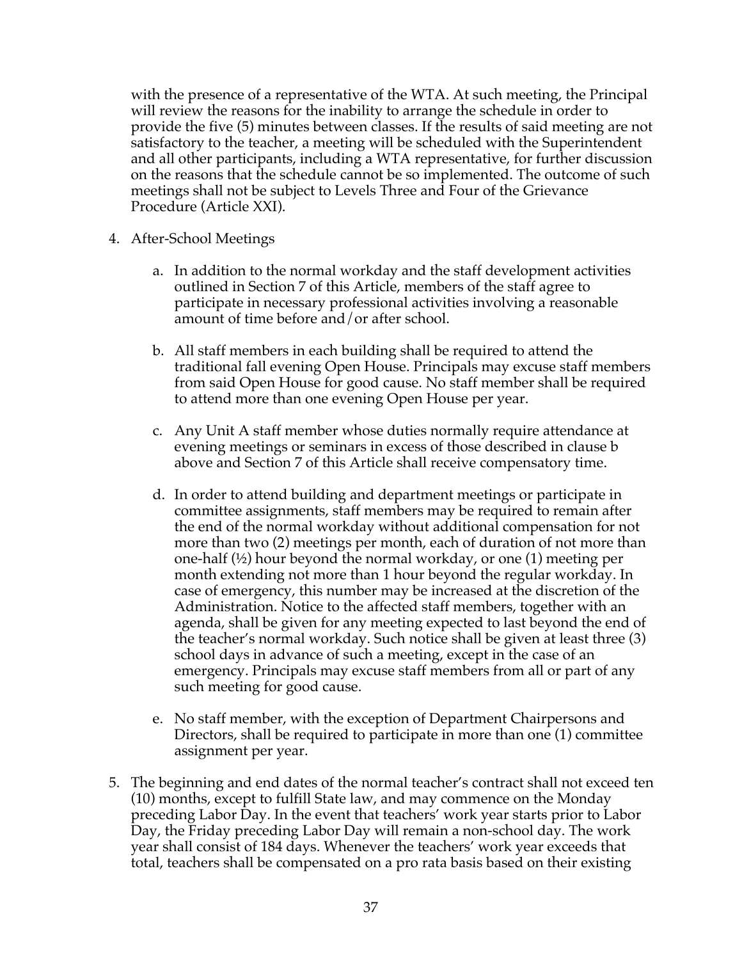with the presence of a representative of the WTA. At such meeting, the Principal will review the reasons for the inability to arrange the schedule in order to provide the five (5) minutes between classes. If the results of said meeting are not satisfactory to the teacher, a meeting will be scheduled with the Superintendent and all other participants, including a WTA representative, for further discussion on the reasons that the schedule cannot be so implemented. The outcome of such meetings shall not be subject to Levels Three and Four of the Grievance Procedure (Article XXI).

- 4. After-School Meetings
	- a. In addition to the normal workday and the staff development activities outlined in Section 7 of this Article, members of the staff agree to participate in necessary professional activities involving a reasonable amount of time before and/or after school.
	- b. All staff members in each building shall be required to attend the traditional fall evening Open House. Principals may excuse staff members from said Open House for good cause. No staff member shall be required to attend more than one evening Open House per year.
	- c. Any Unit A staff member whose duties normally require attendance at evening meetings or seminars in excess of those described in clause b above and Section 7 of this Article shall receive compensatory time.
	- d. In order to attend building and department meetings or participate in committee assignments, staff members may be required to remain after the end of the normal workday without additional compensation for not more than two (2) meetings per month, each of duration of not more than one-half (½) hour beyond the normal workday, or one (1) meeting per month extending not more than 1 hour beyond the regular workday. In case of emergency, this number may be increased at the discretion of the Administration. Notice to the affected staff members, together with an agenda, shall be given for any meeting expected to last beyond the end of the teacher's normal workday. Such notice shall be given at least three (3) school days in advance of such a meeting, except in the case of an emergency. Principals may excuse staff members from all or part of any such meeting for good cause.
	- e. No staff member, with the exception of Department Chairpersons and Directors, shall be required to participate in more than one (1) committee assignment per year.
- 5. The beginning and end dates of the normal teacher's contract shall not exceed ten (10) months, except to fulfill State law, and may commence on the Monday preceding Labor Day. In the event that teachers' work year starts prior to Labor Day, the Friday preceding Labor Day will remain a non-school day. The work year shall consist of 184 days. Whenever the teachers' work year exceeds that total, teachers shall be compensated on a pro rata basis based on their existing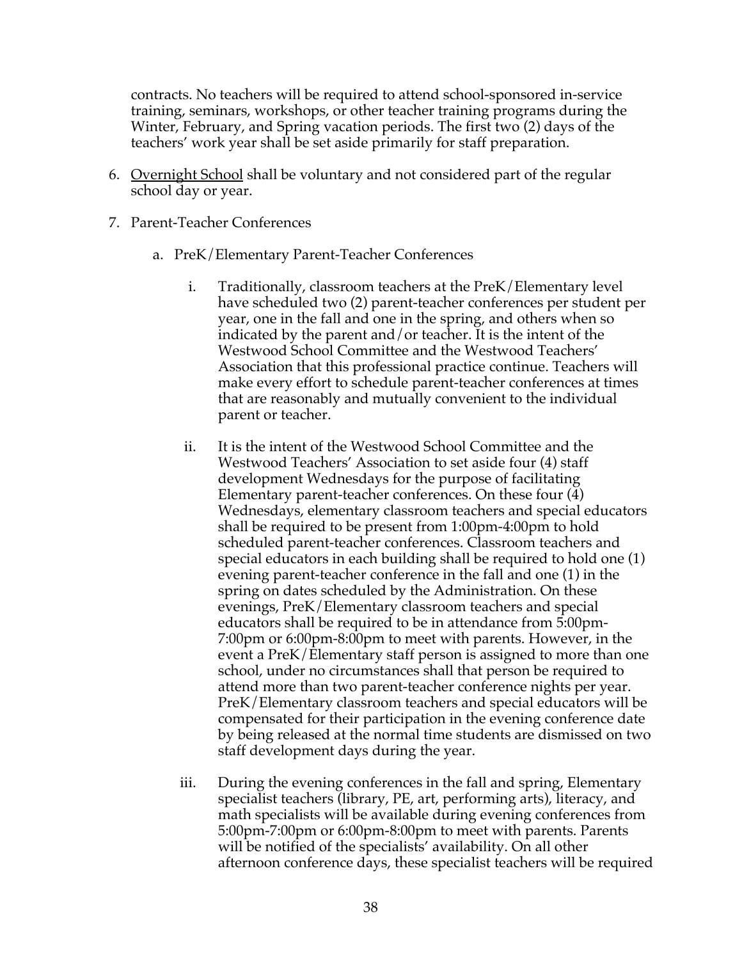contracts. No teachers will be required to attend school-sponsored in-service training, seminars, workshops, or other teacher training programs during the Winter, February, and Spring vacation periods. The first two (2) days of the teachers' work year shall be set aside primarily for staff preparation.

- 6. Overnight School shall be voluntary and not considered part of the regular school day or year.
- 7. Parent-Teacher Conferences
	- a. PreK/Elementary Parent-Teacher Conferences
		- i. Traditionally, classroom teachers at the PreK/Elementary level have scheduled two (2) parent-teacher conferences per student per year, one in the fall and one in the spring, and others when so indicated by the parent and/or teacher. It is the intent of the Westwood School Committee and the Westwood Teachers' Association that this professional practice continue. Teachers will make every effort to schedule parent-teacher conferences at times that are reasonably and mutually convenient to the individual parent or teacher.
		- ii. It is the intent of the Westwood School Committee and the Westwood Teachers' Association to set aside four (4) staff development Wednesdays for the purpose of facilitating Elementary parent-teacher conferences. On these four (4) Wednesdays, elementary classroom teachers and special educators shall be required to be present from 1:00pm-4:00pm to hold scheduled parent-teacher conferences. Classroom teachers and special educators in each building shall be required to hold one (1) evening parent-teacher conference in the fall and one (1) in the spring on dates scheduled by the Administration. On these evenings, PreK/Elementary classroom teachers and special educators shall be required to be in attendance from 5:00pm-7:00pm or 6:00pm-8:00pm to meet with parents. However, in the event a PreK/Elementary staff person is assigned to more than one school, under no circumstances shall that person be required to attend more than two parent-teacher conference nights per year. PreK/Elementary classroom teachers and special educators will be compensated for their participation in the evening conference date by being released at the normal time students are dismissed on two staff development days during the year.
		- iii. During the evening conferences in the fall and spring, Elementary specialist teachers (library, PE, art, performing arts), literacy, and math specialists will be available during evening conferences from 5:00pm-7:00pm or 6:00pm-8:00pm to meet with parents. Parents will be notified of the specialists' availability. On all other afternoon conference days, these specialist teachers will be required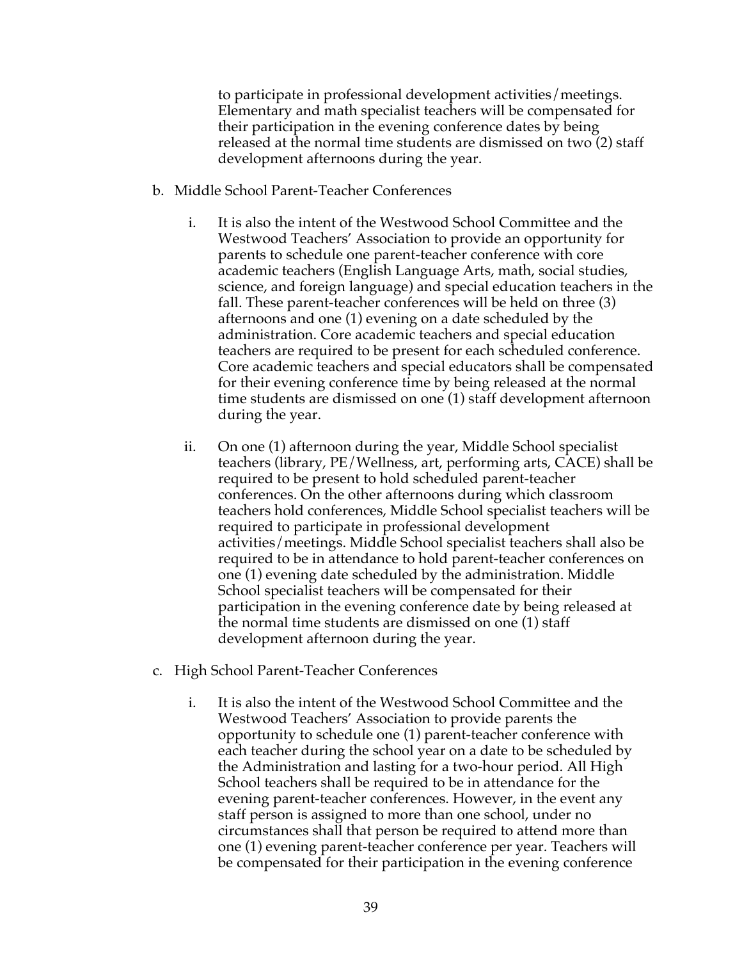to participate in professional development activities/meetings. Elementary and math specialist teachers will be compensated for their participation in the evening conference dates by being released at the normal time students are dismissed on two (2) staff development afternoons during the year.

- b. Middle School Parent-Teacher Conferences
	- i. It is also the intent of the Westwood School Committee and the Westwood Teachers' Association to provide an opportunity for parents to schedule one parent-teacher conference with core academic teachers (English Language Arts, math, social studies, science, and foreign language) and special education teachers in the fall. These parent-teacher conferences will be held on three (3) afternoons and one (1) evening on a date scheduled by the administration. Core academic teachers and special education teachers are required to be present for each scheduled conference. Core academic teachers and special educators shall be compensated for their evening conference time by being released at the normal time students are dismissed on one (1) staff development afternoon during the year.
	- ii. On one (1) afternoon during the year, Middle School specialist teachers (library, PE/Wellness, art, performing arts, CACE) shall be required to be present to hold scheduled parent-teacher conferences. On the other afternoons during which classroom teachers hold conferences, Middle School specialist teachers will be required to participate in professional development activities/meetings. Middle School specialist teachers shall also be required to be in attendance to hold parent-teacher conferences on one (1) evening date scheduled by the administration. Middle School specialist teachers will be compensated for their participation in the evening conference date by being released at the normal time students are dismissed on one (1) staff development afternoon during the year.
- c. High School Parent-Teacher Conferences
	- i. It is also the intent of the Westwood School Committee and the Westwood Teachers' Association to provide parents the opportunity to schedule one (1) parent-teacher conference with each teacher during the school year on a date to be scheduled by the Administration and lasting for a two-hour period. All High School teachers shall be required to be in attendance for the evening parent-teacher conferences. However, in the event any staff person is assigned to more than one school, under no circumstances shall that person be required to attend more than one (1) evening parent-teacher conference per year. Teachers will be compensated for their participation in the evening conference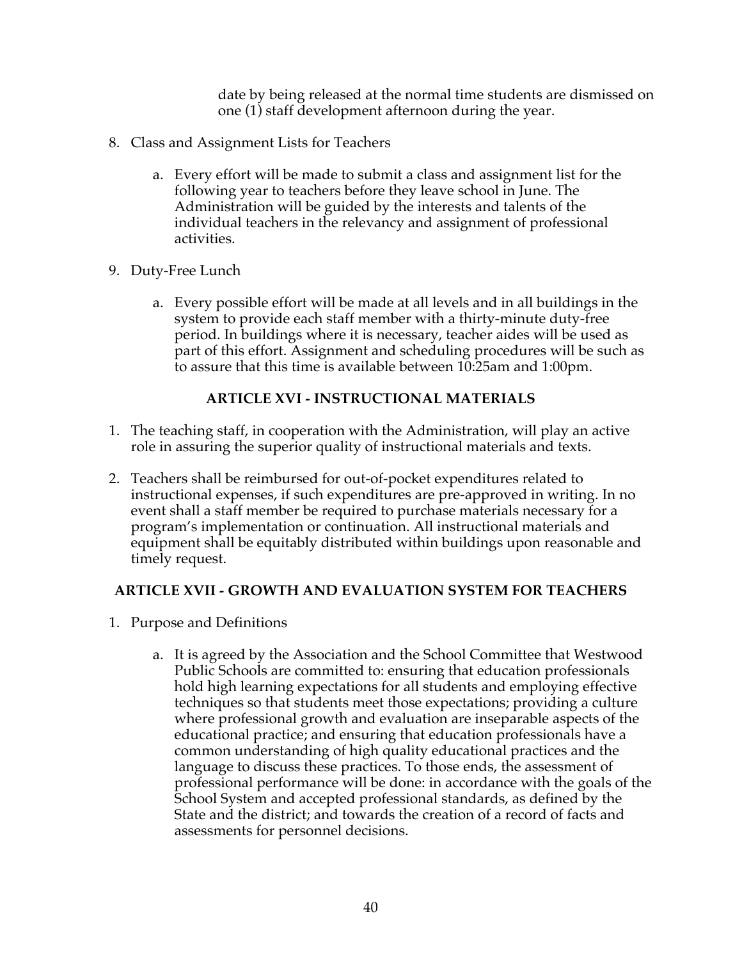date by being released at the normal time students are dismissed on one (1) staff development afternoon during the year.

- 8. Class and Assignment Lists for Teachers
	- a. Every effort will be made to submit a class and assignment list for the following year to teachers before they leave school in June. The Administration will be guided by the interests and talents of the individual teachers in the relevancy and assignment of professional activities.
- 9. Duty-Free Lunch
	- a. Every possible effort will be made at all levels and in all buildings in the system to provide each staff member with a thirty-minute duty-free period. In buildings where it is necessary, teacher aides will be used as part of this effort. Assignment and scheduling procedures will be such as to assure that this time is available between 10:25am and 1:00pm.

## **ARTICLE XVI - INSTRUCTIONAL MATERIALS**

- 1. The teaching staff, in cooperation with the Administration, will play an active role in assuring the superior quality of instructional materials and texts.
- 2. Teachers shall be reimbursed for out-of-pocket expenditures related to instructional expenses, if such expenditures are pre-approved in writing. In no event shall a staff member be required to purchase materials necessary for a program's implementation or continuation. All instructional materials and equipment shall be equitably distributed within buildings upon reasonable and timely request.

## **ARTICLE XVII - GROWTH AND EVALUATION SYSTEM FOR TEACHERS**

- 1. Purpose and Definitions
	- a. It is agreed by the Association and the School Committee that Westwood Public Schools are committed to: ensuring that education professionals hold high learning expectations for all students and employing effective techniques so that students meet those expectations; providing a culture where professional growth and evaluation are inseparable aspects of the educational practice; and ensuring that education professionals have a common understanding of high quality educational practices and the language to discuss these practices. To those ends, the assessment of professional performance will be done: in accordance with the goals of the School System and accepted professional standards, as defined by the State and the district; and towards the creation of a record of facts and assessments for personnel decisions.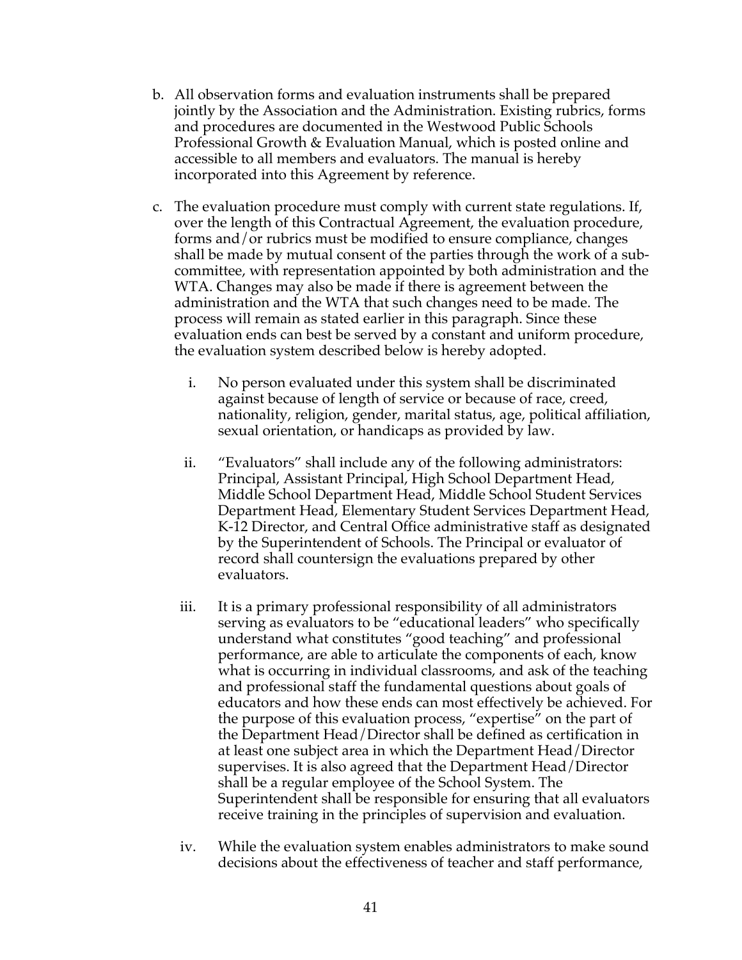- b. All observation forms and evaluation instruments shall be prepared jointly by the Association and the Administration. Existing rubrics, forms and procedures are documented in the Westwood Public Schools Professional Growth & Evaluation Manual, which is posted online and accessible to all members and evaluators. The manual is hereby incorporated into this Agreement by reference.
- c. The evaluation procedure must comply with current state regulations. If, over the length of this Contractual Agreement, the evaluation procedure, forms and/or rubrics must be modified to ensure compliance, changes shall be made by mutual consent of the parties through the work of a subcommittee, with representation appointed by both administration and the WTA. Changes may also be made if there is agreement between the administration and the WTA that such changes need to be made. The process will remain as stated earlier in this paragraph. Since these evaluation ends can best be served by a constant and uniform procedure, the evaluation system described below is hereby adopted.
	- i. No person evaluated under this system shall be discriminated against because of length of service or because of race, creed, nationality, religion, gender, marital status, age, political affiliation, sexual orientation, or handicaps as provided by law.
	- ii. "Evaluators" shall include any of the following administrators: Principal, Assistant Principal, High School Department Head, Middle School Department Head, Middle School Student Services Department Head, Elementary Student Services Department Head, K-12 Director, and Central Office administrative staff as designated by the Superintendent of Schools. The Principal or evaluator of record shall countersign the evaluations prepared by other evaluators.
	- iii. It is a primary professional responsibility of all administrators serving as evaluators to be "educational leaders" who specifically understand what constitutes "good teaching" and professional performance, are able to articulate the components of each, know what is occurring in individual classrooms, and ask of the teaching and professional staff the fundamental questions about goals of educators and how these ends can most effectively be achieved. For the purpose of this evaluation process, "expertise" on the part of the Department Head/Director shall be defined as certification in at least one subject area in which the Department Head/Director supervises. It is also agreed that the Department Head/Director shall be a regular employee of the School System. The Superintendent shall be responsible for ensuring that all evaluators receive training in the principles of supervision and evaluation.
	- iv. While the evaluation system enables administrators to make sound decisions about the effectiveness of teacher and staff performance,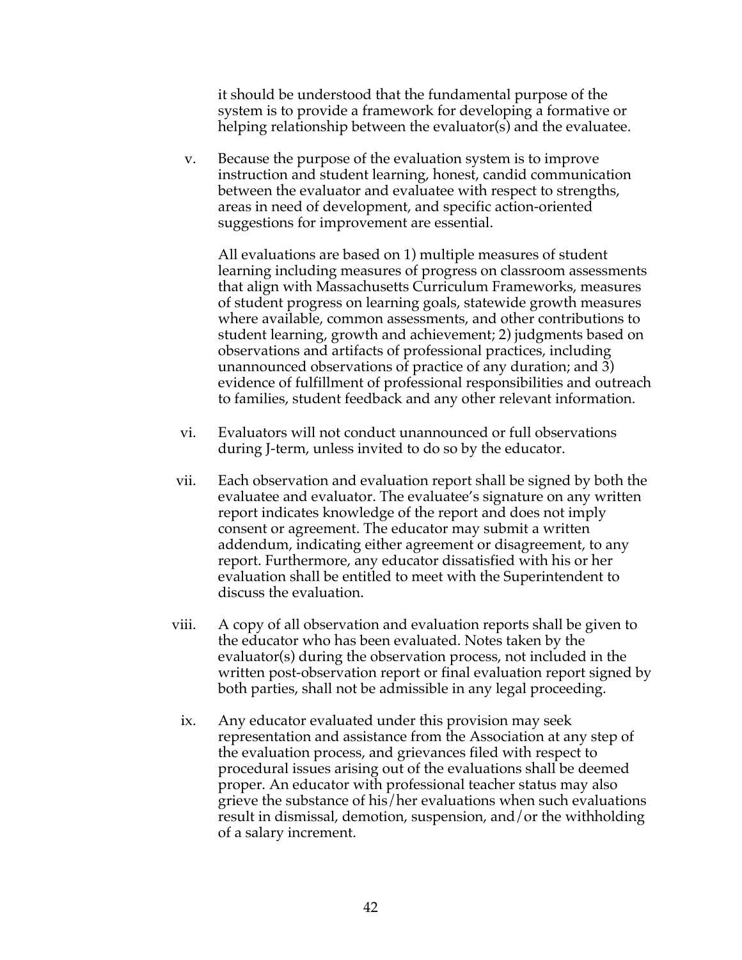it should be understood that the fundamental purpose of the system is to provide a framework for developing a formative or helping relationship between the evaluator(s) and the evaluatee.

v. Because the purpose of the evaluation system is to improve instruction and student learning, honest, candid communication between the evaluator and evaluatee with respect to strengths, areas in need of development, and specific action-oriented suggestions for improvement are essential.

All evaluations are based on 1) multiple measures of student learning including measures of progress on classroom assessments that align with Massachusetts Curriculum Frameworks, measures of student progress on learning goals, statewide growth measures where available, common assessments, and other contributions to student learning, growth and achievement; 2) judgments based on observations and artifacts of professional practices, including unannounced observations of practice of any duration; and 3) evidence of fulfillment of professional responsibilities and outreach to families, student feedback and any other relevant information.

- vi. Evaluators will not conduct unannounced or full observations during J-term, unless invited to do so by the educator.
- vii. Each observation and evaluation report shall be signed by both the evaluatee and evaluator. The evaluatee's signature on any written report indicates knowledge of the report and does not imply consent or agreement. The educator may submit a written addendum, indicating either agreement or disagreement, to any report. Furthermore, any educator dissatisfied with his or her evaluation shall be entitled to meet with the Superintendent to discuss the evaluation.
- viii. A copy of all observation and evaluation reports shall be given to the educator who has been evaluated. Notes taken by the evaluator(s) during the observation process, not included in the written post-observation report or final evaluation report signed by both parties, shall not be admissible in any legal proceeding.
	- ix. Any educator evaluated under this provision may seek representation and assistance from the Association at any step of the evaluation process, and grievances filed with respect to procedural issues arising out of the evaluations shall be deemed proper. An educator with professional teacher status may also grieve the substance of his/her evaluations when such evaluations result in dismissal, demotion, suspension, and/or the withholding of a salary increment.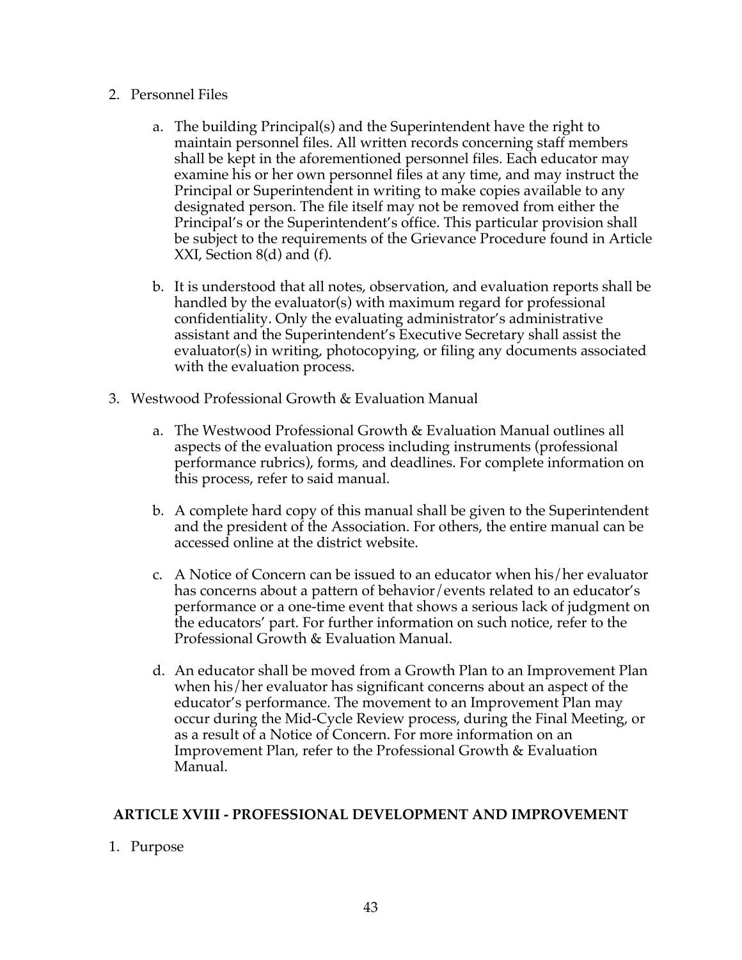#### 2. Personnel Files

- a. The building Principal(s) and the Superintendent have the right to maintain personnel files. All written records concerning staff members shall be kept in the aforementioned personnel files. Each educator may examine his or her own personnel files at any time, and may instruct the Principal or Superintendent in writing to make copies available to any designated person. The file itself may not be removed from either the Principal's or the Superintendent's office. This particular provision shall be subject to the requirements of the Grievance Procedure found in Article XXI, Section 8(d) and (f).
- b. It is understood that all notes, observation, and evaluation reports shall be handled by the evaluator(s) with maximum regard for professional confidentiality. Only the evaluating administrator's administrative assistant and the Superintendent's Executive Secretary shall assist the evaluator(s) in writing, photocopying, or filing any documents associated with the evaluation process.
- 3. Westwood Professional Growth & Evaluation Manual
	- a. The Westwood Professional Growth & Evaluation Manual outlines all aspects of the evaluation process including instruments (professional performance rubrics), forms, and deadlines. For complete information on this process, refer to said manual.
	- b. A complete hard copy of this manual shall be given to the Superintendent and the president of the Association. For others, the entire manual can be accessed online at the district website.
	- c. A Notice of Concern can be issued to an educator when his/her evaluator has concerns about a pattern of behavior/events related to an educator's performance or a one-time event that shows a serious lack of judgment on the educators' part. For further information on such notice, refer to the Professional Growth & Evaluation Manual.
	- d. An educator shall be moved from a Growth Plan to an Improvement Plan when his/her evaluator has significant concerns about an aspect of the educator's performance. The movement to an Improvement Plan may occur during the Mid-Cycle Review process, during the Final Meeting, or as a result of a Notice of Concern. For more information on an Improvement Plan, refer to the Professional Growth & Evaluation Manual.

#### **ARTICLE XVIII - PROFESSIONAL DEVELOPMENT AND IMPROVEMENT**

1. Purpose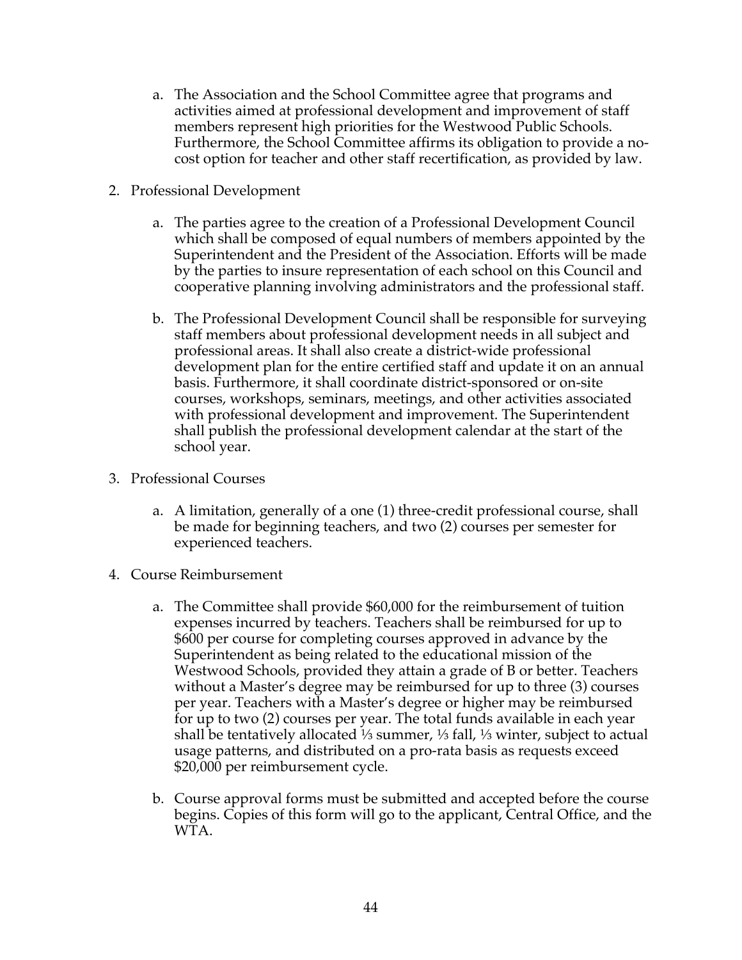- a. The Association and the School Committee agree that programs and activities aimed at professional development and improvement of staff members represent high priorities for the Westwood Public Schools. Furthermore, the School Committee affirms its obligation to provide a nocost option for teacher and other staff recertification, as provided by law.
- 2. Professional Development
	- a. The parties agree to the creation of a Professional Development Council which shall be composed of equal numbers of members appointed by the Superintendent and the President of the Association. Efforts will be made by the parties to insure representation of each school on this Council and cooperative planning involving administrators and the professional staff.
	- b. The Professional Development Council shall be responsible for surveying staff members about professional development needs in all subject and professional areas. It shall also create a district-wide professional development plan for the entire certified staff and update it on an annual basis. Furthermore, it shall coordinate district-sponsored or on-site courses, workshops, seminars, meetings, and other activities associated with professional development and improvement. The Superintendent shall publish the professional development calendar at the start of the school year.
- 3. Professional Courses
	- a. A limitation, generally of a one (1) three-credit professional course, shall be made for beginning teachers, and two (2) courses per semester for experienced teachers.
- 4. Course Reimbursement
	- a. The Committee shall provide \$60,000 for the reimbursement of tuition expenses incurred by teachers. Teachers shall be reimbursed for up to \$600 per course for completing courses approved in advance by the Superintendent as being related to the educational mission of the Westwood Schools, provided they attain a grade of B or better. Teachers without a Master's degree may be reimbursed for up to three (3) courses per year. Teachers with a Master's degree or higher may be reimbursed for up to two (2) courses per year. The total funds available in each year shall be tentatively allocated ⅓ summer, ⅓ fall, ⅓ winter, subject to actual usage patterns, and distributed on a pro-rata basis as requests exceed \$20,000 per reimbursement cycle.
	- b. Course approval forms must be submitted and accepted before the course begins. Copies of this form will go to the applicant, Central Office, and the WTA.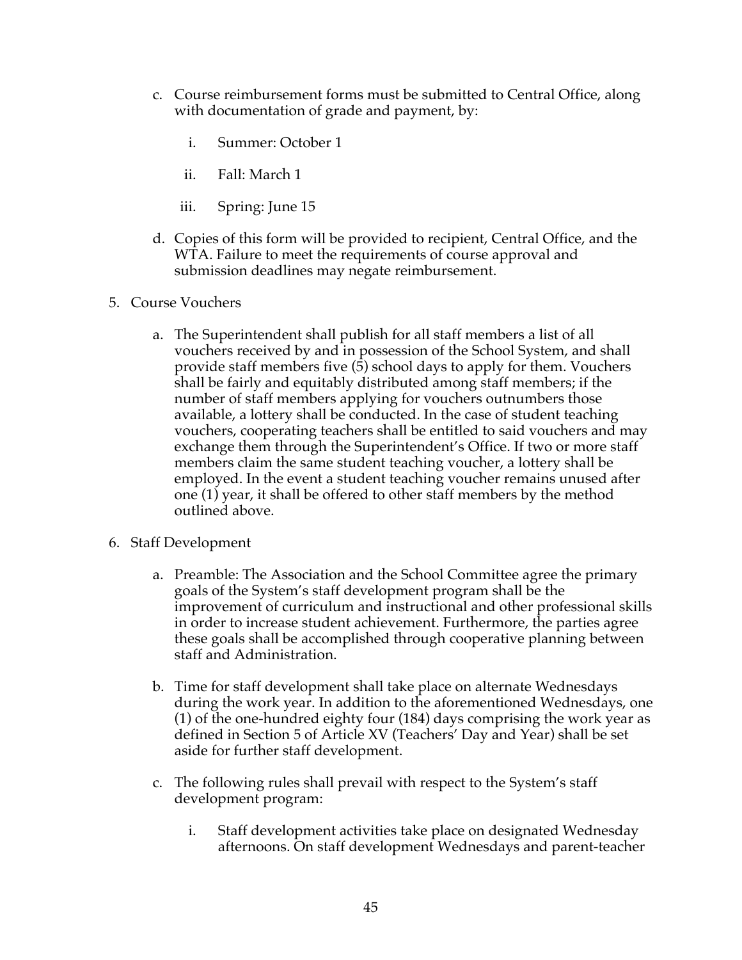- c. Course reimbursement forms must be submitted to Central Office, along with documentation of grade and payment, by:
	- i. Summer: October 1
	- ii. Fall: March 1
	- iii. Spring: June 15
- d. Copies of this form will be provided to recipient, Central Office, and the WTA. Failure to meet the requirements of course approval and submission deadlines may negate reimbursement.
- 5. Course Vouchers
	- a. The Superintendent shall publish for all staff members a list of all vouchers received by and in possession of the School System, and shall provide staff members five (5) school days to apply for them. Vouchers shall be fairly and equitably distributed among staff members; if the number of staff members applying for vouchers outnumbers those available, a lottery shall be conducted. In the case of student teaching vouchers, cooperating teachers shall be entitled to said vouchers and may exchange them through the Superintendent's Office. If two or more staff members claim the same student teaching voucher, a lottery shall be employed. In the event a student teaching voucher remains unused after one (1) year, it shall be offered to other staff members by the method outlined above.
- 6. Staff Development
	- a. Preamble: The Association and the School Committee agree the primary goals of the System's staff development program shall be the improvement of curriculum and instructional and other professional skills in order to increase student achievement. Furthermore, the parties agree these goals shall be accomplished through cooperative planning between staff and Administration.
	- b. Time for staff development shall take place on alternate Wednesdays during the work year. In addition to the aforementioned Wednesdays, one (1) of the one-hundred eighty four (184) days comprising the work year as defined in Section 5 of Article XV (Teachers' Day and Year) shall be set aside for further staff development.
	- c. The following rules shall prevail with respect to the System's staff development program:
		- i. Staff development activities take place on designated Wednesday afternoons. On staff development Wednesdays and parent-teacher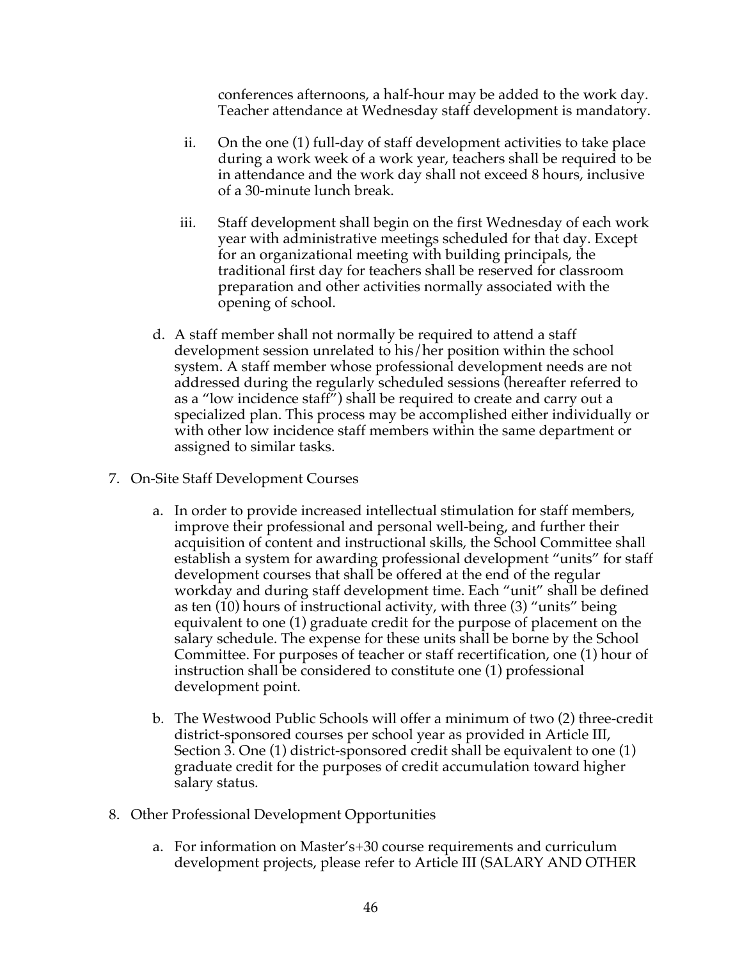conferences afternoons, a half-hour may be added to the work day. Teacher attendance at Wednesday staff development is mandatory.

- ii. On the one (1) full-day of staff development activities to take place during a work week of a work year, teachers shall be required to be in attendance and the work day shall not exceed 8 hours, inclusive of a 30-minute lunch break.
- iii. Staff development shall begin on the first Wednesday of each work year with administrative meetings scheduled for that day. Except for an organizational meeting with building principals, the traditional first day for teachers shall be reserved for classroom preparation and other activities normally associated with the opening of school.
- d. A staff member shall not normally be required to attend a staff development session unrelated to his/her position within the school system. A staff member whose professional development needs are not addressed during the regularly scheduled sessions (hereafter referred to as a "low incidence staff") shall be required to create and carry out a specialized plan. This process may be accomplished either individually or with other low incidence staff members within the same department or assigned to similar tasks.
- 7. On-Site Staff Development Courses
	- a. In order to provide increased intellectual stimulation for staff members, improve their professional and personal well-being, and further their acquisition of content and instructional skills, the School Committee shall establish a system for awarding professional development "units" for staff development courses that shall be offered at the end of the regular workday and during staff development time. Each "unit" shall be defined as ten (10) hours of instructional activity, with three (3) "units" being equivalent to one (1) graduate credit for the purpose of placement on the salary schedule. The expense for these units shall be borne by the School Committee. For purposes of teacher or staff recertification, one (1) hour of instruction shall be considered to constitute one (1) professional development point.
	- b. The Westwood Public Schools will offer a minimum of two (2) three-credit district-sponsored courses per school year as provided in Article III, Section 3. One (1) district-sponsored credit shall be equivalent to one (1) graduate credit for the purposes of credit accumulation toward higher salary status.
- 8. Other Professional Development Opportunities
	- a. For information on Master's+30 course requirements and curriculum development projects, please refer to Article III (SALARY AND OTHER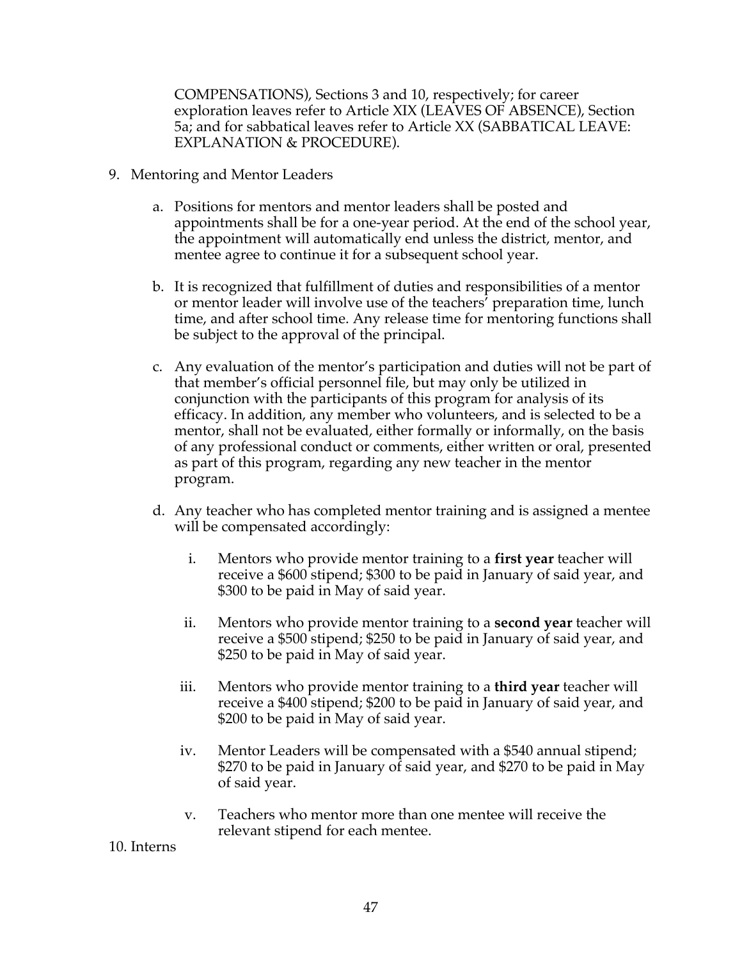COMPENSATIONS), Sections 3 and 10, respectively; for career exploration leaves refer to Article XIX (LEAVES OF ABSENCE), Section 5a; and for sabbatical leaves refer to Article XX (SABBATICAL LEAVE: EXPLANATION & PROCEDURE).

- 9. Mentoring and Mentor Leaders
	- a. Positions for mentors and mentor leaders shall be posted and appointments shall be for a one-year period. At the end of the school year, the appointment will automatically end unless the district, mentor, and mentee agree to continue it for a subsequent school year.
	- b. It is recognized that fulfillment of duties and responsibilities of a mentor or mentor leader will involve use of the teachers' preparation time, lunch time, and after school time. Any release time for mentoring functions shall be subject to the approval of the principal.
	- c. Any evaluation of the mentor's participation and duties will not be part of that member's official personnel file, but may only be utilized in conjunction with the participants of this program for analysis of its efficacy. In addition, any member who volunteers, and is selected to be a mentor, shall not be evaluated, either formally or informally, on the basis of any professional conduct or comments, either written or oral, presented as part of this program, regarding any new teacher in the mentor program.
	- d. Any teacher who has completed mentor training and is assigned a mentee will be compensated accordingly:
		- i. Mentors who provide mentor training to a **first year** teacher will receive a \$600 stipend; \$300 to be paid in January of said year, and \$300 to be paid in May of said year.
		- ii. Mentors who provide mentor training to a **second year** teacher will receive a \$500 stipend; \$250 to be paid in January of said year, and \$250 to be paid in May of said year.
		- iii. Mentors who provide mentor training to a **third year** teacher will receive a \$400 stipend; \$200 to be paid in January of said year, and \$200 to be paid in May of said year.
		- iv. Mentor Leaders will be compensated with a \$540 annual stipend; \$270 to be paid in January of said year, and \$270 to be paid in May of said year.
		- v. Teachers who mentor more than one mentee will receive the relevant stipend for each mentee.

10. Interns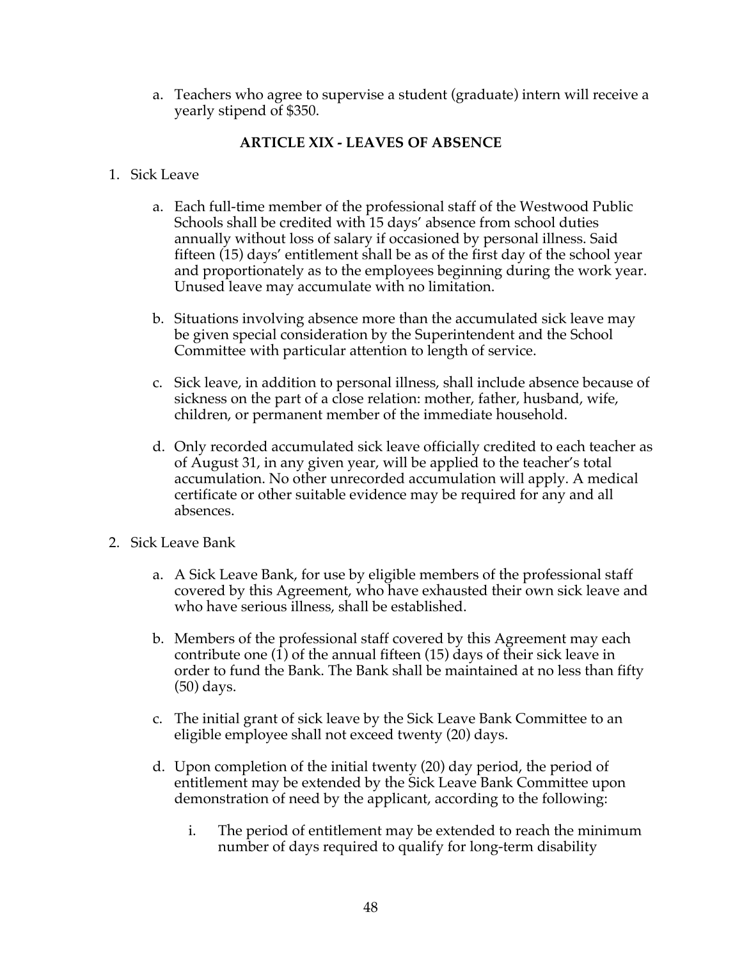a. Teachers who agree to supervise a student (graduate) intern will receive a yearly stipend of \$350.

## **ARTICLE XIX - LEAVES OF ABSENCE**

- 1. Sick Leave
	- a. Each full-time member of the professional staff of the Westwood Public Schools shall be credited with 15 days' absence from school duties annually without loss of salary if occasioned by personal illness. Said fifteen (15) days' entitlement shall be as of the first day of the school year and proportionately as to the employees beginning during the work year. Unused leave may accumulate with no limitation.
	- b. Situations involving absence more than the accumulated sick leave may be given special consideration by the Superintendent and the School Committee with particular attention to length of service.
	- c. Sick leave, in addition to personal illness, shall include absence because of sickness on the part of a close relation: mother, father, husband, wife, children, or permanent member of the immediate household.
	- d. Only recorded accumulated sick leave officially credited to each teacher as of August 31, in any given year, will be applied to the teacher's total accumulation. No other unrecorded accumulation will apply. A medical certificate or other suitable evidence may be required for any and all absences.
- 2. Sick Leave Bank
	- a. A Sick Leave Bank, for use by eligible members of the professional staff covered by this Agreement, who have exhausted their own sick leave and who have serious illness, shall be established.
	- b. Members of the professional staff covered by this Agreement may each contribute one (1) of the annual fifteen (15) days of their sick leave in order to fund the Bank. The Bank shall be maintained at no less than fifty (50) days.
	- c. The initial grant of sick leave by the Sick Leave Bank Committee to an eligible employee shall not exceed twenty (20) days.
	- d. Upon completion of the initial twenty (20) day period, the period of entitlement may be extended by the Sick Leave Bank Committee upon demonstration of need by the applicant, according to the following:
		- i. The period of entitlement may be extended to reach the minimum number of days required to qualify for long-term disability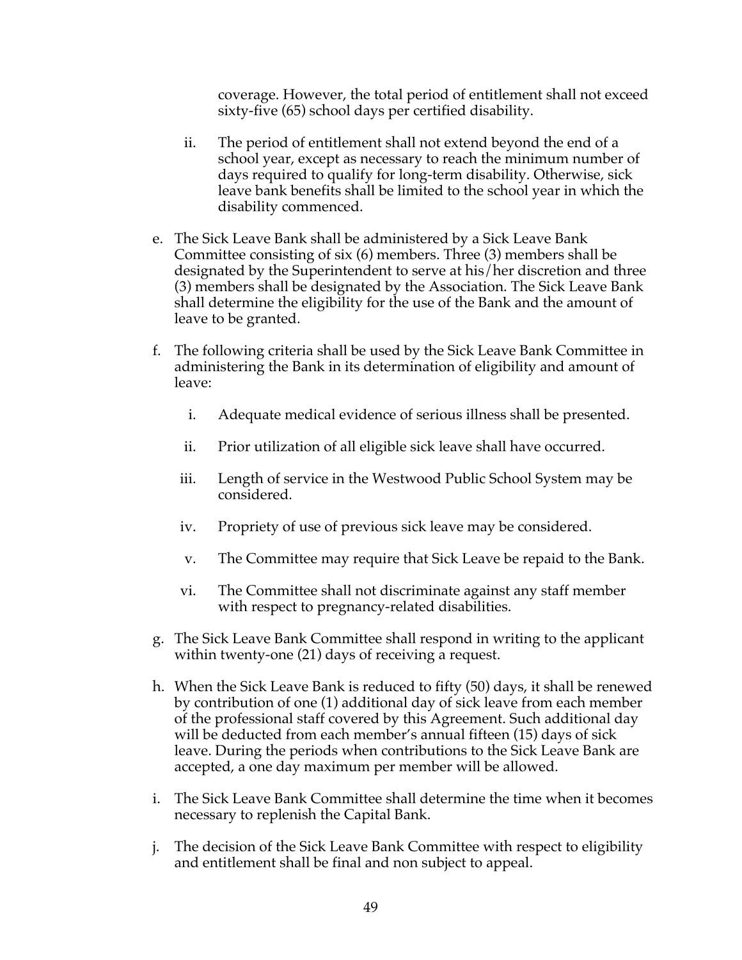coverage. However, the total period of entitlement shall not exceed sixty-five (65) school days per certified disability.

- ii. The period of entitlement shall not extend beyond the end of a school year, except as necessary to reach the minimum number of days required to qualify for long-term disability. Otherwise, sick leave bank benefits shall be limited to the school year in which the disability commenced.
- e. The Sick Leave Bank shall be administered by a Sick Leave Bank Committee consisting of six (6) members. Three (3) members shall be designated by the Superintendent to serve at his/her discretion and three (3) members shall be designated by the Association. The Sick Leave Bank shall determine the eligibility for the use of the Bank and the amount of leave to be granted.
- f. The following criteria shall be used by the Sick Leave Bank Committee in administering the Bank in its determination of eligibility and amount of leave:
	- i. Adequate medical evidence of serious illness shall be presented.
	- ii. Prior utilization of all eligible sick leave shall have occurred.
	- iii. Length of service in the Westwood Public School System may be considered.
	- iv. Propriety of use of previous sick leave may be considered.
	- v. The Committee may require that Sick Leave be repaid to the Bank.
	- vi. The Committee shall not discriminate against any staff member with respect to pregnancy-related disabilities.
- g. The Sick Leave Bank Committee shall respond in writing to the applicant within twenty-one (21) days of receiving a request.
- h. When the Sick Leave Bank is reduced to fifty (50) days, it shall be renewed by contribution of one (1) additional day of sick leave from each member of the professional staff covered by this Agreement. Such additional day will be deducted from each member's annual fifteen (15) days of sick leave. During the periods when contributions to the Sick Leave Bank are accepted, a one day maximum per member will be allowed.
- i. The Sick Leave Bank Committee shall determine the time when it becomes necessary to replenish the Capital Bank.
- j. The decision of the Sick Leave Bank Committee with respect to eligibility and entitlement shall be final and non subject to appeal.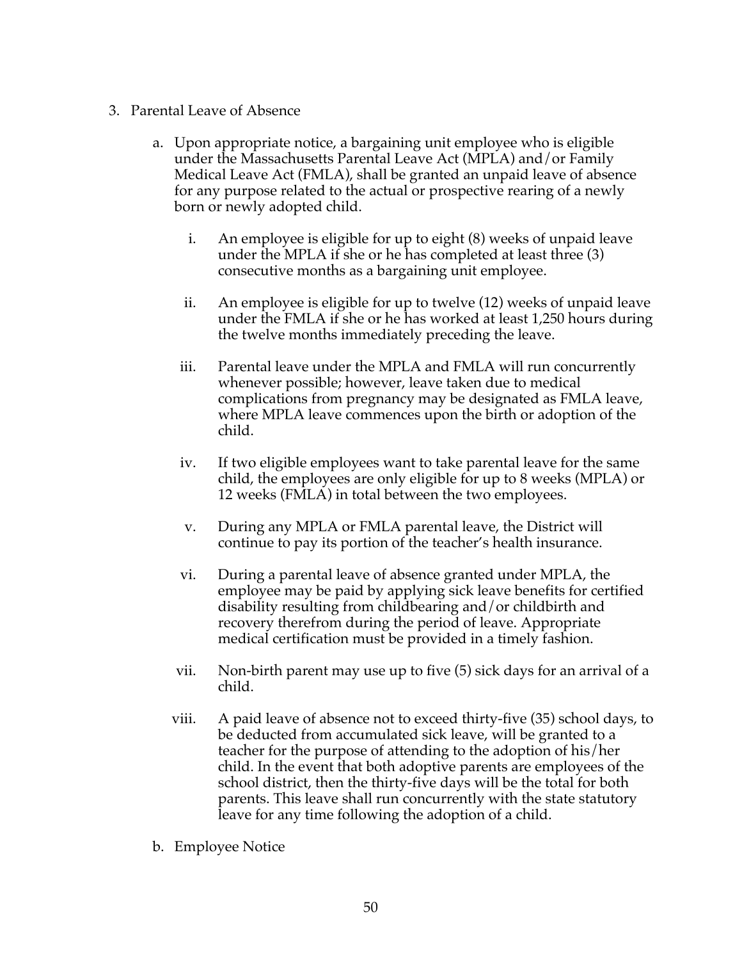- 3. Parental Leave of Absence
	- a. Upon appropriate notice, a bargaining unit employee who is eligible under the Massachusetts Parental Leave Act (MPLA) and/or Family Medical Leave Act (FMLA), shall be granted an unpaid leave of absence for any purpose related to the actual or prospective rearing of a newly born or newly adopted child.
		- i. An employee is eligible for up to eight (8) weeks of unpaid leave under the MPLA if she or he has completed at least three (3) consecutive months as a bargaining unit employee.
		- ii. An employee is eligible for up to twelve (12) weeks of unpaid leave under the FMLA if she or he has worked at least 1,250 hours during the twelve months immediately preceding the leave.
		- iii. Parental leave under the MPLA and FMLA will run concurrently whenever possible; however, leave taken due to medical complications from pregnancy may be designated as FMLA leave, where MPLA leave commences upon the birth or adoption of the child.
		- iv. If two eligible employees want to take parental leave for the same child, the employees are only eligible for up to 8 weeks (MPLA) or 12 weeks (FMLA) in total between the two employees.
		- v. During any MPLA or FMLA parental leave, the District will continue to pay its portion of the teacher's health insurance.
		- vi. During a parental leave of absence granted under MPLA, the employee may be paid by applying sick leave benefits for certified disability resulting from childbearing and/or childbirth and recovery therefrom during the period of leave. Appropriate medical certification must be provided in a timely fashion.
		- vii. Non-birth parent may use up to five (5) sick days for an arrival of a child.
		- viii. A paid leave of absence not to exceed thirty-five (35) school days, to be deducted from accumulated sick leave, will be granted to a teacher for the purpose of attending to the adoption of his/her child. In the event that both adoptive parents are employees of the school district, then the thirty-five days will be the total for both parents. This leave shall run concurrently with the state statutory leave for any time following the adoption of a child.
	- b. Employee Notice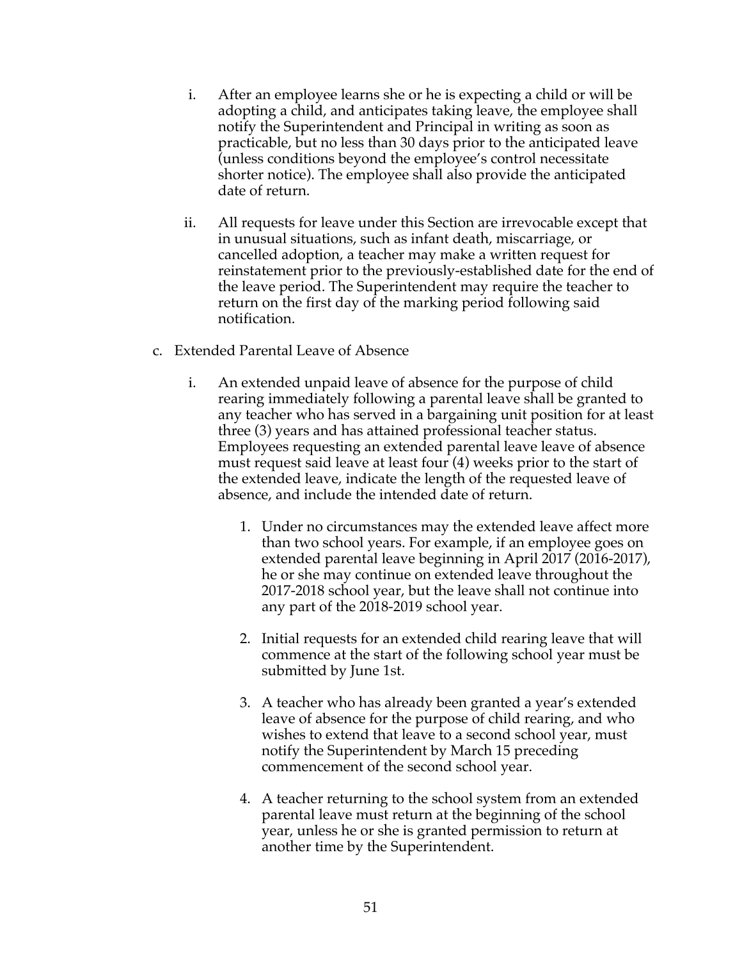- i. After an employee learns she or he is expecting a child or will be adopting a child, and anticipates taking leave, the employee shall notify the Superintendent and Principal in writing as soon as practicable, but no less than 30 days prior to the anticipated leave (unless conditions beyond the employee's control necessitate shorter notice). The employee shall also provide the anticipated date of return.
- ii. All requests for leave under this Section are irrevocable except that in unusual situations, such as infant death, miscarriage, or cancelled adoption, a teacher may make a written request for reinstatement prior to the previously-established date for the end of the leave period. The Superintendent may require the teacher to return on the first day of the marking period following said notification.
- c. Extended Parental Leave of Absence
	- i. An extended unpaid leave of absence for the purpose of child rearing immediately following a parental leave shall be granted to any teacher who has served in a bargaining unit position for at least three (3) years and has attained professional teacher status. Employees requesting an extended parental leave leave of absence must request said leave at least four (4) weeks prior to the start of the extended leave, indicate the length of the requested leave of absence, and include the intended date of return.
		- 1. Under no circumstances may the extended leave affect more than two school years. For example, if an employee goes on extended parental leave beginning in April 2017 (2016-2017), he or she may continue on extended leave throughout the 2017-2018 school year, but the leave shall not continue into any part of the 2018-2019 school year.
		- 2. Initial requests for an extended child rearing leave that will commence at the start of the following school year must be submitted by June 1st.
		- 3. A teacher who has already been granted a year's extended leave of absence for the purpose of child rearing, and who wishes to extend that leave to a second school year, must notify the Superintendent by March 15 preceding commencement of the second school year.
		- 4. A teacher returning to the school system from an extended parental leave must return at the beginning of the school year, unless he or she is granted permission to return at another time by the Superintendent.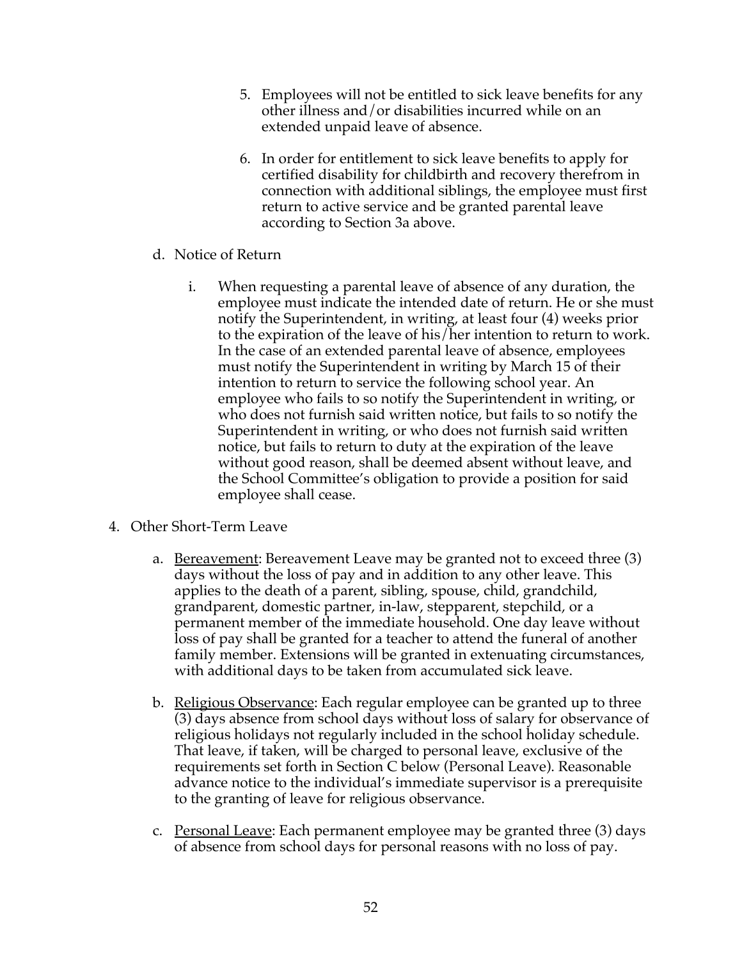- 5. Employees will not be entitled to sick leave benefits for any other illness and/or disabilities incurred while on an extended unpaid leave of absence.
- 6. In order for entitlement to sick leave benefits to apply for certified disability for childbirth and recovery therefrom in connection with additional siblings, the employee must first return to active service and be granted parental leave according to Section 3a above.
- d. Notice of Return
	- i. When requesting a parental leave of absence of any duration, the employee must indicate the intended date of return. He or she must notify the Superintendent, in writing, at least four (4) weeks prior to the expiration of the leave of his/her intention to return to work. In the case of an extended parental leave of absence, employees must notify the Superintendent in writing by March 15 of their intention to return to service the following school year. An employee who fails to so notify the Superintendent in writing, or who does not furnish said written notice, but fails to so notify the Superintendent in writing, or who does not furnish said written notice, but fails to return to duty at the expiration of the leave without good reason, shall be deemed absent without leave, and the School Committee's obligation to provide a position for said employee shall cease.
- 4. Other Short-Term Leave
	- a. <u>Bereavement</u>: Bereavement Leave may be granted not to exceed three (3) days without the loss of pay and in addition to any other leave. This applies to the death of a parent, sibling, spouse, child, grandchild, grandparent, domestic partner, in-law, stepparent, stepchild, or a permanent member of the immediate household. One day leave without loss of pay shall be granted for a teacher to attend the funeral of another family member. Extensions will be granted in extenuating circumstances, with additional days to be taken from accumulated sick leave.
	- b. Religious Observance: Each regular employee can be granted up to three (3) days absence from school days without loss of salary for observance of religious holidays not regularly included in the school holiday schedule. That leave, if taken, will be charged to personal leave, exclusive of the requirements set forth in Section C below (Personal Leave). Reasonable advance notice to the individual's immediate supervisor is a prerequisite to the granting of leave for religious observance.
	- c. Personal Leave: Each permanent employee may be granted three (3) days of absence from school days for personal reasons with no loss of pay.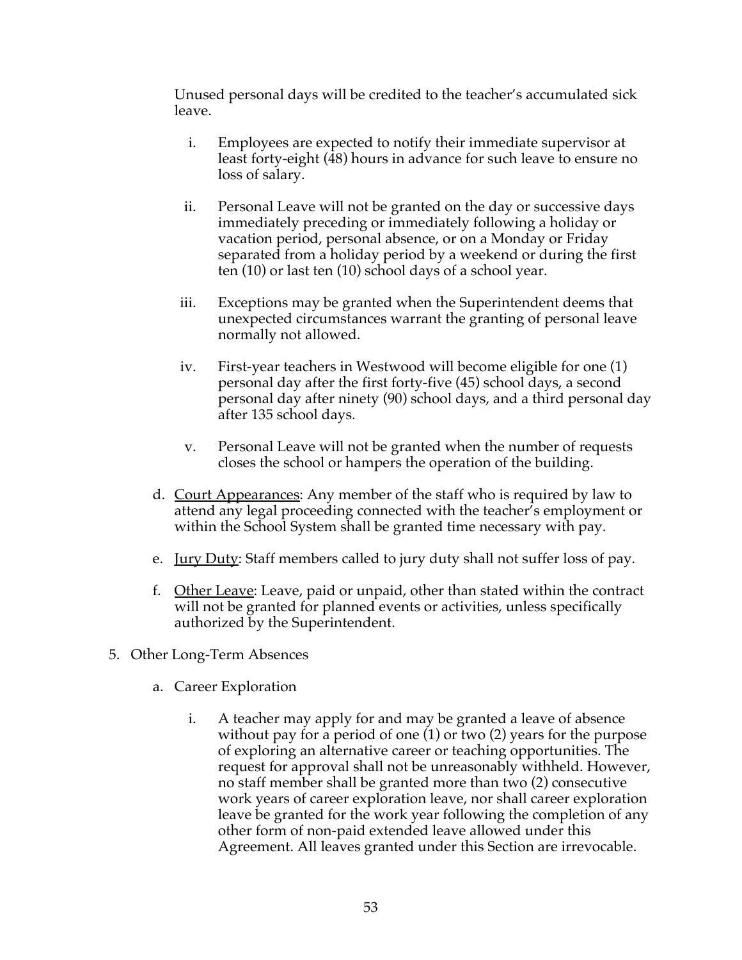Unused personal days will be credited to the teacher's accumulated sick leave.

- i. Employees are expected to notify their immediate supervisor at least forty-eight (48) hours in advance for such leave to ensure no loss of salary.
- ii. Personal Leave will not be granted on the day or successive days immediately preceding or immediately following a holiday or vacation period, personal absence, or on a Monday or Friday separated from a holiday period by a weekend or during the first ten (10) or last ten (10) school days of a school year.
- iii. Exceptions may be granted when the Superintendent deems that unexpected circumstances warrant the granting of personal leave normally not allowed.
- iv. First-year teachers in Westwood will become eligible for one (1) personal day after the first forty-five (45) school days, a second personal day after ninety (90) school days, and a third personal day after 135 school days.
- v. Personal Leave will not be granted when the number of requests closes the school or hampers the operation of the building.
- d. Court Appearances: Any member of the staff who is required by law to attend any legal proceeding connected with the teacher's employment or within the School System shall be granted time necessary with pay.
- e. <u>Jury Duty</u>: Staff members called to jury duty shall not suffer loss of pay.
- f. Other Leave: Leave, paid or unpaid, other than stated within the contract will not be granted for planned events or activities, unless specifically authorized by the Superintendent.
- 5. Other Long-Term Absences
	- a. Career Exploration
		- i. A teacher may apply for and may be granted a leave of absence without pay for a period of one (1) or two (2) years for the purpose of exploring an alternative career or teaching opportunities. The request for approval shall not be unreasonably withheld. However, no staff member shall be granted more than two (2) consecutive work years of career exploration leave, nor shall career exploration leave be granted for the work year following the completion of any other form of non-paid extended leave allowed under this Agreement. All leaves granted under this Section are irrevocable.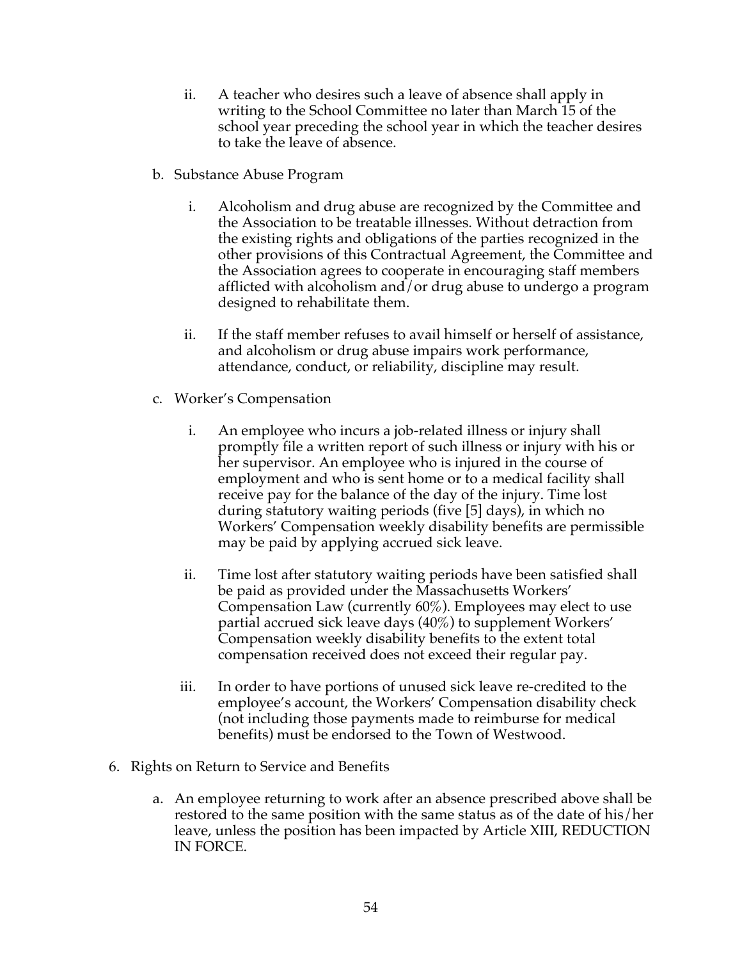- ii. A teacher who desires such a leave of absence shall apply in writing to the School Committee no later than March 15 of the school year preceding the school year in which the teacher desires to take the leave of absence.
- b. Substance Abuse Program
	- i. Alcoholism and drug abuse are recognized by the Committee and the Association to be treatable illnesses. Without detraction from the existing rights and obligations of the parties recognized in the other provisions of this Contractual Agreement, the Committee and the Association agrees to cooperate in encouraging staff members afflicted with alcoholism and/or drug abuse to undergo a program designed to rehabilitate them.
	- ii. If the staff member refuses to avail himself or herself of assistance, and alcoholism or drug abuse impairs work performance, attendance, conduct, or reliability, discipline may result.
- c. Worker's Compensation
	- i. An employee who incurs a job-related illness or injury shall promptly file a written report of such illness or injury with his or her supervisor. An employee who is injured in the course of employment and who is sent home or to a medical facility shall receive pay for the balance of the day of the injury. Time lost during statutory waiting periods (five [5] days), in which no Workers' Compensation weekly disability benefits are permissible may be paid by applying accrued sick leave.
	- ii. Time lost after statutory waiting periods have been satisfied shall be paid as provided under the Massachusetts Workers' Compensation Law (currently 60%). Employees may elect to use partial accrued sick leave days (40%) to supplement Workers' Compensation weekly disability benefits to the extent total compensation received does not exceed their regular pay.
	- iii. In order to have portions of unused sick leave re-credited to the employee's account, the Workers' Compensation disability check (not including those payments made to reimburse for medical benefits) must be endorsed to the Town of Westwood.
- 6. Rights on Return to Service and Benefits
	- a. An employee returning to work after an absence prescribed above shall be restored to the same position with the same status as of the date of his/her leave, unless the position has been impacted by Article XIII, REDUCTION IN FORCE.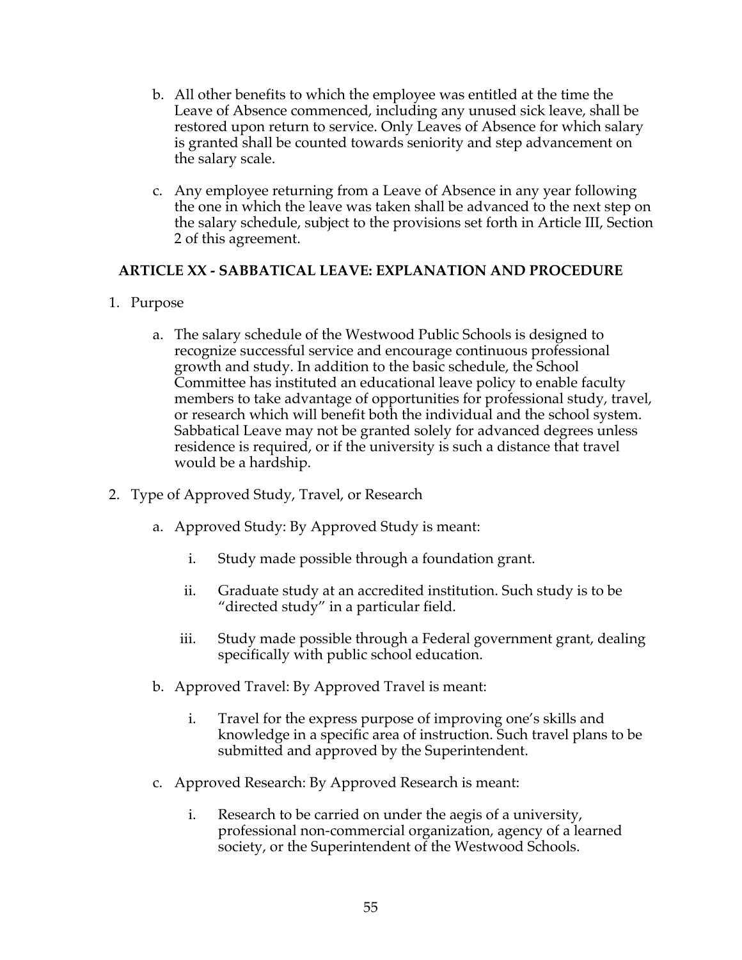- b. All other benefits to which the employee was entitled at the time the Leave of Absence commenced, including any unused sick leave, shall be restored upon return to service. Only Leaves of Absence for which salary is granted shall be counted towards seniority and step advancement on the salary scale.
- c. Any employee returning from a Leave of Absence in any year following the one in which the leave was taken shall be advanced to the next step on the salary schedule, subject to the provisions set forth in Article III, Section 2 of this agreement.

## **ARTICLE XX - SABBATICAL LEAVE: EXPLANATION AND PROCEDURE**

## 1. Purpose

- a. The salary schedule of the Westwood Public Schools is designed to recognize successful service and encourage continuous professional growth and study. In addition to the basic schedule, the School Committee has instituted an educational leave policy to enable faculty members to take advantage of opportunities for professional study, travel, or research which will benefit both the individual and the school system. Sabbatical Leave may not be granted solely for advanced degrees unless residence is required, or if the university is such a distance that travel would be a hardship.
- 2. Type of Approved Study, Travel, or Research
	- a. Approved Study: By Approved Study is meant:
		- i. Study made possible through a foundation grant.
		- ii. Graduate study at an accredited institution. Such study is to be "directed study" in a particular field.
		- iii. Study made possible through a Federal government grant, dealing specifically with public school education.
	- b. Approved Travel: By Approved Travel is meant:
		- i. Travel for the express purpose of improving one's skills and knowledge in a specific area of instruction. Such travel plans to be submitted and approved by the Superintendent.
	- c. Approved Research: By Approved Research is meant:
		- i. Research to be carried on under the aegis of a university, professional non-commercial organization, agency of a learned society, or the Superintendent of the Westwood Schools.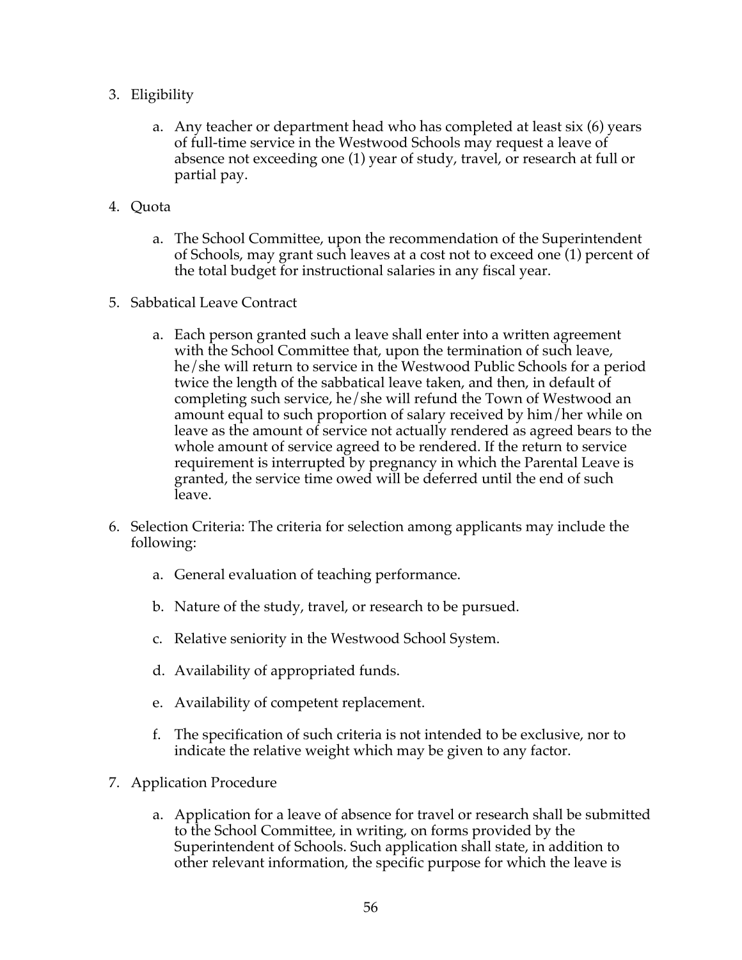- 3. Eligibility
	- a. Any teacher or department head who has completed at least six (6) years of full-time service in the Westwood Schools may request a leave of absence not exceeding one (1) year of study, travel, or research at full or partial pay.
- 4. Quota
	- a. The School Committee, upon the recommendation of the Superintendent of Schools, may grant such leaves at a cost not to exceed one (1) percent of the total budget for instructional salaries in any fiscal year.
- 5. Sabbatical Leave Contract
	- a. Each person granted such a leave shall enter into a written agreement with the School Committee that, upon the termination of such leave, he/she will return to service in the Westwood Public Schools for a period twice the length of the sabbatical leave taken, and then, in default of completing such service, he/she will refund the Town of Westwood an amount equal to such proportion of salary received by him/her while on leave as the amount of service not actually rendered as agreed bears to the whole amount of service agreed to be rendered. If the return to service requirement is interrupted by pregnancy in which the Parental Leave is granted, the service time owed will be deferred until the end of such leave.
- 6. Selection Criteria: The criteria for selection among applicants may include the following:
	- a. General evaluation of teaching performance.
	- b. Nature of the study, travel, or research to be pursued.
	- c. Relative seniority in the Westwood School System.
	- d. Availability of appropriated funds.
	- e. Availability of competent replacement.
	- f. The specification of such criteria is not intended to be exclusive, nor to indicate the relative weight which may be given to any factor.
- 7. Application Procedure
	- a. Application for a leave of absence for travel or research shall be submitted to the School Committee, in writing, on forms provided by the Superintendent of Schools. Such application shall state, in addition to other relevant information, the specific purpose for which the leave is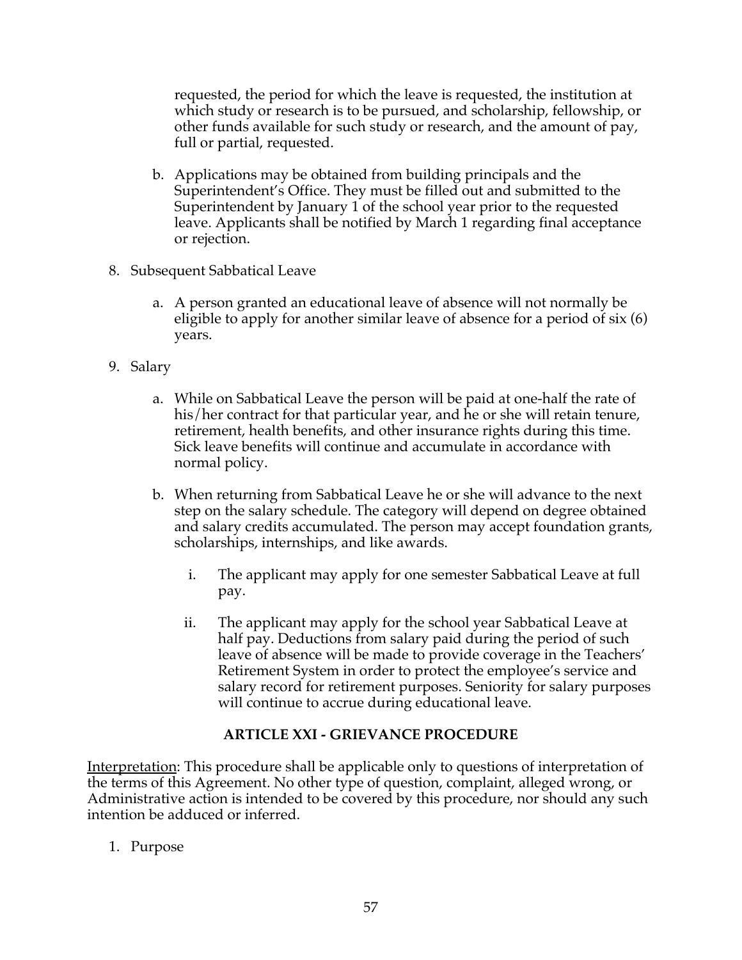requested, the period for which the leave is requested, the institution at which study or research is to be pursued, and scholarship, fellowship, or other funds available for such study or research, and the amount of pay, full or partial, requested.

- b. Applications may be obtained from building principals and the Superintendent's Office. They must be filled out and submitted to the Superintendent by January 1 of the school year prior to the requested leave. Applicants shall be notified by March 1 regarding final acceptance or rejection.
- 8. Subsequent Sabbatical Leave
	- a. A person granted an educational leave of absence will not normally be eligible to apply for another similar leave of absence for a period of six (6) years.
- 9. Salary
	- a. While on Sabbatical Leave the person will be paid at one-half the rate of his/her contract for that particular year, and he or she will retain tenure, retirement, health benefits, and other insurance rights during this time. Sick leave benefits will continue and accumulate in accordance with normal policy.
	- b. When returning from Sabbatical Leave he or she will advance to the next step on the salary schedule. The category will depend on degree obtained and salary credits accumulated. The person may accept foundation grants, scholarships, internships, and like awards.
		- i. The applicant may apply for one semester Sabbatical Leave at full pay.
		- ii. The applicant may apply for the school year Sabbatical Leave at half pay. Deductions from salary paid during the period of such leave of absence will be made to provide coverage in the Teachers' Retirement System in order to protect the employee's service and salary record for retirement purposes. Seniority for salary purposes will continue to accrue during educational leave.

## **ARTICLE XXI - GRIEVANCE PROCEDURE**

Interpretation: This procedure shall be applicable only to questions of interpretation of the terms of this Agreement. No other type of question, complaint, alleged wrong, or Administrative action is intended to be covered by this procedure, nor should any such intention be adduced or inferred.

1. Purpose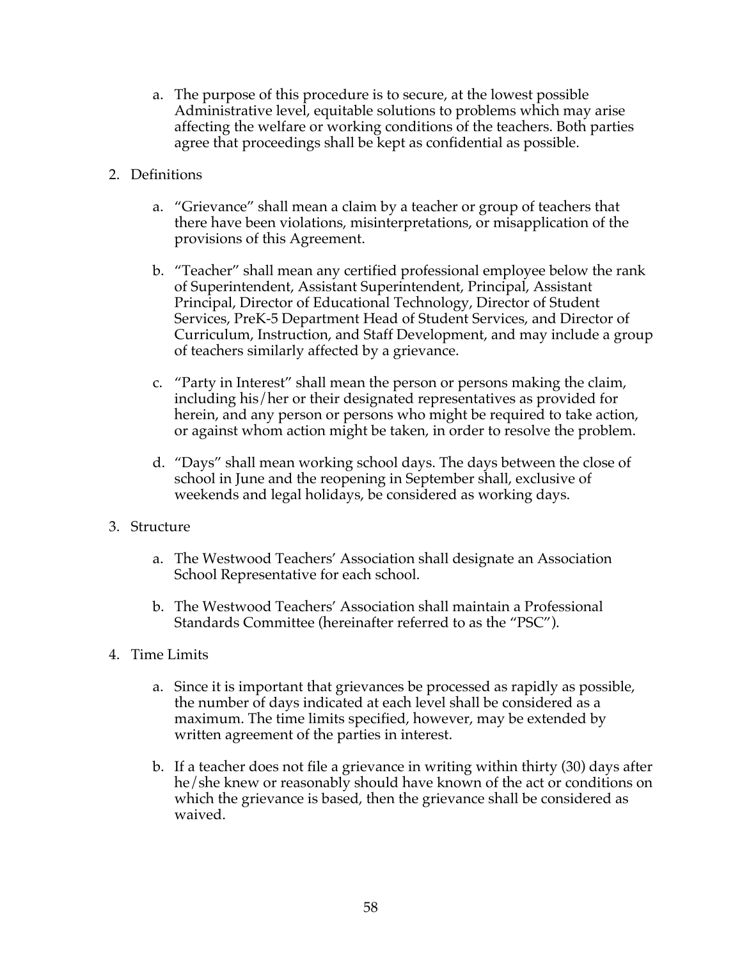- a. The purpose of this procedure is to secure, at the lowest possible Administrative level, equitable solutions to problems which may arise affecting the welfare or working conditions of the teachers. Both parties agree that proceedings shall be kept as confidential as possible.
- 2. Definitions
	- a. "Grievance" shall mean a claim by a teacher or group of teachers that there have been violations, misinterpretations, or misapplication of the provisions of this Agreement.
	- b. "Teacher" shall mean any certified professional employee below the rank of Superintendent, Assistant Superintendent, Principal, Assistant Principal, Director of Educational Technology, Director of Student Services, PreK-5 Department Head of Student Services, and Director of Curriculum, Instruction, and Staff Development, and may include a group of teachers similarly affected by a grievance.
	- c. "Party in Interest" shall mean the person or persons making the claim, including his/her or their designated representatives as provided for herein, and any person or persons who might be required to take action, or against whom action might be taken, in order to resolve the problem.
	- d. "Days" shall mean working school days. The days between the close of school in June and the reopening in September shall, exclusive of weekends and legal holidays, be considered as working days.
- 3. Structure
	- a. The Westwood Teachers' Association shall designate an Association School Representative for each school.
	- b. The Westwood Teachers' Association shall maintain a Professional Standards Committee (hereinafter referred to as the "PSC").
- 4. Time Limits
	- a. Since it is important that grievances be processed as rapidly as possible, the number of days indicated at each level shall be considered as a maximum. The time limits specified, however, may be extended by written agreement of the parties in interest.
	- b. If a teacher does not file a grievance in writing within thirty (30) days after he/she knew or reasonably should have known of the act or conditions on which the grievance is based, then the grievance shall be considered as waived.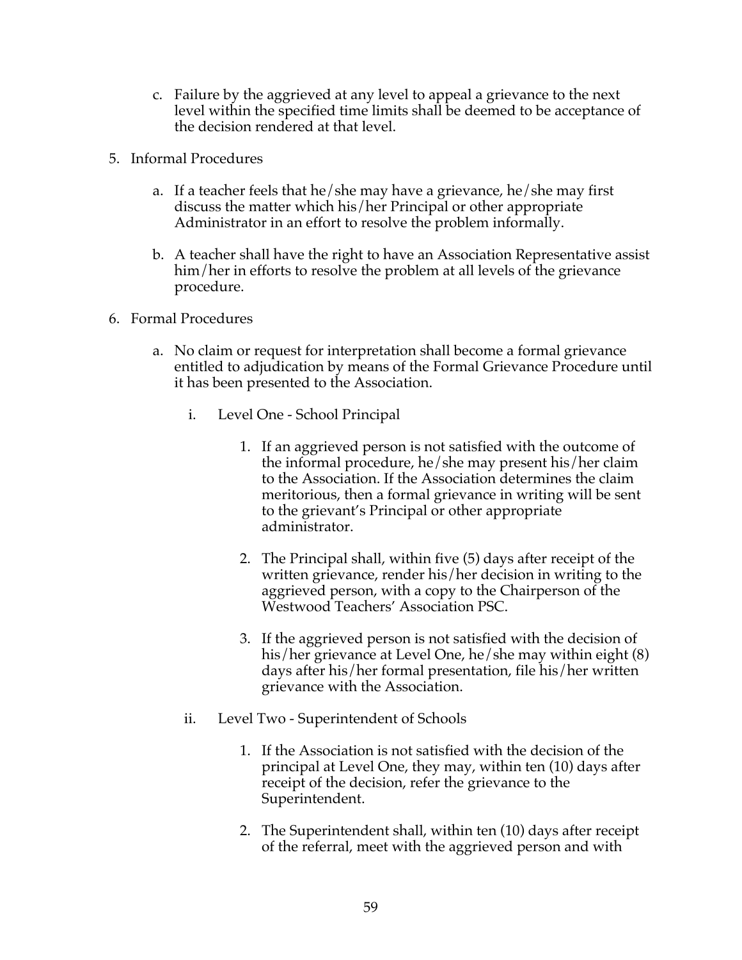- c. Failure by the aggrieved at any level to appeal a grievance to the next level within the specified time limits shall be deemed to be acceptance of the decision rendered at that level.
- 5. Informal Procedures
	- a. If a teacher feels that he/she may have a grievance, he/she may first discuss the matter which his/her Principal or other appropriate Administrator in an effort to resolve the problem informally.
	- b. A teacher shall have the right to have an Association Representative assist him/her in efforts to resolve the problem at all levels of the grievance procedure.
- 6. Formal Procedures
	- a. No claim or request for interpretation shall become a formal grievance entitled to adjudication by means of the Formal Grievance Procedure until it has been presented to the Association.
		- i. Level One School Principal
			- 1. If an aggrieved person is not satisfied with the outcome of the informal procedure, he/she may present his/her claim to the Association. If the Association determines the claim meritorious, then a formal grievance in writing will be sent to the grievant's Principal or other appropriate administrator.
			- 2. The Principal shall, within five (5) days after receipt of the written grievance, render his/her decision in writing to the aggrieved person, with a copy to the Chairperson of the Westwood Teachers' Association PSC.
			- 3. If the aggrieved person is not satisfied with the decision of his/her grievance at Level One, he/she may within eight (8) days after his/her formal presentation, file his/her written grievance with the Association.
		- ii. Level Two Superintendent of Schools
			- 1. If the Association is not satisfied with the decision of the principal at Level One, they may, within ten (10) days after receipt of the decision, refer the grievance to the Superintendent.
			- 2. The Superintendent shall, within ten (10) days after receipt of the referral, meet with the aggrieved person and with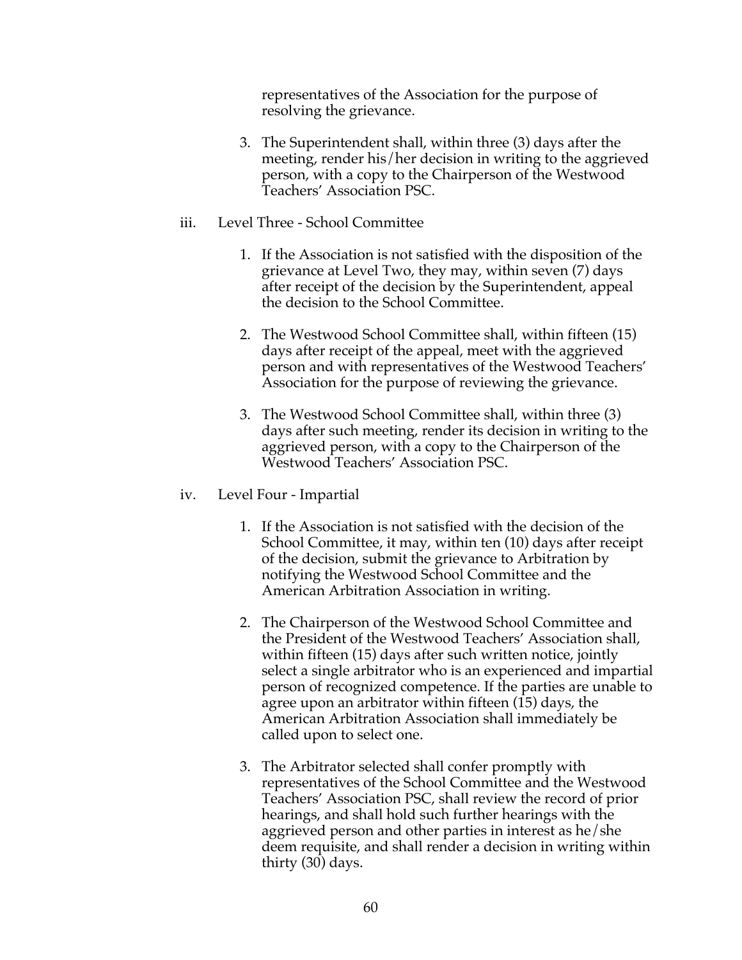representatives of the Association for the purpose of resolving the grievance.

- 3. The Superintendent shall, within three (3) days after the meeting, render his/her decision in writing to the aggrieved person, with a copy to the Chairperson of the Westwood Teachers' Association PSC.
- iii. Level Three School Committee
	- 1. If the Association is not satisfied with the disposition of the grievance at Level Two, they may, within seven (7) days after receipt of the decision by the Superintendent, appeal the decision to the School Committee.
	- 2. The Westwood School Committee shall, within fifteen (15) days after receipt of the appeal, meet with the aggrieved person and with representatives of the Westwood Teachers' Association for the purpose of reviewing the grievance.
	- 3. The Westwood School Committee shall, within three (3) days after such meeting, render its decision in writing to the aggrieved person, with a copy to the Chairperson of the Westwood Teachers' Association PSC.
- iv. Level Four Impartial
	- 1. If the Association is not satisfied with the decision of the School Committee, it may, within ten (10) days after receipt of the decision, submit the grievance to Arbitration by notifying the Westwood School Committee and the American Arbitration Association in writing.
	- 2. The Chairperson of the Westwood School Committee and the President of the Westwood Teachers' Association shall, within fifteen (15) days after such written notice, jointly select a single arbitrator who is an experienced and impartial person of recognized competence. If the parties are unable to agree upon an arbitrator within fifteen (15) days, the American Arbitration Association shall immediately be called upon to select one.
	- 3. The Arbitrator selected shall confer promptly with representatives of the School Committee and the Westwood Teachers' Association PSC, shall review the record of prior hearings, and shall hold such further hearings with the aggrieved person and other parties in interest as he/she deem requisite, and shall render a decision in writing within thirty (30) days.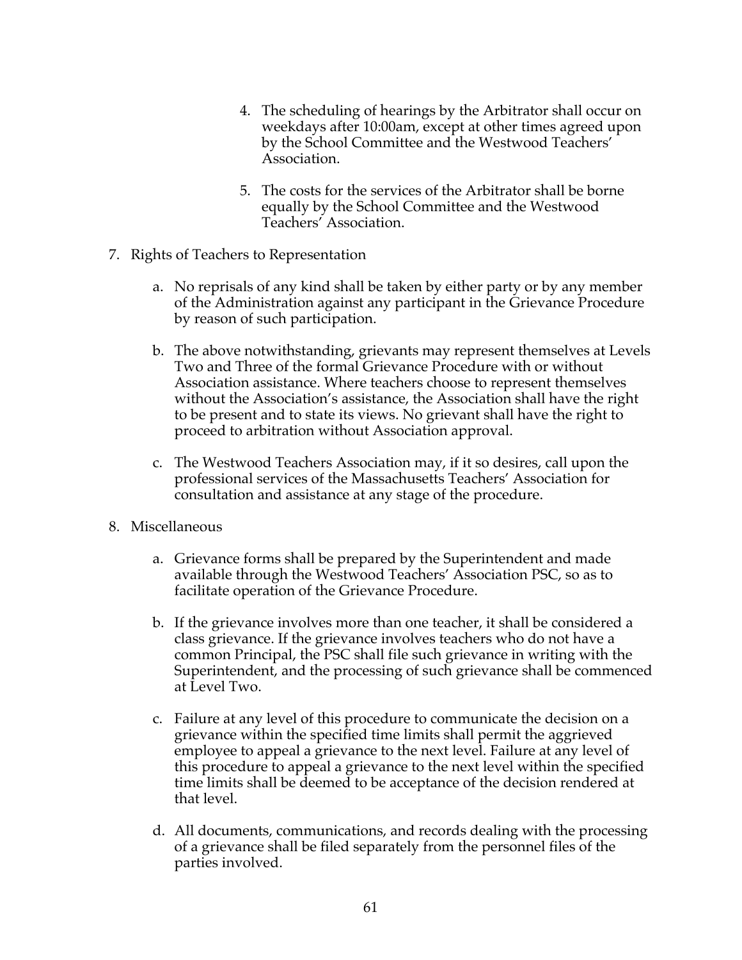- 4. The scheduling of hearings by the Arbitrator shall occur on weekdays after 10:00am, except at other times agreed upon by the School Committee and the Westwood Teachers' Association.
- 5. The costs for the services of the Arbitrator shall be borne equally by the School Committee and the Westwood Teachers' Association.
- 7. Rights of Teachers to Representation
	- a. No reprisals of any kind shall be taken by either party or by any member of the Administration against any participant in the Grievance Procedure by reason of such participation.
	- b. The above notwithstanding, grievants may represent themselves at Levels Two and Three of the formal Grievance Procedure with or without Association assistance. Where teachers choose to represent themselves without the Association's assistance, the Association shall have the right to be present and to state its views. No grievant shall have the right to proceed to arbitration without Association approval.
	- c. The Westwood Teachers Association may, if it so desires, call upon the professional services of the Massachusetts Teachers' Association for consultation and assistance at any stage of the procedure.
- 8. Miscellaneous
	- a. Grievance forms shall be prepared by the Superintendent and made available through the Westwood Teachers' Association PSC, so as to facilitate operation of the Grievance Procedure.
	- b. If the grievance involves more than one teacher, it shall be considered a class grievance. If the grievance involves teachers who do not have a common Principal, the PSC shall file such grievance in writing with the Superintendent, and the processing of such grievance shall be commenced at Level Two.
	- c. Failure at any level of this procedure to communicate the decision on a grievance within the specified time limits shall permit the aggrieved employee to appeal a grievance to the next level. Failure at any level of this procedure to appeal a grievance to the next level within the specified time limits shall be deemed to be acceptance of the decision rendered at that level.
	- d. All documents, communications, and records dealing with the processing of a grievance shall be filed separately from the personnel files of the parties involved.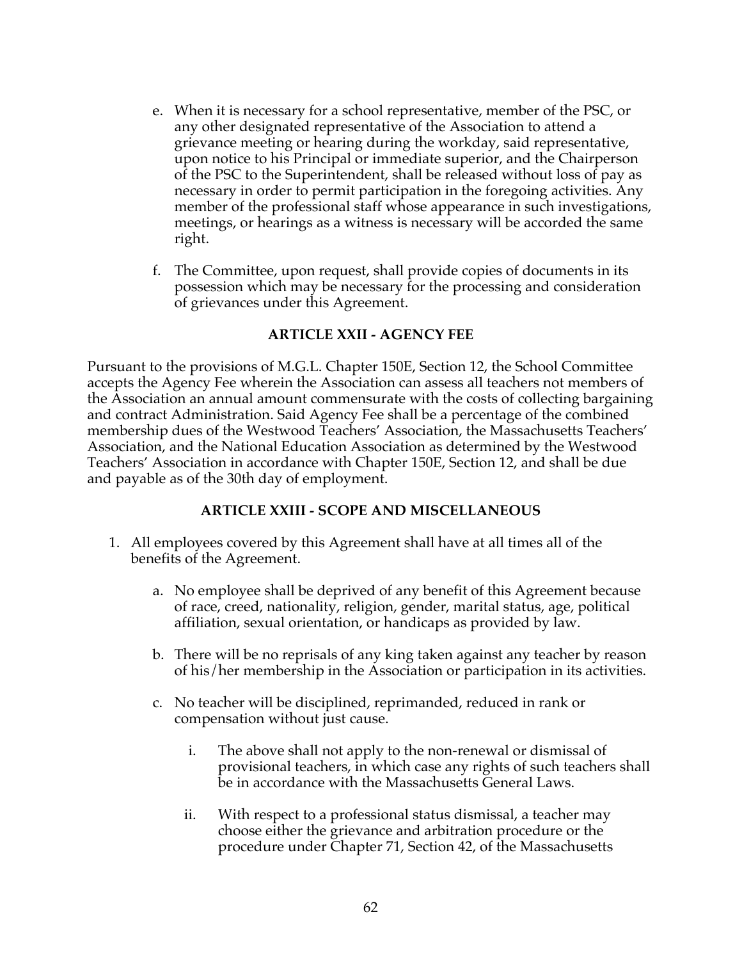- e. When it is necessary for a school representative, member of the PSC, or any other designated representative of the Association to attend a grievance meeting or hearing during the workday, said representative, upon notice to his Principal or immediate superior, and the Chairperson of the PSC to the Superintendent, shall be released without loss of pay as necessary in order to permit participation in the foregoing activities. Any member of the professional staff whose appearance in such investigations, meetings, or hearings as a witness is necessary will be accorded the same right.
- f. The Committee, upon request, shall provide copies of documents in its possession which may be necessary for the processing and consideration of grievances under this Agreement.

## **ARTICLE XXII - AGENCY FEE**

Pursuant to the provisions of M.G.L. Chapter 150E, Section 12, the School Committee accepts the Agency Fee wherein the Association can assess all teachers not members of the Association an annual amount commensurate with the costs of collecting bargaining and contract Administration. Said Agency Fee shall be a percentage of the combined membership dues of the Westwood Teachers' Association, the Massachusetts Teachers' Association, and the National Education Association as determined by the Westwood Teachers' Association in accordance with Chapter 150E, Section 12, and shall be due and payable as of the 30th day of employment.

#### **ARTICLE XXIII - SCOPE AND MISCELLANEOUS**

- 1. All employees covered by this Agreement shall have at all times all of the benefits of the Agreement.
	- a. No employee shall be deprived of any benefit of this Agreement because of race, creed, nationality, religion, gender, marital status, age, political affiliation, sexual orientation, or handicaps as provided by law.
	- b. There will be no reprisals of any king taken against any teacher by reason of his/her membership in the Association or participation in its activities.
	- c. No teacher will be disciplined, reprimanded, reduced in rank or compensation without just cause.
		- i. The above shall not apply to the non-renewal or dismissal of provisional teachers, in which case any rights of such teachers shall be in accordance with the Massachusetts General Laws.
		- ii. With respect to a professional status dismissal, a teacher may choose either the grievance and arbitration procedure or the procedure under Chapter 71, Section 42, of the Massachusetts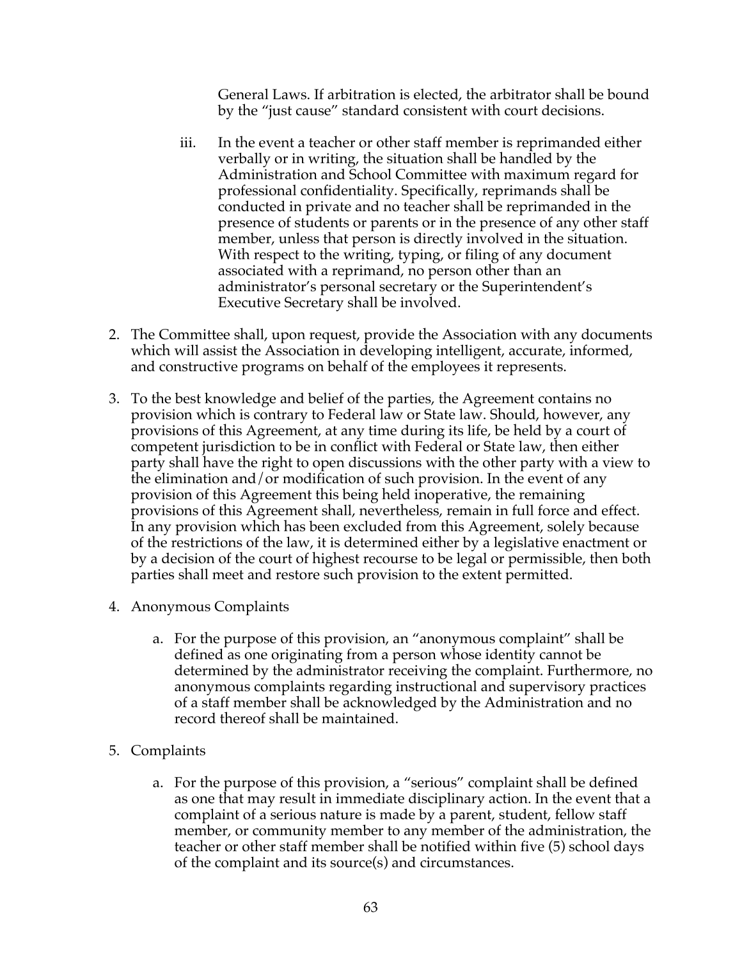General Laws. If arbitration is elected, the arbitrator shall be bound by the "just cause" standard consistent with court decisions.

- iii. In the event a teacher or other staff member is reprimanded either verbally or in writing, the situation shall be handled by the Administration and School Committee with maximum regard for professional confidentiality. Specifically, reprimands shall be conducted in private and no teacher shall be reprimanded in the presence of students or parents or in the presence of any other staff member, unless that person is directly involved in the situation. With respect to the writing, typing, or filing of any document associated with a reprimand, no person other than an administrator's personal secretary or the Superintendent's Executive Secretary shall be involved.
- 2. The Committee shall, upon request, provide the Association with any documents which will assist the Association in developing intelligent, accurate, informed, and constructive programs on behalf of the employees it represents.
- 3. To the best knowledge and belief of the parties, the Agreement contains no provision which is contrary to Federal law or State law. Should, however, any provisions of this Agreement, at any time during its life, be held by a court of competent jurisdiction to be in conflict with Federal or State law, then either party shall have the right to open discussions with the other party with a view to the elimination and/or modification of such provision. In the event of any provision of this Agreement this being held inoperative, the remaining provisions of this Agreement shall, nevertheless, remain in full force and effect. In any provision which has been excluded from this Agreement, solely because of the restrictions of the law, it is determined either by a legislative enactment or by a decision of the court of highest recourse to be legal or permissible, then both parties shall meet and restore such provision to the extent permitted.
- 4. Anonymous Complaints
	- a. For the purpose of this provision, an "anonymous complaint" shall be defined as one originating from a person whose identity cannot be determined by the administrator receiving the complaint. Furthermore, no anonymous complaints regarding instructional and supervisory practices of a staff member shall be acknowledged by the Administration and no record thereof shall be maintained.
- 5. Complaints
	- a. For the purpose of this provision, a "serious" complaint shall be defined as one that may result in immediate disciplinary action. In the event that a complaint of a serious nature is made by a parent, student, fellow staff member, or community member to any member of the administration, the teacher or other staff member shall be notified within five (5) school days of the complaint and its source(s) and circumstances.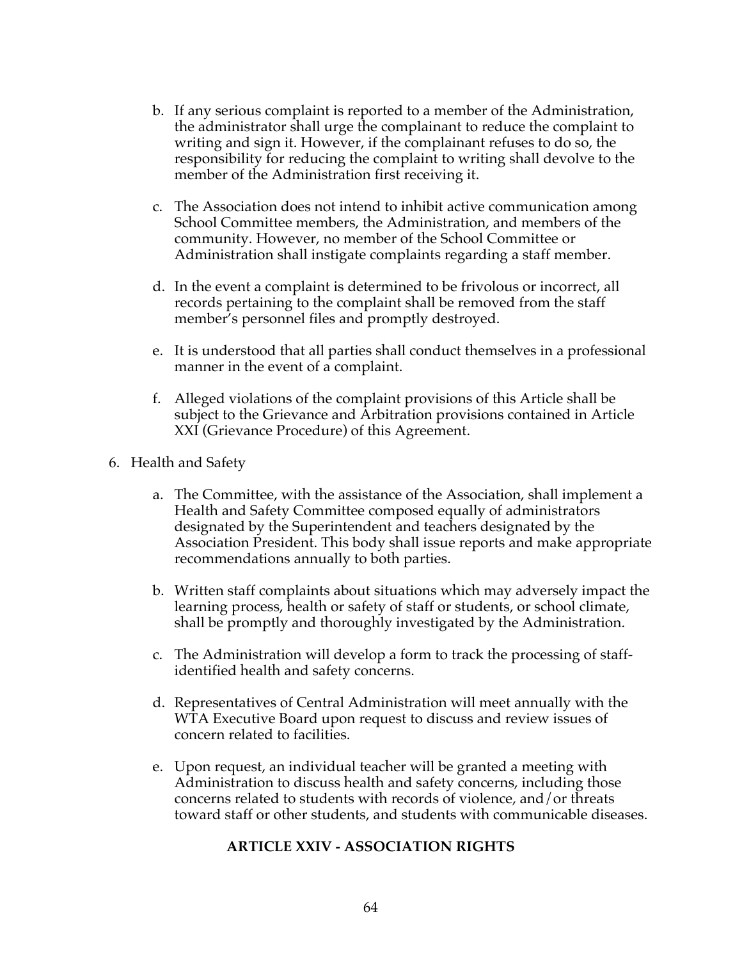- b. If any serious complaint is reported to a member of the Administration, the administrator shall urge the complainant to reduce the complaint to writing and sign it. However, if the complainant refuses to do so, the responsibility for reducing the complaint to writing shall devolve to the member of the Administration first receiving it.
- c. The Association does not intend to inhibit active communication among School Committee members, the Administration, and members of the community. However, no member of the School Committee or Administration shall instigate complaints regarding a staff member.
- d. In the event a complaint is determined to be frivolous or incorrect, all records pertaining to the complaint shall be removed from the staff member's personnel files and promptly destroyed.
- e. It is understood that all parties shall conduct themselves in a professional manner in the event of a complaint.
- f. Alleged violations of the complaint provisions of this Article shall be subject to the Grievance and Arbitration provisions contained in Article XXI (Grievance Procedure) of this Agreement.
- 6. Health and Safety
	- a. The Committee, with the assistance of the Association, shall implement a Health and Safety Committee composed equally of administrators designated by the Superintendent and teachers designated by the Association President. This body shall issue reports and make appropriate recommendations annually to both parties.
	- b. Written staff complaints about situations which may adversely impact the learning process, health or safety of staff or students, or school climate, shall be promptly and thoroughly investigated by the Administration.
	- c. The Administration will develop a form to track the processing of staffidentified health and safety concerns.
	- d. Representatives of Central Administration will meet annually with the WTA Executive Board upon request to discuss and review issues of concern related to facilities.
	- e. Upon request, an individual teacher will be granted a meeting with Administration to discuss health and safety concerns, including those concerns related to students with records of violence, and/or threats toward staff or other students, and students with communicable diseases.

#### **ARTICLE XXIV - ASSOCIATION RIGHTS**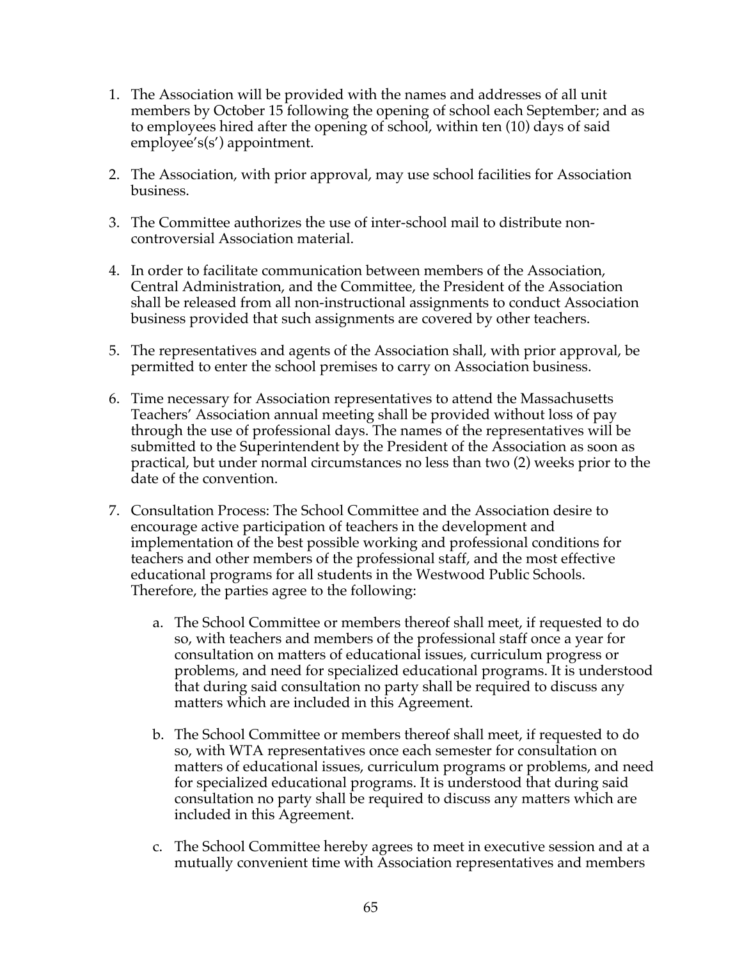- 1. The Association will be provided with the names and addresses of all unit members by October 15 following the opening of school each September; and as to employees hired after the opening of school, within ten (10) days of said employee's(s') appointment.
- 2. The Association, with prior approval, may use school facilities for Association business.
- 3. The Committee authorizes the use of inter-school mail to distribute noncontroversial Association material.
- 4. In order to facilitate communication between members of the Association, Central Administration, and the Committee, the President of the Association shall be released from all non-instructional assignments to conduct Association business provided that such assignments are covered by other teachers.
- 5. The representatives and agents of the Association shall, with prior approval, be permitted to enter the school premises to carry on Association business.
- 6. Time necessary for Association representatives to attend the Massachusetts Teachers' Association annual meeting shall be provided without loss of pay through the use of professional days. The names of the representatives will be submitted to the Superintendent by the President of the Association as soon as practical, but under normal circumstances no less than two (2) weeks prior to the date of the convention.
- 7. Consultation Process: The School Committee and the Association desire to encourage active participation of teachers in the development and implementation of the best possible working and professional conditions for teachers and other members of the professional staff, and the most effective educational programs for all students in the Westwood Public Schools. Therefore, the parties agree to the following:
	- a. The School Committee or members thereof shall meet, if requested to do so, with teachers and members of the professional staff once a year for consultation on matters of educational issues, curriculum progress or problems, and need for specialized educational programs. It is understood that during said consultation no party shall be required to discuss any matters which are included in this Agreement.
	- b. The School Committee or members thereof shall meet, if requested to do so, with WTA representatives once each semester for consultation on matters of educational issues, curriculum programs or problems, and need for specialized educational programs. It is understood that during said consultation no party shall be required to discuss any matters which are included in this Agreement.
	- c. The School Committee hereby agrees to meet in executive session and at a mutually convenient time with Association representatives and members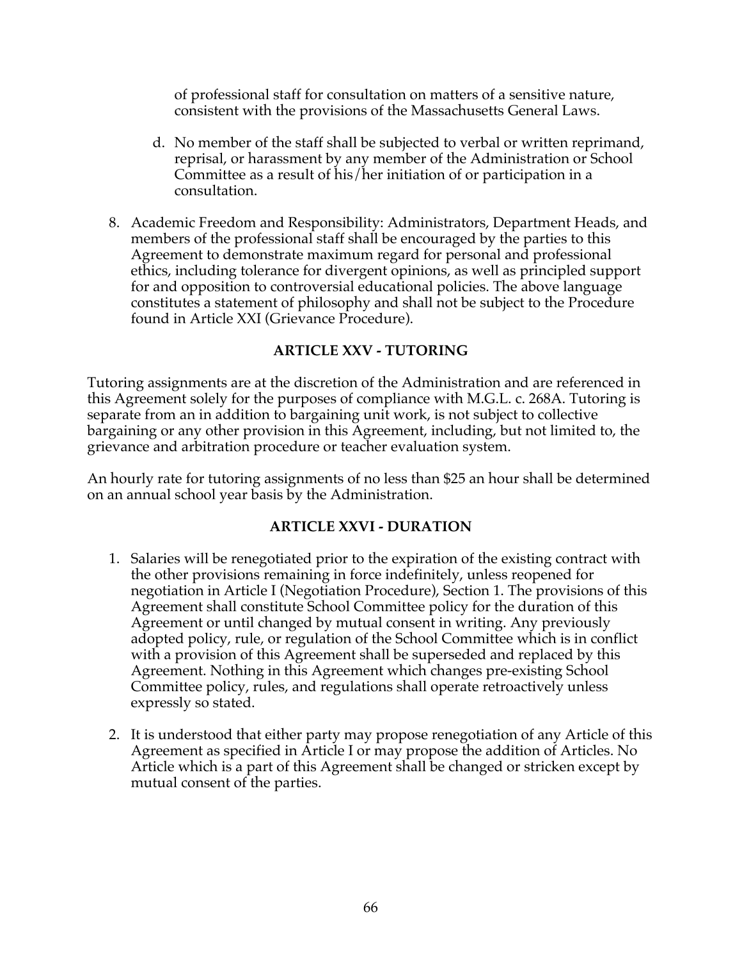of professional staff for consultation on matters of a sensitive nature, consistent with the provisions of the Massachusetts General Laws.

- d. No member of the staff shall be subjected to verbal or written reprimand, reprisal, or harassment by any member of the Administration or School Committee as a result of his/her initiation of or participation in a consultation.
- 8. Academic Freedom and Responsibility: Administrators, Department Heads, and members of the professional staff shall be encouraged by the parties to this Agreement to demonstrate maximum regard for personal and professional ethics, including tolerance for divergent opinions, as well as principled support for and opposition to controversial educational policies. The above language constitutes a statement of philosophy and shall not be subject to the Procedure found in Article XXI (Grievance Procedure).

## **ARTICLE XXV - TUTORING**

Tutoring assignments are at the discretion of the Administration and are referenced in this Agreement solely for the purposes of compliance with M.G.L. c. 268A. Tutoring is separate from an in addition to bargaining unit work, is not subject to collective bargaining or any other provision in this Agreement, including, but not limited to, the grievance and arbitration procedure or teacher evaluation system.

An hourly rate for tutoring assignments of no less than \$25 an hour shall be determined on an annual school year basis by the Administration.

#### **ARTICLE XXVI - DURATION**

- 1. Salaries will be renegotiated prior to the expiration of the existing contract with the other provisions remaining in force indefinitely, unless reopened for negotiation in Article I (Negotiation Procedure), Section 1. The provisions of this Agreement shall constitute School Committee policy for the duration of this Agreement or until changed by mutual consent in writing. Any previously adopted policy, rule, or regulation of the School Committee which is in conflict with a provision of this Agreement shall be superseded and replaced by this Agreement. Nothing in this Agreement which changes pre-existing School Committee policy, rules, and regulations shall operate retroactively unless expressly so stated.
- 2. It is understood that either party may propose renegotiation of any Article of this Agreement as specified in Article I or may propose the addition of Articles. No Article which is a part of this Agreement shall be changed or stricken except by mutual consent of the parties.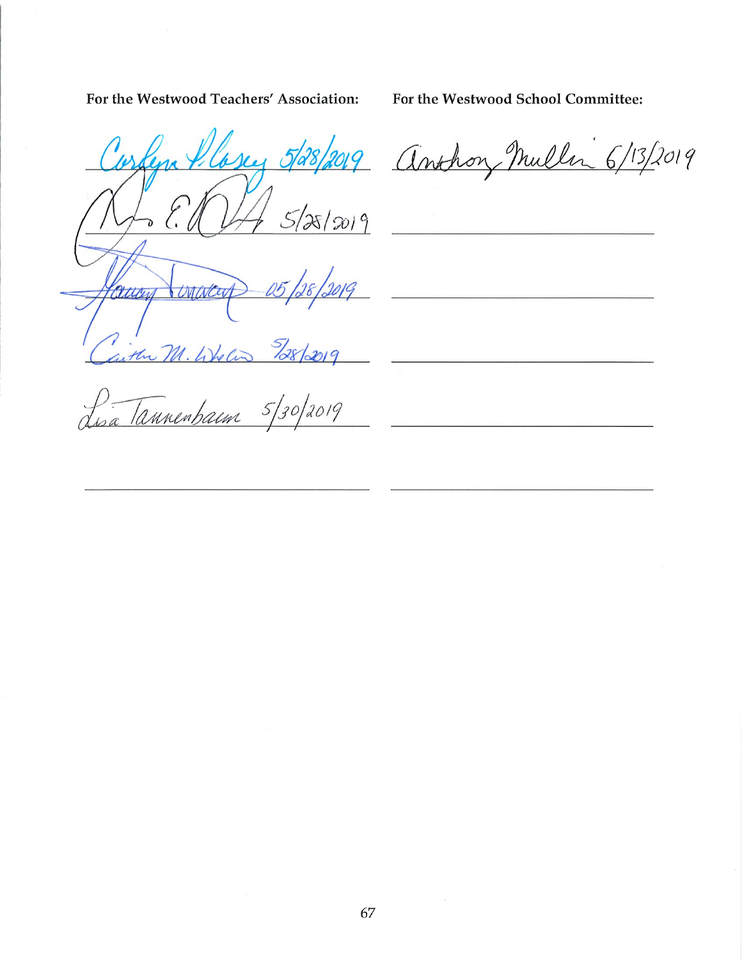For the Westwood Teachers' Association:

For the Westwood School Committee:

<u> 1989 - Johann John Stein, mars and de British Stein British Stein British Stein British Stein British Stein B</u>

<u> 1980 - Jan Barat, martin a</u>

bsey 5/28/2019 anthony Mullin 6/13/2019  $5/88/2019$ Concreent Villen  $328/2019$ gitter M. Whe Cin

 $5/30/2019$ D. Tannenbaun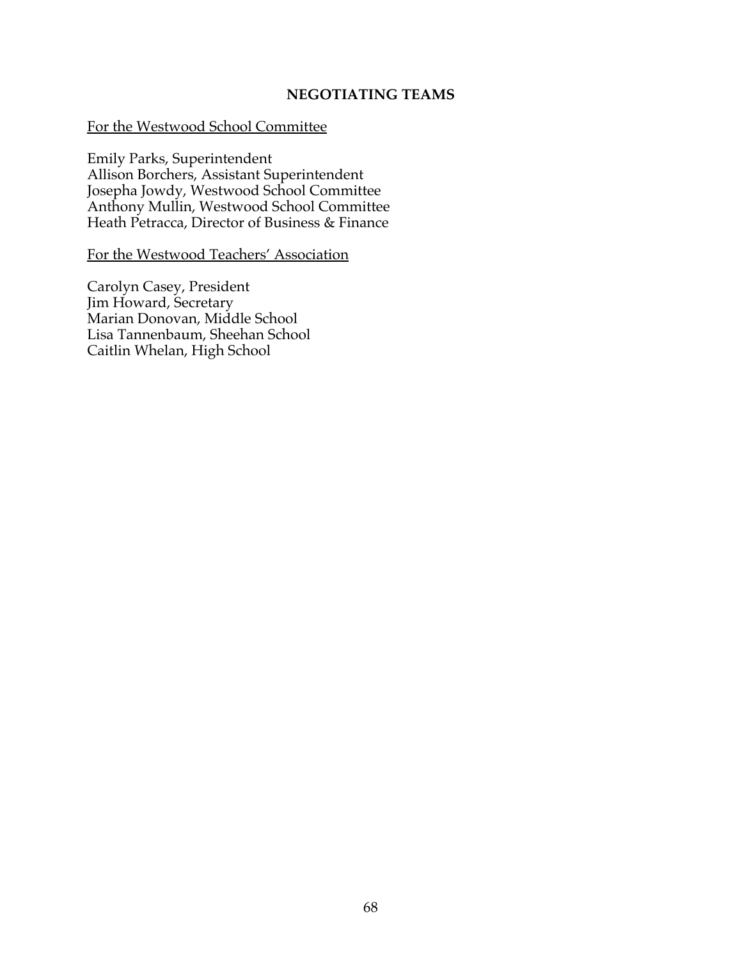#### **NEGOTIATING TEAMS**

#### For the Westwood School Committee

Emily Parks, Superintendent Allison Borchers, Assistant Superintendent Josepha Jowdy, Westwood School Committee Anthony Mullin, Westwood School Committee Heath Petracca, Director of Business & Finance

For the Westwood Teachers' Association

Carolyn Casey, President Jim Howard, Secretary Marian Donovan, Middle School Lisa Tannenbaum, Sheehan School Caitlin Whelan, High School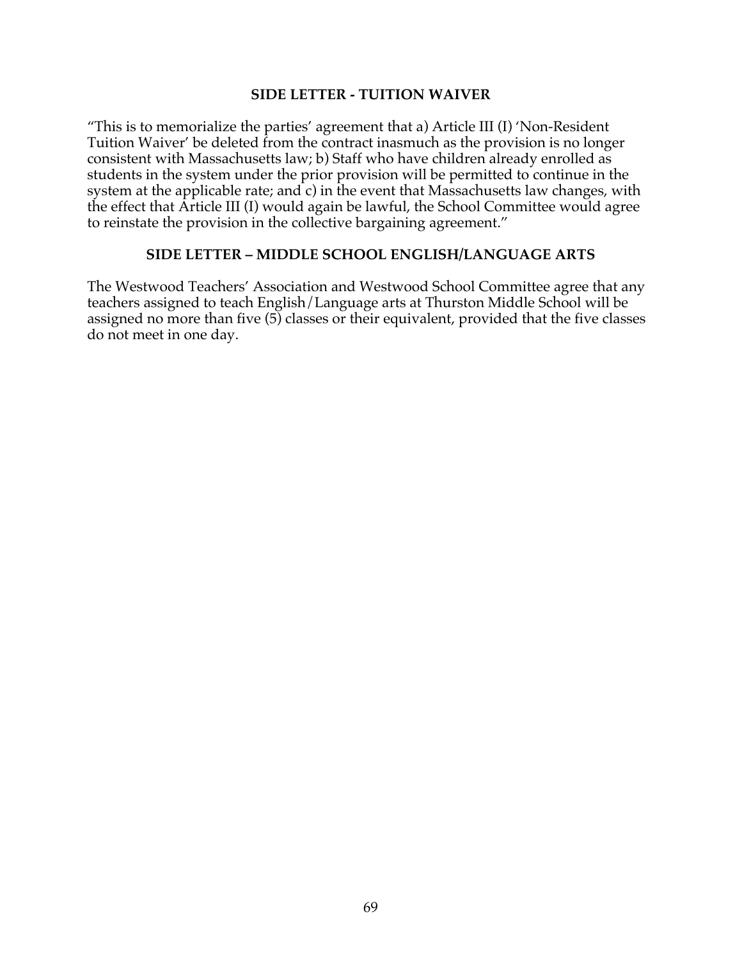#### **SIDE LETTER - TUITION WAIVER**

"This is to memorialize the parties' agreement that a) Article III (I) 'Non-Resident Tuition Waiver' be deleted from the contract inasmuch as the provision is no longer consistent with Massachusetts law; b) Staff who have children already enrolled as students in the system under the prior provision will be permitted to continue in the system at the applicable rate; and c) in the event that Massachusetts law changes, with the effect that Article III (I) would again be lawful, the School Committee would agree to reinstate the provision in the collective bargaining agreement."

#### **SIDE LETTER – MIDDLE SCHOOL ENGLISH/LANGUAGE ARTS**

The Westwood Teachers' Association and Westwood School Committee agree that any teachers assigned to teach English/Language arts at Thurston Middle School will be assigned no more than five (5) classes or their equivalent, provided that the five classes do not meet in one day.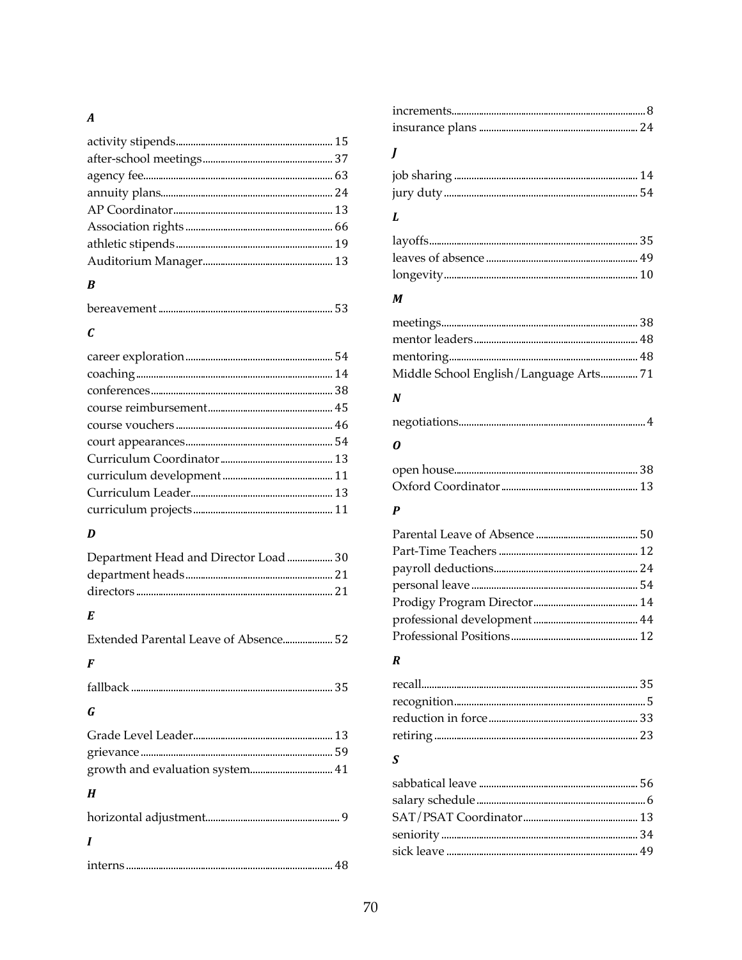## $\boldsymbol{A}$

## $\boldsymbol{B}$

|--|

## $\boldsymbol{c}$

## $\boldsymbol{D}$

| Department Head and Director Load  30 |  |
|---------------------------------------|--|
|                                       |  |
|                                       |  |

## $\boldsymbol{E}$

| Extended Parental Leave of Absence 52 |  |
|---------------------------------------|--|
| F                                     |  |
|                                       |  |
| G                                     |  |
|                                       |  |
|                                       |  |
|                                       |  |
| H                                     |  |
|                                       |  |
|                                       |  |
|                                       |  |
|                                       |  |

# $\boldsymbol{J}$

# $\boldsymbol{L}$

## $\boldsymbol{M}$

| Middle School English/Language Arts 71 |  |
|----------------------------------------|--|

## $\boldsymbol{N}$

|--|--|

## $\boldsymbol{o}$

# $\boldsymbol{P}$

## $\boldsymbol{R}$

## $\boldsymbol{S}$